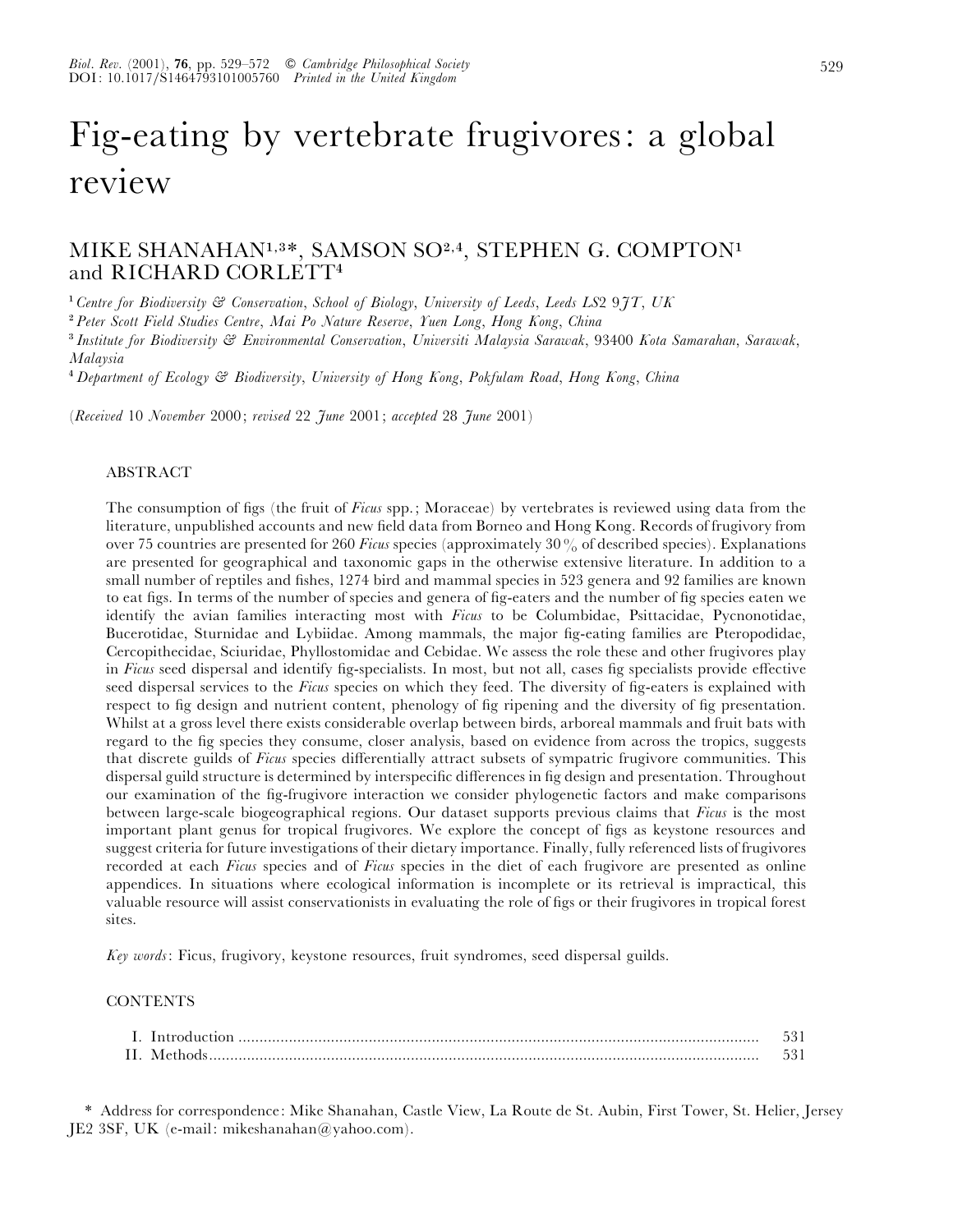# Fig-eating by vertebrate frugivores: a global review

# MIKE SHANAHAN<sup>1,3\*</sup>, SAMSON SO<sup>2,4</sup>, STEPHEN G. COMPTON<sup>1</sup> and RICHARD CORLETT<sup>4</sup>

"*Centre for Biodiversity & Conservation*, *School of Biology*, *University of Leeds*, *Leeds LS*2 9*JT*, *UK* #

*Peter Scott Field Studies Centre*, *Mai Po Nature Reserve*, *Yuen Long*, *Hong Kong*, *China*

\$*Institute for Biodiversity & Environmental Conservation*, *Universiti Malaysia Sarawak*, 93400 *Kota Samarahan*, *Sarawak*, *Malaysia* %

*Department of Ecology & Biodiversity*, *University of Hong Kong*, *Pokfulam Road*, *Hong Kong*, *China*

(*Received* 10 *November* 2000; *revised* 22 *June* 2001; *accepted* 28 *June* 2001)

#### ABSTRACT

The consumption of figs (the fruit of *Ficus* spp.; Moraceae) by vertebrates is reviewed using data from the literature, unpublished accounts and new field data from Borneo and Hong Kong. Records of frugivory from over 75 countries are presented for 260 *Ficus* species (approximately 30% of described species). Explanations are presented for geographical and taxonomic gaps in the otherwise extensive literature. In addition to a small number of reptiles and fishes, 1274 bird and mammal species in 523 genera and 92 families are known to eat figs. In terms of the number of species and genera of fig-eaters and the number of fig species eaten we identify the avian families interacting most with *Ficus* to be Columbidae, Psittacidae, Pycnonotidae, Bucerotidae, Sturnidae and Lybiidae. Among mammals, the major fig-eating families are Pteropodidae, Cercopithecidae, Sciuridae, Phyllostomidae and Cebidae. We assess the role these and other frugivores play in *Ficus* seed dispersal and identify fig-specialists. In most, but not all, cases fig specialists provide effective seed dispersal services to the *Ficus* species on which they feed. The diversity of fig-eaters is explained with respect to fig design and nutrient content, phenology of fig ripening and the diversity of fig presentation. Whilst at a gross level there exists considerable overlap between birds, arboreal mammals and fruit bats with regard to the fig species they consume, closer analysis, based on evidence from across the tropics, suggests that discrete guilds of *Ficus* species differentially attract subsets of sympatric frugivore communities. This dispersal guild structure is determined by interspecific differences in fig design and presentation. Throughout our examination of the fig-frugivore interaction we consider phylogenetic factors and make comparisons between large-scale biogeographical regions. Our dataset supports previous claims that *Ficus* is the most important plant genus for tropical frugivores. We explore the concept of figs as keystone resources and suggest criteria for future investigations of their dietary importance. Finally, fully referenced lists of frugivores recorded at each *Ficus* species and of *Ficus* species in the diet of each frugivore are presented as online appendices. In situations where ecological information is incomplete or its retrieval is impractical, this valuable resource will assist conservationists in evaluating the role of figs or their frugivores in tropical forest sites.

*Key words*: Ficus, frugivory, keystone resources, fruit syndromes, seed dispersal guilds.

#### **CONTENTS**

\* Address for correspondence: Mike Shanahan, Castle View, La Route de St. Aubin, First Tower, St. Helier, Jersey JE2 3SF, UK (e-mail: mikeshanahan@yahoo.com).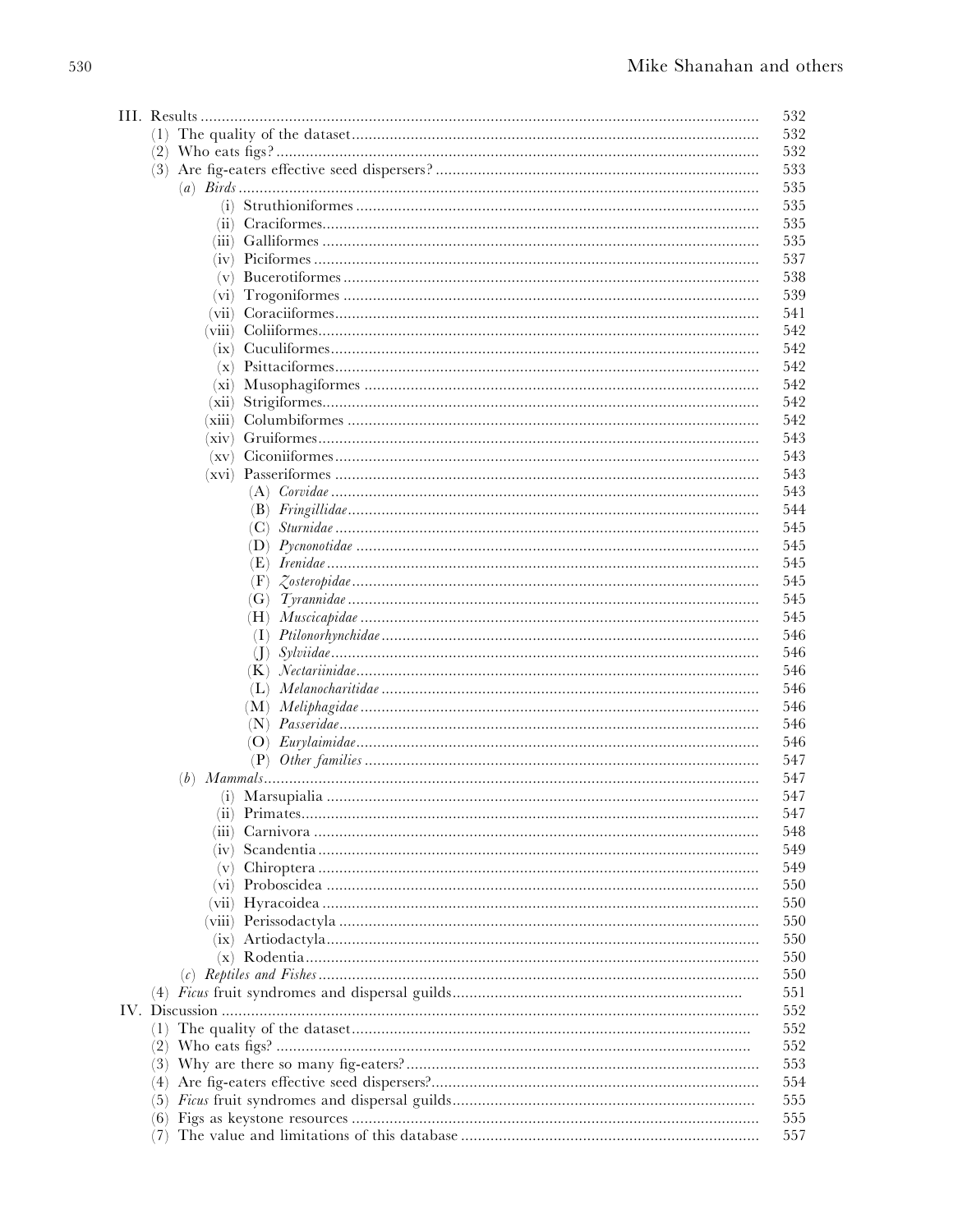|     |                                     | 532 |
|-----|-------------------------------------|-----|
|     |                                     | 532 |
|     |                                     | 532 |
|     |                                     | 533 |
|     |                                     | 535 |
|     |                                     | 535 |
|     |                                     | 535 |
|     |                                     | 535 |
|     |                                     |     |
|     |                                     | 537 |
|     |                                     | 538 |
|     | (v1)                                | 539 |
|     | (vii)                               | 541 |
|     |                                     | 542 |
|     |                                     | 542 |
|     |                                     | 542 |
|     | $(x_1)$                             | 542 |
|     | $\left( \, \mathrm{Xil} \, \right)$ | 542 |
|     | $(x_{111})$                         | 542 |
|     | (xiv)                               | 543 |
|     |                                     | 543 |
|     |                                     | 543 |
|     |                                     | 543 |
|     |                                     | 544 |
|     |                                     | 545 |
|     | (C)                                 | 545 |
|     |                                     |     |
|     |                                     | 545 |
|     | (F)                                 | 545 |
|     | (G)                                 | 545 |
|     | (H)                                 | 545 |
|     |                                     | 546 |
|     | (                                   | 546 |
|     |                                     | 546 |
|     | (L)                                 | 546 |
|     | (M)                                 | 546 |
|     |                                     | 546 |
|     |                                     | 546 |
|     |                                     | 547 |
|     |                                     | 547 |
|     |                                     | 547 |
|     |                                     | 547 |
|     |                                     | 548 |
|     |                                     | 549 |
|     |                                     | 549 |
|     |                                     | 550 |
|     |                                     |     |
|     |                                     | 550 |
|     |                                     | 550 |
|     |                                     | 550 |
|     |                                     | 550 |
|     |                                     | 550 |
|     |                                     | 551 |
|     |                                     | 552 |
| (1) |                                     | 552 |
| (2) |                                     | 552 |
| (3) |                                     | 553 |
| (4) |                                     | 554 |
| (C) |                                     | 555 |
| (b) |                                     | 555 |
| (7) |                                     | 557 |
|     |                                     |     |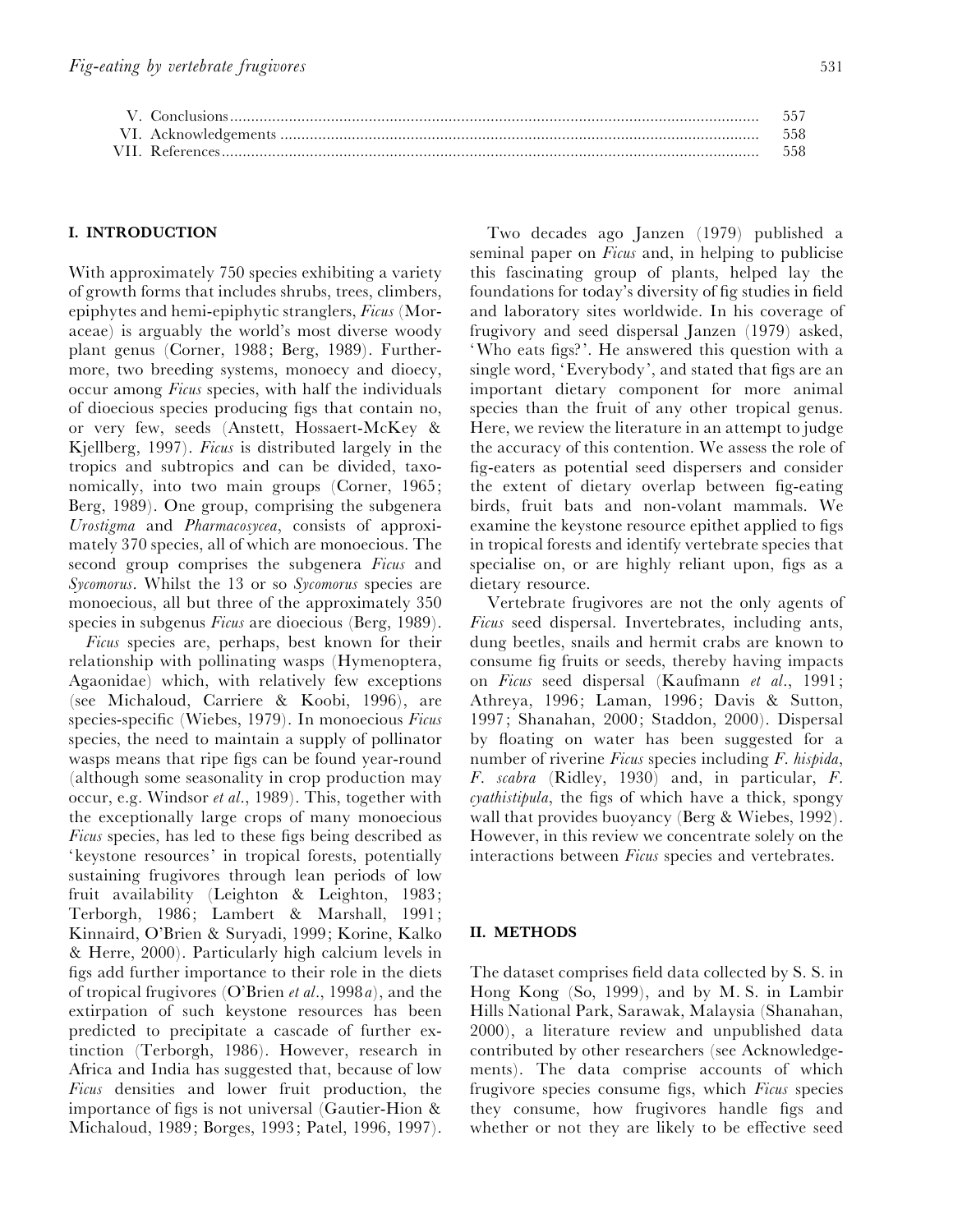|  | 557  |
|--|------|
|  | -558 |
|  | -558 |

## *I. INTRODUCTION*

With approximately 750 species exhibiting a variety of growth forms that includes shrubs, trees, climbers, epiphytes and hemi-epiphytic stranglers, *Ficus* (Moraceae) is arguably the world's most diverse woody plant genus (Corner, 1988; Berg, 1989). Furthermore, two breeding systems, monoecy and dioecy, occur among *Ficus* species, with half the individuals of dioecious species producing figs that contain no, or very few, seeds (Anstett, Hossaert-McKey & Kjellberg, 1997). *Ficus* is distributed largely in the tropics and subtropics and can be divided, taxonomically, into two main groups (Corner, 1965; Berg, 1989). One group, comprising the subgenera *Urostigma* and *Pharmacosycea*, consists of approximately 370 species, all of which are monoecious. The second group comprises the subgenera *Ficus* and *Sycomorus*. Whilst the 13 or so *Sycomorus* species are monoecious, all but three of the approximately 350 species in subgenus *Ficus* are dioecious (Berg, 1989).

*Ficus* species are, perhaps, best known for their relationship with pollinating wasps (Hymenoptera, Agaonidae) which, with relatively few exceptions (see Michaloud, Carriere & Koobi, 1996), are species-specific (Wiebes, 1979). In monoecious *Ficus* species, the need to maintain a supply of pollinator wasps means that ripe figs can be found year-round (although some seasonality in crop production may occur, e.g. Windsor *et al*., 1989). This, together with the exceptionally large crops of many monoecious *Ficus* species, has led to these figs being described as ' keystone resources' in tropical forests, potentially sustaining frugivores through lean periods of low fruit availability (Leighton & Leighton, 1983; Terborgh, 1986; Lambert & Marshall, 1991; Kinnaird, O'Brien & Suryadi, 1999; Korine, Kalko & Herre, 2000). Particularly high calcium levels in figs add further importance to their role in the diets of tropical frugivores (O'Brien *et al*., 1998*a*), and the extirpation of such keystone resources has been predicted to precipitate a cascade of further extinction (Terborgh, 1986). However, research in Africa and India has suggested that, because of low *Ficus* densities and lower fruit production, the importance of figs is not universal (Gautier-Hion & Michaloud, 1989; Borges, 1993; Patel, 1996, 1997).

Two decades ago Janzen (1979) published a seminal paper on *Ficus* and, in helping to publicise this fascinating group of plants, helped lay the foundations for today's diversity of fig studies in field and laboratory sites worldwide. In his coverage of frugivory and seed dispersal Janzen (1979) asked, 'Who eats figs?'. He answered this question with a single word, 'Everybody', and stated that figs are an important dietary component for more animal species than the fruit of any other tropical genus. Here, we review the literature in an attempt to judge the accuracy of this contention. We assess the role of fig-eaters as potential seed dispersers and consider the extent of dietary overlap between fig-eating birds, fruit bats and non-volant mammals. We examine the keystone resource epithet applied to figs in tropical forests and identify vertebrate species that specialise on, or are highly reliant upon, figs as a dietary resource.

Vertebrate frugivores are not the only agents of *Ficus* seed dispersal. Invertebrates, including ants, dung beetles, snails and hermit crabs are known to consume fig fruits or seeds, thereby having impacts on *Ficus* seed dispersal (Kaufmann *et al*., 1991; Athreya, 1996; Laman, 1996; Davis & Sutton, 1997; Shanahan, 2000; Staddon, 2000). Dispersal by floating on water has been suggested for a number of riverine *Ficus* species including *F*. *hispida*, *F*. *scabra* (Ridley, 1930) and, in particular, *F*. *cyathistipula*, the figs of which have a thick, spongy wall that provides buoyancy (Berg & Wiebes, 1992). However, in this review we concentrate solely on the interactions between *Ficus* species and vertebrates.

#### *II. METHODS*

The dataset comprises field data collected by S. S. in Hong Kong (So, 1999), and by M. S. in Lambir Hills National Park, Sarawak, Malaysia (Shanahan, 2000), a literature review and unpublished data contributed by other researchers (see Acknowledgements). The data comprise accounts of which frugivore species consume figs, which *Ficus* species they consume, how frugivores handle figs and whether or not they are likely to be effective seed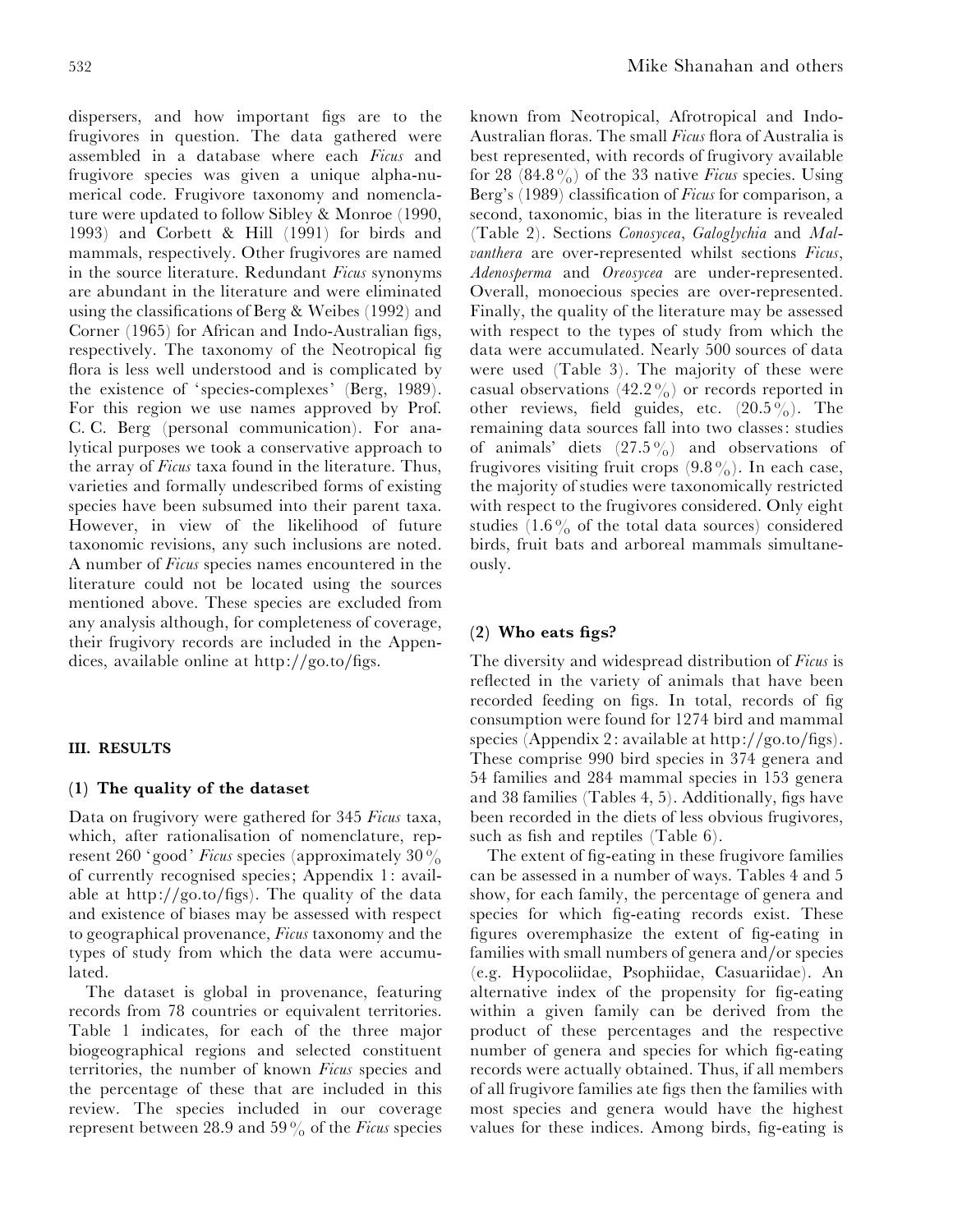dispersers, and how important figs are to the frugivores in question. The data gathered were assembled in a database where each *Ficus* and frugivore species was given a unique alpha-numerical code. Frugivore taxonomy and nomenclature were updated to follow Sibley & Monroe (1990, 1993) and Corbett & Hill (1991) for birds and mammals, respectively. Other frugivores are named in the source literature. Redundant *Ficus* synonyms are abundant in the literature and were eliminated using the classifications of Berg & Weibes (1992) and Corner (1965) for African and Indo-Australian figs, respectively. The taxonomy of the Neotropical fig flora is less well understood and is complicated by the existence of 'species-complexes' (Berg, 1989). For this region we use names approved by Prof. C. C. Berg (personal communication). For analytical purposes we took a conservative approach to the array of *Ficus* taxa found in the literature. Thus, varieties and formally undescribed forms of existing species have been subsumed into their parent taxa. However, in view of the likelihood of future taxonomic revisions, any such inclusions are noted. A number of *Ficus* species names encountered in the literature could not be located using the sources mentioned above. These species are excluded from any analysis although, for completeness of coverage, their frugivory records are included in the Appendices, available online at http://go.to/figs.

#### *III. RESULTS*

#### *(1) The quality of the dataset*

Data on frugivory were gathered for 345 *Ficus* taxa, which, after rationalisation of nomenclature, represent 260 'good' *Ficus* species (approximately 30%) of currently recognised species; Appendix 1: available at http://go.to/figs). The quality of the data and existence of biases may be assessed with respect to geographical provenance, *Ficus* taxonomy and the types of study from which the data were accumulated.

The dataset is global in provenance, featuring records from 78 countries or equivalent territories. Table 1 indicates, for each of the three major biogeographical regions and selected constituent territories, the number of known *Ficus* species and the percentage of these that are included in this review. The species included in our coverage represent between 28.9 and 59 $\%$  of the *Ficus* species known from Neotropical, Afrotropical and Indo-Australian floras. The small *Ficus* flora of Australia is best represented, with records of frugivory available for 28  $(84.8\%)$  of the 33 native *Ficus* species. Using Berg's (1989) classification of *Ficus* for comparison, a second, taxonomic, bias in the literature is revealed (Table 2). Sections *Conosycea*, *Galoglychia* and *Malvanthera* are over-represented whilst sections *Ficus*, *Adenosperma* and *Oreosycea* are under-represented. Overall, monoecious species are over-represented. Finally, the quality of the literature may be assessed with respect to the types of study from which the data were accumulated. Nearly 500 sources of data were used (Table 3). The majority of these were casual observations  $(42.2\%)$  or records reported in other reviews, field guides, etc.  $(20.5\%)$ . The remaining data sources fall into two classes: studies of animals' diets  $(27.5\%)$  and observations of frugivores visiting fruit crops  $(9.8\%)$ . In each case, the majority of studies were taxonomically restricted with respect to the frugivores considered. Only eight studies  $(1.6\%$  of the total data sources) considered birds, fruit bats and arboreal mammals simultaneously.

## *(2) Who eats figs?*

The diversity and widespread distribution of *Ficus* is reflected in the variety of animals that have been recorded feeding on figs. In total, records of fig consumption were found for 1274 bird and mammal species (Appendix 2: available at http://go.to/figs). These comprise 990 bird species in 374 genera and 54 families and 284 mammal species in 153 genera and 38 families (Tables 4, 5). Additionally, figs have been recorded in the diets of less obvious frugivores, such as fish and reptiles (Table 6).

The extent of fig-eating in these frugivore families can be assessed in a number of ways. Tables 4 and 5 show, for each family, the percentage of genera and species for which fig-eating records exist. These figures overemphasize the extent of fig-eating in families with small numbers of genera and/or species (e.g. Hypocoliidae, Psophiidae, Casuariidae). An alternative index of the propensity for fig-eating within a given family can be derived from the product of these percentages and the respective number of genera and species for which fig-eating records were actually obtained. Thus, if all members of all frugivore families ate figs then the families with most species and genera would have the highest values for these indices. Among birds, fig-eating is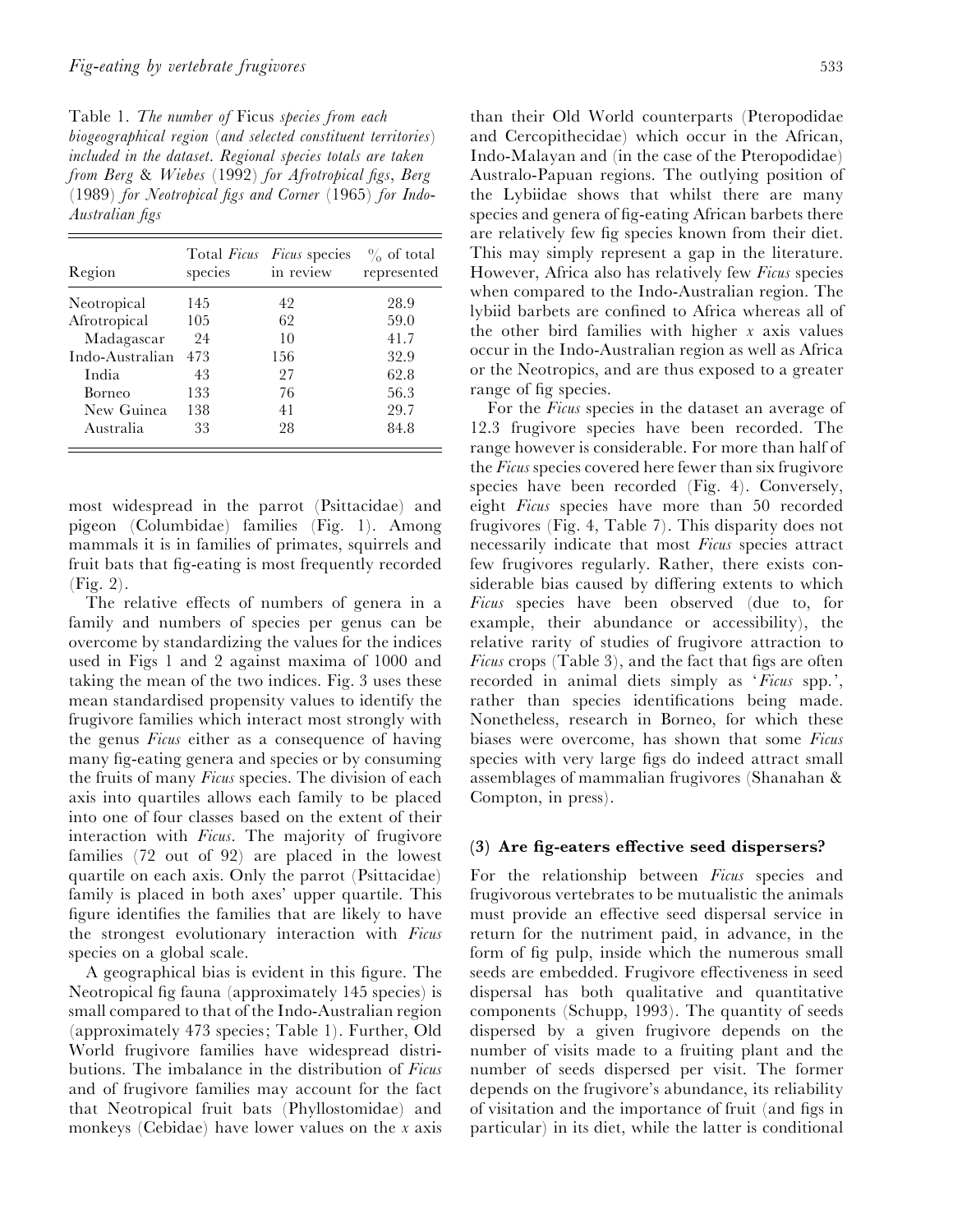Table 1. *The number of* Ficus *species from each biogeographical region* (*and selected constituent territories*) *included in the dataset*. *Regional species totals are taken from Berg* & *Wiebes* (1992) *for Afrotropical figs*, *Berg* (1989) *for Neotropical figs and Corner* (1965) *for Indo*-*Australian figs*

| Region          | Total Ficus<br>species | <i>Ficus</i> species<br>in review | $\%$ of total<br>represented |
|-----------------|------------------------|-----------------------------------|------------------------------|
| Neotropical     | 145                    | 42                                | 28.9                         |
| Afrotropical    | 105                    | 62                                | 59.0                         |
| Madagascar      | 24                     | 10                                | 41.7                         |
| Indo-Australian | 473                    | 156                               | 32.9                         |
| India           | 43                     | 27                                | 62.8                         |
| Borneo          | 133                    | 76                                | 56.3                         |
| New Guinea      | 138                    | 41                                | 29.7                         |
| Australia       | 33                     | 28                                | 84.8                         |

most widespread in the parrot (Psittacidae) and pigeon (Columbidae) families (Fig. 1). Among mammals it is in families of primates, squirrels and fruit bats that fig-eating is most frequently recorded (Fig. 2).

The relative effects of numbers of genera in a family and numbers of species per genus can be overcome by standardizing the values for the indices used in Figs 1 and 2 against maxima of 1000 and taking the mean of the two indices. Fig. 3 uses these mean standardised propensity values to identify the frugivore families which interact most strongly with the genus *Ficus* either as a consequence of having many fig-eating genera and species or by consuming the fruits of many *Ficus* species. The division of each axis into quartiles allows each family to be placed into one of four classes based on the extent of their interaction with *Ficus*. The majority of frugivore families (72 out of 92) are placed in the lowest quartile on each axis. Only the parrot (Psittacidae) family is placed in both axes' upper quartile. This figure identifies the families that are likely to have the strongest evolutionary interaction with *Ficus* species on a global scale.

A geographical bias is evident in this figure. The Neotropical fig fauna (approximately 145 species) is small compared to that of the Indo-Australian region (approximately 473 species; Table 1). Further, Old World frugivore families have widespread distributions. The imbalance in the distribution of *Ficus* and of frugivore families may account for the fact that Neotropical fruit bats (Phyllostomidae) and monkeys (Cebidae) have lower values on the *x* axis than their Old World counterparts (Pteropodidae and Cercopithecidae) which occur in the African, Indo-Malayan and (in the case of the Pteropodidae) Australo-Papuan regions. The outlying position of the Lybiidae shows that whilst there are many species and genera of fig-eating African barbets there are relatively few fig species known from their diet. This may simply represent a gap in the literature. However, Africa also has relatively few *Ficus* species when compared to the Indo-Australian region. The lybiid barbets are confined to Africa whereas all of the other bird families with higher *x* axis values occur in the Indo-Australian region as well as Africa or the Neotropics, and are thus exposed to a greater range of fig species.

For the *Ficus* species in the dataset an average of 12.3 frugivore species have been recorded. The range however is considerable. For more than half of the *Ficus* species covered here fewer than six frugivore species have been recorded (Fig. 4). Conversely, eight *Ficus* species have more than 50 recorded frugivores (Fig. 4, Table 7). This disparity does not necessarily indicate that most *Ficus* species attract few frugivores regularly. Rather, there exists considerable bias caused by differing extents to which *Ficus* species have been observed (due to, for example, their abundance or accessibility), the relative rarity of studies of frugivore attraction to *Ficus* crops (Table 3), and the fact that figs are often recorded in animal diets simply as '*Ficus* spp.', rather than species identifications being made. Nonetheless, research in Borneo, for which these biases were overcome, has shown that some *Ficus* species with very large figs do indeed attract small assemblages of mammalian frugivores (Shanahan & Compton, in press).

## *(3) Are fig-eaters effective seed dispersers?*

For the relationship between *Ficus* species and frugivorous vertebrates to be mutualistic the animals must provide an effective seed dispersal service in return for the nutriment paid, in advance, in the form of fig pulp, inside which the numerous small seeds are embedded. Frugivore effectiveness in seed dispersal has both qualitative and quantitative components (Schupp, 1993). The quantity of seeds dispersed by a given frugivore depends on the number of visits made to a fruiting plant and the number of seeds dispersed per visit. The former depends on the frugivore's abundance, its reliability of visitation and the importance of fruit (and figs in particular) in its diet, while the latter is conditional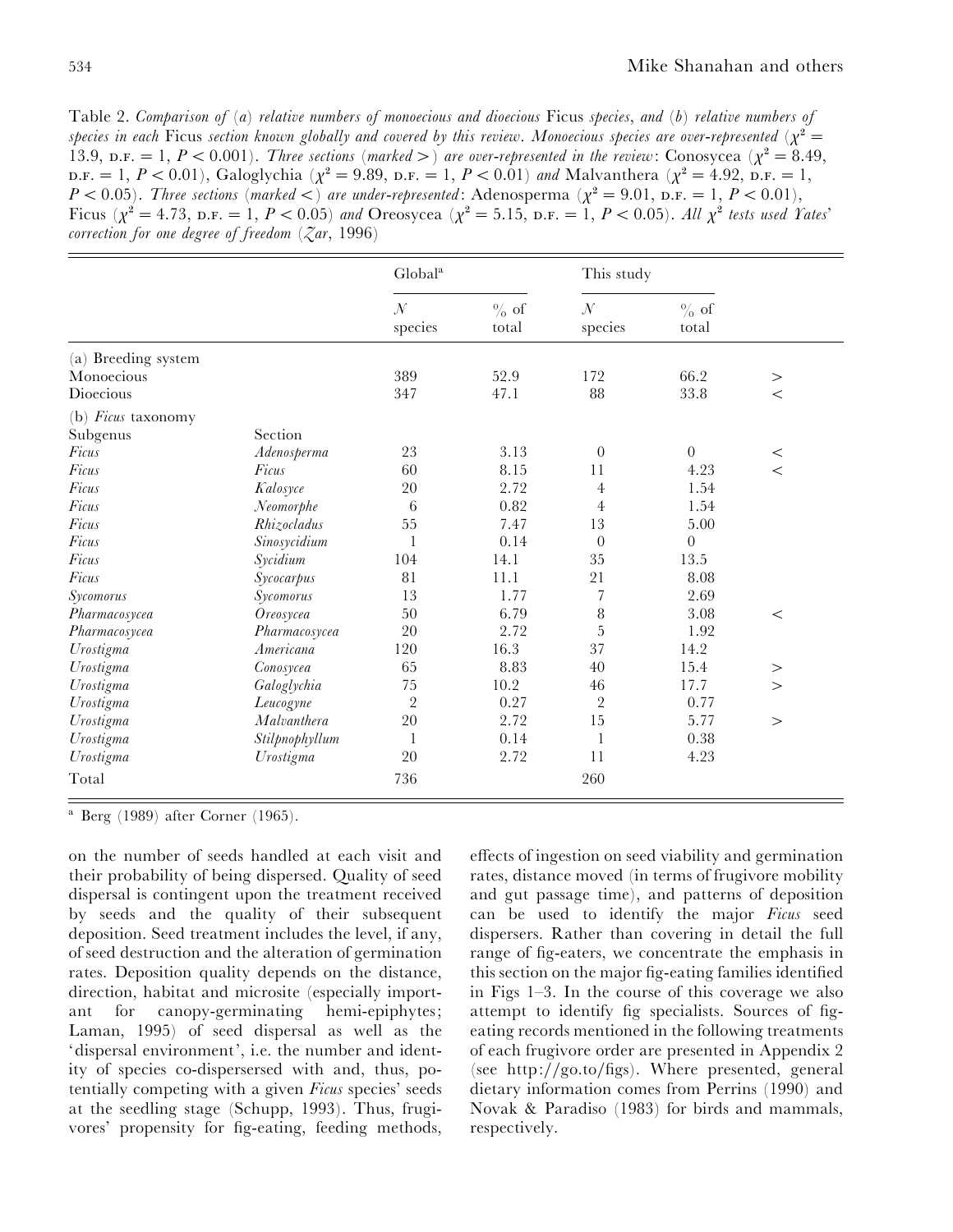Table 2. *Comparison of* (*a*) *relative numbers of monoecious and dioecious* Ficus *species*, *and* (*b*) *relative numbers of species in each* Ficus *section known globally and covered by this review. Monoecious species are over-represented* ( $\chi^2$  = 13.9,  $\text{D.F.} = 1, P < 0.001$ ). *Three sections* (*marked* >) *are over-represented in the review*: Conosycea ( $\chi^2 = 8.49$ ,  $p.F. = 1, P < 0.01$ , Galoglychia ( $\chi^2 = 9.89$ ,  $p.F. = 1, P < 0.01$ ) *and* Malvanthera ( $\chi^2 = 4.92$ ,  $p.F. = 1$ ,  $P$  < 0.05). *Three sections* (*marked* <) *are under-represented*: Adenosperma ( $\chi^2 = 9.01$ , p.f. = 1,  $P$  < 0.01), Ficus ( $\chi^2 = 4.73$ , p.f. = 1, *P* < 0.05) and Oreosycea ( $\chi^2 = 5.15$ , p.f. = 1, *P* < 0.05). *All*  $\chi^2$  tests used Yates' *correction for one degree of freedom* (*Zar*, 1996)

|                     |                | Global <sup>a</sup>      |                  | This study               |                  |          |
|---------------------|----------------|--------------------------|------------------|--------------------------|------------------|----------|
|                     |                | $\mathcal{N}$<br>species | $\%$ of<br>total | $\mathcal{N}$<br>species | $\%$ of<br>total |          |
| (a) Breeding system |                |                          |                  |                          |                  |          |
| Monoecious          |                | 389                      | 52.9             | 172                      | 66.2             | $\rm{>}$ |
| Dioecious           |                | 347                      | 47.1             | 88                       | 33.8             | $\lt$    |
| (b) Ficus taxonomy  |                |                          |                  |                          |                  |          |
| Subgenus            | Section        |                          |                  |                          |                  |          |
| Ficus               | Adenosperma    | 23                       | 3.13             | $\overline{0}$           | $\overline{0}$   | $\,<$    |
| Ficus               | Ficus          | 60                       | 8.15             | 11                       | 4.23             | $\lt$    |
| Ficus               | Kalosyce       | 20                       | 2.72             | 4                        | 1.54             |          |
| Ficus               | Neomorphe      | 6                        | 0.82             | $\overline{4}$           | 1.54             |          |
| Ficus               | Rhizocladus    | 55                       | 7.47             | 13                       | $5.00\,$         |          |
| Ficus               | Sinosycidium   | 1                        | 0.14             | $\overline{0}$           | $\theta$         |          |
| Ficus               | Sycidium       | 104                      | 14.1             | 35                       | 13.5             |          |
| Ficus               | Sycocarpus     | 81                       | 11.1             | 21                       | 8.08             |          |
| Sycomorus           | Sycomorus      | 13                       | 1.77             | 7                        | 2.69             |          |
| Pharmacosycea       | Oreosycea      | 50                       | 6.79             | $\, 8$                   | 3.08             | $\,<$    |
| Pharmacosycea       | Pharmacosycea  | 20                       | 2.72             | $\overline{5}$           | 1.92             |          |
| Urostigma           | Americana      | 120                      | 16.3             | 37                       | 14.2             |          |
| Urostigma           | Conosycea      | 65                       | 8.83             | 40                       | 15.4             | $\rm{>}$ |
| Urostigma           | Galoglychia    | 75                       | 10.2             | 46                       | 17.7             | $\gt$    |
| Urostigma           | Leucogyne      | $\overline{2}$           | 0.27             | $\overline{2}$           | 0.77             |          |
| Urostigma           | Malvanthera    | $20\,$                   | 2.72             | 15                       | 5.77             | >        |
| Urostigma           | Stilpnophyllum | 1                        | 0.14             | 1                        | 0.38             |          |
| Urostigma           | Urostigma      | 20                       | 2.72             | 11                       | 4.23             |          |
| Total               |                | 736                      |                  | 260                      |                  |          |

a Berg (1989) after Corner (1965).

on the number of seeds handled at each visit and their probability of being dispersed. Quality of seed dispersal is contingent upon the treatment received by seeds and the quality of their subsequent deposition. Seed treatment includes the level, if any, of seed destruction and the alteration of germination rates. Deposition quality depends on the distance, direction, habitat and microsite (especially important for canopy-germinating hemi-epiphytes; Laman, 1995) of seed dispersal as well as the 'dispersal environment', i.e. the number and identity of species co-dispersersed with and, thus, potentially competing with a given *Ficus* species' seeds at the seedling stage (Schupp, 1993). Thus, frugivores' propensity for fig-eating, feeding methods, effects of ingestion on seed viability and germination rates, distance moved (in terms of frugivore mobility and gut passage time), and patterns of deposition can be used to identify the major *Ficus* seed dispersers. Rather than covering in detail the full range of fig-eaters, we concentrate the emphasis in this section on the major fig-eating families identified in Figs 1–3. In the course of this coverage we also attempt to identify fig specialists. Sources of figeating records mentioned in the following treatments of each frugivore order are presented in Appendix 2 (see http://go.to/figs). Where presented, general dietary information comes from Perrins (1990) and Novak & Paradiso (1983) for birds and mammals, respectively.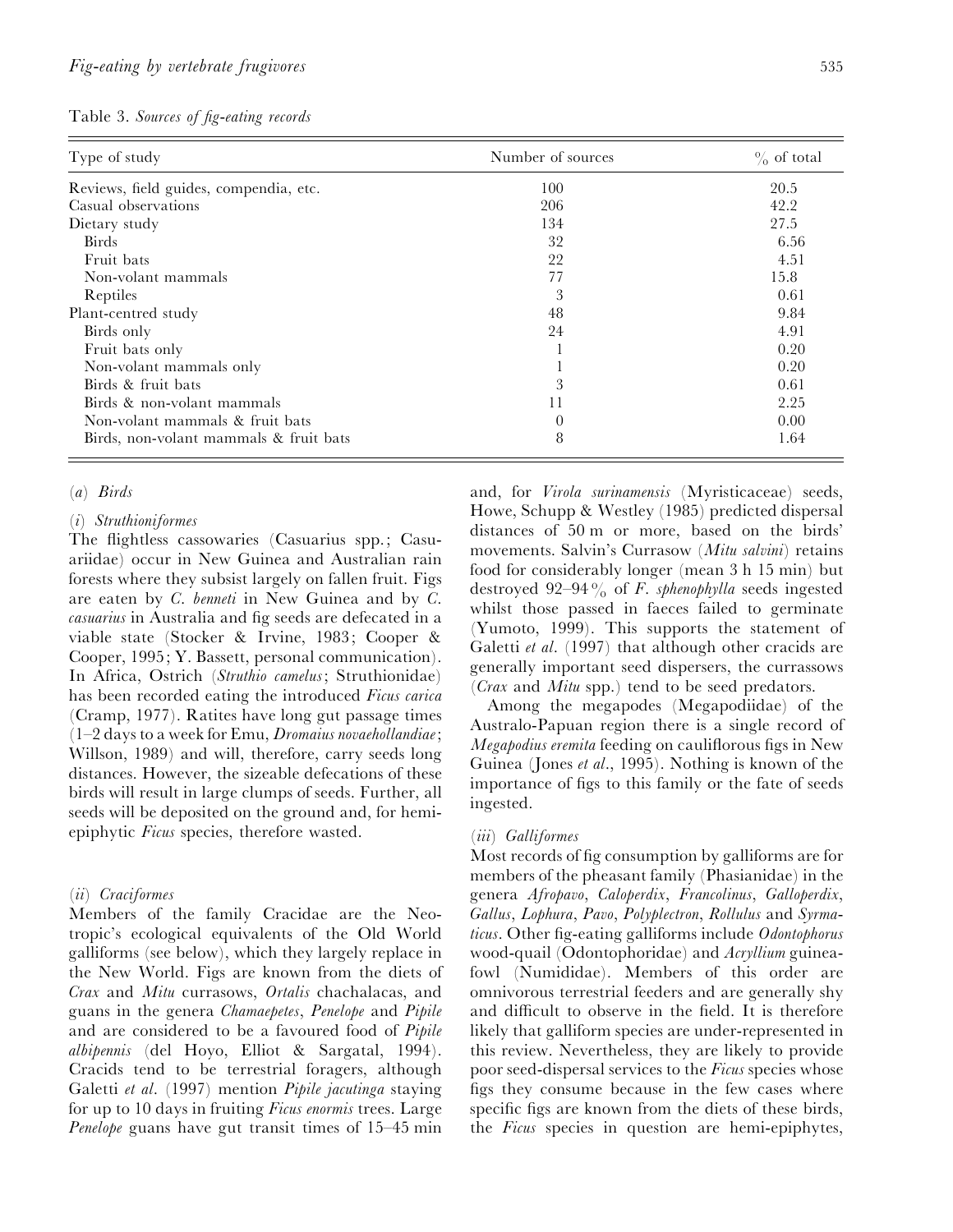Table 3. *Sources of fig*-*eating records*

| Type of study                          | Number of sources | $\%$ of total |
|----------------------------------------|-------------------|---------------|
| Reviews, field guides, compendia, etc. | 100               | 20.5          |
| Casual observations                    | 206               | 42.2          |
| Dietary study                          | 134               | 27.5          |
| <b>Birds</b>                           | 32                | 6.56          |
| Fruit bats                             | 22                | 4.51          |
| Non-volant mammals                     | 77                | 15.8          |
| Reptiles                               | 3                 | 0.61          |
| Plant-centred study                    | 48                | 9.84          |
| Birds only                             | 24                | 4.91          |
| Fruit bats only                        |                   | 0.20          |
| Non-volant mammals only                |                   | 0.20          |
| Birds & fruit bats                     | 3                 | 0.61          |
| Birds & non-volant mammals             | 11                | 2.25          |
| Non-volant mammals & fruit bats        | $\Omega$          | 0.00          |
| Birds, non-volant mammals & fruit bats | 8                 | 1.64          |

#### (*a*) *Birds*

#### (*i*) *Struthioniformes*

The flightless cassowaries (Casuarius spp.; Casuariidae) occur in New Guinea and Australian rain forests where they subsist largely on fallen fruit. Figs are eaten by *C*. *benneti* in New Guinea and by *C*. *casuarius* in Australia and fig seeds are defecated in a viable state (Stocker & Irvine, 1983; Cooper & Cooper, 1995; Y. Bassett, personal communication). In Africa, Ostrich (*Struthio camelus*; Struthionidae) has been recorded eating the introduced *Ficus carica* (Cramp, 1977). Ratites have long gut passage times (1–2 days to a week for Emu, *Dromaius novaehollandiae*; Willson, 1989) and will, therefore, carry seeds long distances. However, the sizeable defecations of these birds will result in large clumps of seeds. Further, all seeds will be deposited on the ground and, for hemiepiphytic *Ficus* species, therefore wasted.

#### (*ii*) *Craciformes*

Members of the family Cracidae are the Neotropic's ecological equivalents of the Old World galliforms (see below), which they largely replace in the New World. Figs are known from the diets of *Crax* and *Mitu* currasows, *Ortalis* chachalacas, and guans in the genera *Chamaepetes*, *Penelope* and *Pipile* and are considered to be a favoured food of *Pipile albipennis* (del Hoyo, Elliot & Sargatal, 1994). Cracids tend to be terrestrial foragers, although Galetti *et al*. (1997) mention *Pipile jacutinga* staying for up to 10 days in fruiting *Ficus enormis* trees. Large *Penelope* guans have gut transit times of 15–45 min and, for *Virola surinamensis* (Myristicaceae) seeds, Howe, Schupp & Westley (1985) predicted dispersal distances of 50 m or more, based on the birds' movements. Salvin's Currasow (*Mitu salvini*) retains food for considerably longer (mean 3 h 15 min) but destroyed 92–94% of *F*. *sphenophylla* seeds ingested whilst those passed in faeces failed to germinate (Yumoto, 1999). This supports the statement of Galetti *et al*. (1997) that although other cracids are generally important seed dispersers, the currassows (*Crax* and *Mitu* spp.) tend to be seed predators.

Among the megapodes (Megapodiidae) of the Australo-Papuan region there is a single record of *Megapodius eremita* feeding on cauliflorous figs in New Guinea (Jones *et al*., 1995). Nothing is known of the importance of figs to this family or the fate of seeds ingested.

#### (*iii*) *Galliformes*

Most records of fig consumption by galliforms are for members of the pheasant family (Phasianidae) in the genera *Afropavo*, *Caloperdix*, *Francolinus*, *Galloperdix*, *Gallus*, *Lophura*, *Pavo*, *Polyplectron*, *Rollulus* and *Syrmaticus*. Other fig-eating galliforms include *Odontophorus* wood-quail (Odontophoridae) and *Acryllium* guineafowl (Numididae). Members of this order are omnivorous terrestrial feeders and are generally shy and difficult to observe in the field. It is therefore likely that galliform species are under-represented in this review. Nevertheless, they are likely to provide poor seed-dispersal services to the *Ficus* species whose figs they consume because in the few cases where specific figs are known from the diets of these birds, the *Ficus* species in question are hemi-epiphytes,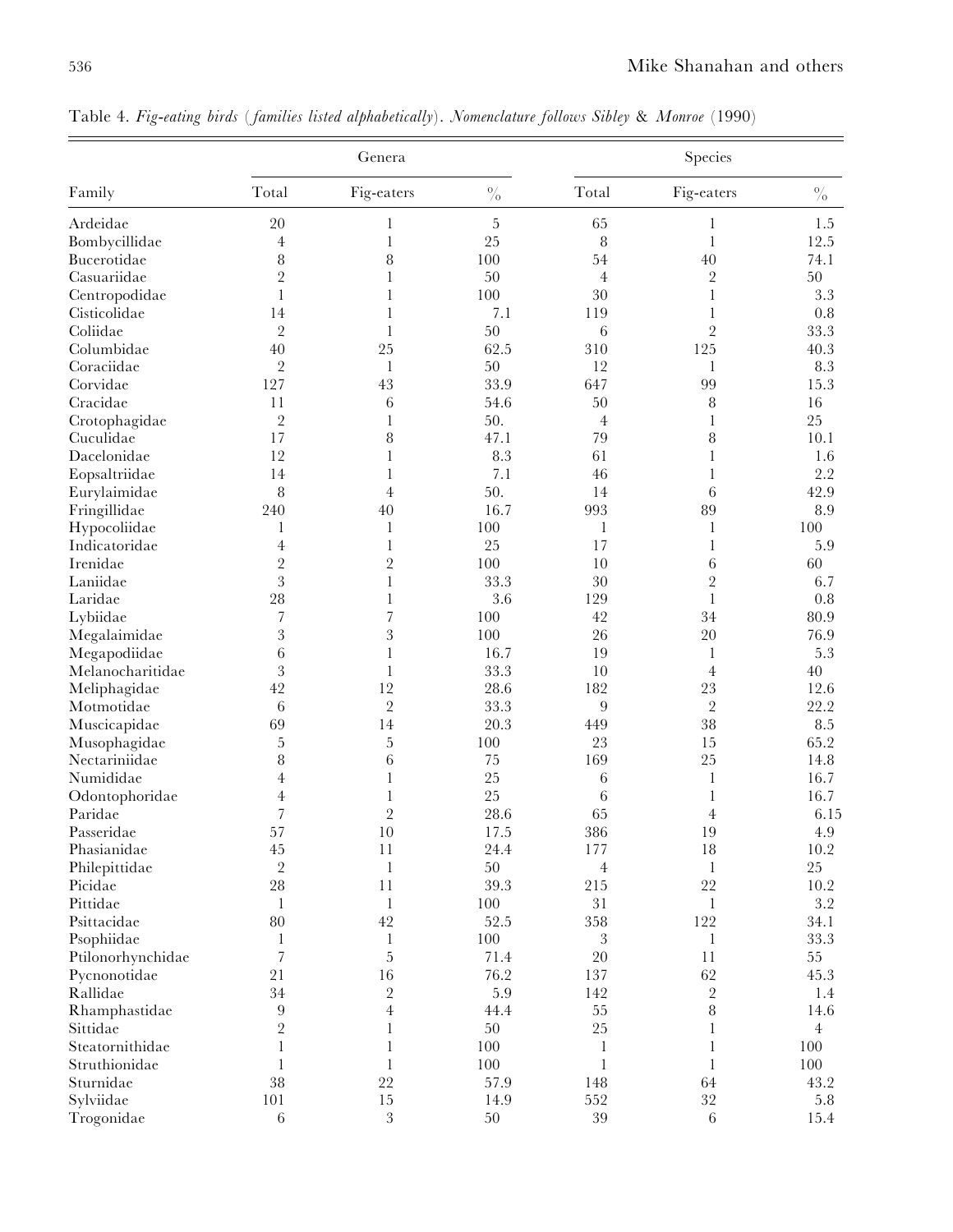|                   |                          | Genera         |                           |                | Species        |                           |
|-------------------|--------------------------|----------------|---------------------------|----------------|----------------|---------------------------|
| Family            | Total                    | Fig-eaters     | $\sqrt[0]{\phantom{.}}_0$ | Total          | Fig-eaters     | $\sqrt[0]{\phantom{.}}_0$ |
| Ardeidae          | 20                       | 1              | 5                         | 65             | 1              | 1.5                       |
| Bombycillidae     | 4                        | 1              | 25                        | 8              | 1              | 12.5                      |
| Bucerotidae       | 8                        | 8              | 100                       | 54             | 40             | 74.1                      |
| Casuariidae       | $\overline{2}$           |                | $50\,$                    | $\overline{4}$ | $\overline{2}$ | 50                        |
| Centropodidae     | 1                        |                | 100                       | 30             |                | 3.3                       |
| Cisticolidae      | 14                       |                | 7.1                       | 119            | 1              | 0.8                       |
| Coliidae          | $\overline{2}$           | 1              | 50                        | 6              | $\overline{2}$ | 33.3                      |
| Columbidae        | 40                       | 25             | 62.5                      | 310            | 125            | 40.3                      |
| Coraciidae        | $\overline{2}$           | 1              | 50                        | 12             | 1              | 8.3                       |
| Corvidae          | 127                      | 43             | 33.9                      | 647            | 99             | 15.3                      |
| Cracidae          | 11                       | 6              | 54.6                      | 50             | 8              | 16                        |
| Crotophagidae     | $\overline{2}$           | 1              | 50.                       | $\overline{4}$ |                | 25                        |
| Cuculidae         | 17                       | 8              | 47.1                      | 79             | 8              | 10.1                      |
| Dacelonidae       | 12                       | 1              | 8.3                       | 61             | 1              | 1.6                       |
| Eopsaltriidae     | 14                       |                | 7.1                       | 46             | 1              | 2.2                       |
| Eurylaimidae      | 8                        | 4              | 50.                       | 14             | 6              | 42.9                      |
| Fringillidae      | 240                      | 40             | 16.7                      | 993            | 89             | 8.9                       |
| Hypocoliidae      | 1                        | 1              | 100                       | 1              | 1              | 100                       |
| Indicatoridae     | 4                        | 1              | 25                        | 17             | 1              | 5.9                       |
| Irenidae          | $\overline{2}$           | $\overline{2}$ | 100                       | 10             | 6              | 60                        |
| Laniidae          | 3                        | 1              | 33.3                      | 30             | $\overline{2}$ | 6.7                       |
| Laridae           | 28                       | 1              | 3.6                       | 129            | $\mathbf{1}$   | $0.8\,$                   |
| Lybiidae          | $\sqrt{ }$               | 7              | 100                       | 42             | 34             | 80.9                      |
| Megalaimidae      | 3                        | 3              | 100                       | 26             | 20             | 76.9                      |
| Megapodiidae      | 6                        | 1              | 16.7                      | 19             | 1              | 5.3                       |
| Melanocharitidae  | 3                        | 1              | 33.3                      | 10             | 4              | 40                        |
| Meliphagidae      | 42                       | 12             | 28.6                      | 182            | 23             | 12.6                      |
| Motmotidae        | 6                        | $\overline{2}$ | 33.3                      | $\overline{9}$ | $\overline{2}$ | 22.2                      |
| Muscicapidae      | 69                       | 14             | 20.3                      | 449            | 38             | 8.5                       |
| Musophagidae      | 5                        | 5              | 100                       | 23             | 15             | 65.2                      |
| Nectariniidae     | 8                        | 6              | 75                        | 169            | 25             | 14.8                      |
| Numididae         | 4                        | 1              | 25                        | 6              | 1              | 16.7                      |
| Odontophoridae    | 4                        | 1              | 25                        | 6              | 1              | 16.7                      |
| Paridae           | 7                        | $\overline{2}$ | 28.6                      | 65             | $\overline{4}$ | 6.15                      |
| Passeridae        | 57                       | $10\,$         | 17.5                      | 386            | 19             | 4.9                       |
| Phasianidae       | 45                       | 11             | 24.4                      | 177            | 18             | 10.2                      |
| Philepittidae     | $\overline{2}$           | 1              | $50\,$                    | $\overline{4}$ | -1             | 25                        |
| Picidae           | $\sqrt{28}$              | 11             | 39.3                      | 215            | 22             | 10.2                      |
| Pittidae          | 1                        | 1              | $100\,$                   | 31             | 1              | 3.2                       |
| Psittacidae       | 80                       | 42             | 52.5                      | 358            | 122            | 34.1                      |
| Psophiidae        | $\mathbf{1}$             | 1              | 100                       | 3              | 1              | 33.3                      |
| Ptilonorhynchidae | $\overline{\phantom{a}}$ | 5              | 71.4                      | $20\,$         | 11             | 55                        |
| Pycnonotidae      | 21                       | 16             | 76.2                      | 137            | 62             | 45.3                      |
| Rallidae          | 34                       | $\sqrt{2}$     | 5.9                       | 142            | $\sqrt{2}$     | 1.4                       |
| Rhamphastidae     | $\overline{9}$           | $\overline{4}$ | 44.4                      | 55             | 8              | 14.6                      |
| Sittidae          | $\overline{2}$           |                | $50\,$                    | 25             |                | $\overline{4}$            |
| Steatornithidae   | 1                        |                | 100                       | 1              |                | 100                       |
| Struthionidae     | 1                        |                | 100                       | $\mathbf{1}$   |                | 100                       |
| Sturnidae         | 38                       | 22             | 57.9                      | 148            | 64             | 43.2                      |
| Sylviidae         | 101                      | 15             | 14.9                      | 552            | $32\,$         | 5.8                       |
| Trogonidae        | $\,6\,$                  | 3              | 50                        | 39             | $\,6\,$        | 15.4                      |

Table 4. *Fig*-*eating birds* (*families listed alphabetically*). *Nomenclature follows Sibley* & *Monroe* (1990)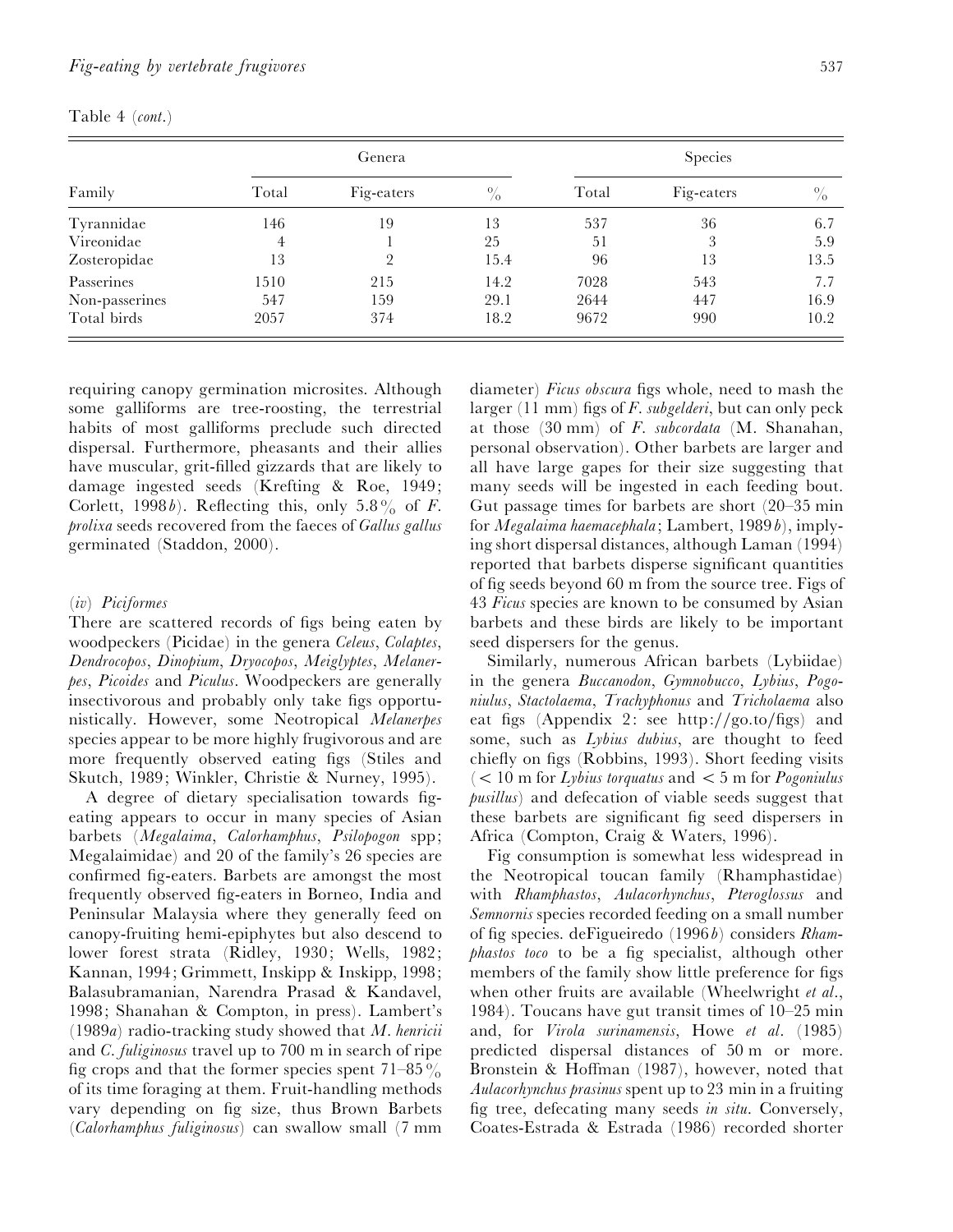| Table 4 $(\text{\textit{cont.}})$ |  |
|-----------------------------------|--|
|-----------------------------------|--|

|                | Genera |            |               | <b>Species</b> |            |               |
|----------------|--------|------------|---------------|----------------|------------|---------------|
| Family         | Total  | Fig-eaters | $\frac{0}{0}$ | Total          | Fig-eaters | $\frac{0}{0}$ |
| Tyrannidae     | 146    | 19         | 13            | 537            | 36         | 6.7           |
| Vireonidae     | 4      |            | 25            | 51             | 3          | 5.9           |
| Zosteropidae   | 13     | $\Omega$   | 15.4          | 96             | 13         | 13.5          |
| Passerines     | 1510   | 215        | 14.2          | 7028           | 543        | 7.7           |
| Non-passerines | 547    | 159        | 29.1          | 2644           | 447        | 16.9          |
| Total birds    | 2057   | 374        | 18.2          | 9672           | 990        | 10.2          |

requiring canopy germination microsites. Although some galliforms are tree-roosting, the terrestrial habits of most galliforms preclude such directed dispersal. Furthermore, pheasants and their allies have muscular, grit-filled gizzards that are likely to damage ingested seeds (Krefting & Roe, 1949; Corlett, 1998*b*). Reflecting this, only 5.8% of *F*. *prolixa* seeds recovered from the faeces of *Gallus gallus* germinated (Staddon, 2000).

#### (*iv*) *Piciformes*

There are scattered records of figs being eaten by woodpeckers (Picidae) in the genera *Celeus*, *Colaptes*, *Dendrocopos*, *Dinopium*, *Dryocopos*, *Meiglyptes*, *Melanerpes*, *Picoides* and *Piculus*. Woodpeckers are generally insectivorous and probably only take figs opportunistically. However, some Neotropical *Melanerpes* species appear to be more highly frugivorous and are more frequently observed eating figs (Stiles and Skutch, 1989; Winkler, Christie & Nurney, 1995).

A degree of dietary specialisation towards figeating appears to occur in many species of Asian barbets (*Megalaima*, *Calorhamphus*, *Psilopogon* spp; Megalaimidae) and 20 of the family's 26 species are confirmed fig-eaters. Barbets are amongst the most frequently observed fig-eaters in Borneo, India and Peninsular Malaysia where they generally feed on canopy-fruiting hemi-epiphytes but also descend to lower forest strata (Ridley, 1930; Wells, 1982; Kannan, 1994; Grimmett, Inskipp & Inskipp, 1998; Balasubramanian, Narendra Prasad & Kandavel, 1998; Shanahan & Compton, in press). Lambert's (1989*a*) radio-tracking study showed that *M*. *henricii* and *C*. *fuliginosus* travel up to 700 m in search of ripe fig crops and that the former species spent  $71-85\%$ of its time foraging at them. Fruit-handling methods vary depending on fig size, thus Brown Barbets (*Calorhamphus fuliginosus*) can swallow small (7 mm

diameter) *Ficus obscura* figs whole, need to mash the larger (11 mm) figs of *F*. *subgelderi*, but can only peck at those (30 mm) of *F*. *subcordata* (M. Shanahan, personal observation). Other barbets are larger and all have large gapes for their size suggesting that many seeds will be ingested in each feeding bout. Gut passage times for barbets are short (20–35 min for *Megalaima haemacephala*; Lambert, 1989*b*), implying short dispersal distances, although Laman (1994) reported that barbets disperse significant quantities of fig seeds beyond 60 m from the source tree. Figs of 43 *Ficus* species are known to be consumed by Asian barbets and these birds are likely to be important seed dispersers for the genus.

Similarly, numerous African barbets (Lybiidae) in the genera *Buccanodon*, *Gymnobucco*, *Lybius*, *Pogoniulus*, *Stactolaema*, *Trachyphonus* and *Tricholaema* also eat figs (Appendix 2: see http://go.to/figs) and some, such as *Lybius dubius*, are thought to feed chiefly on figs (Robbins, 1993). Short feeding visits  $(< 10 \text{ m}$  for *Lybius torquatus* and  $< 5 \text{ m}$  for *Pogoniulus pusillus*) and defecation of viable seeds suggest that these barbets are significant fig seed dispersers in Africa (Compton, Craig & Waters, 1996).

Fig consumption is somewhat less widespread in the Neotropical toucan family (Rhamphastidae) with *Rhamphastos*, *Aulacorhynchus*, *Pteroglossus* and *Semnornis* species recorded feeding on a small number of fig species. deFigueiredo (1996*b*) considers *Rhamphastos toco* to be a fig specialist, although other members of the family show little preference for figs when other fruits are available (Wheelwright *et al*., 1984). Toucans have gut transit times of 10–25 min and, for *Virola surinamensis*, Howe *et al*. (1985) predicted dispersal distances of 50 m or more. Bronstein & Hoffman (1987), however, noted that *Aulacorhynchus prasinus* spent up to 23 min in a fruiting fig tree, defecating many seeds *in situ*. Conversely, Coates-Estrada & Estrada (1986) recorded shorter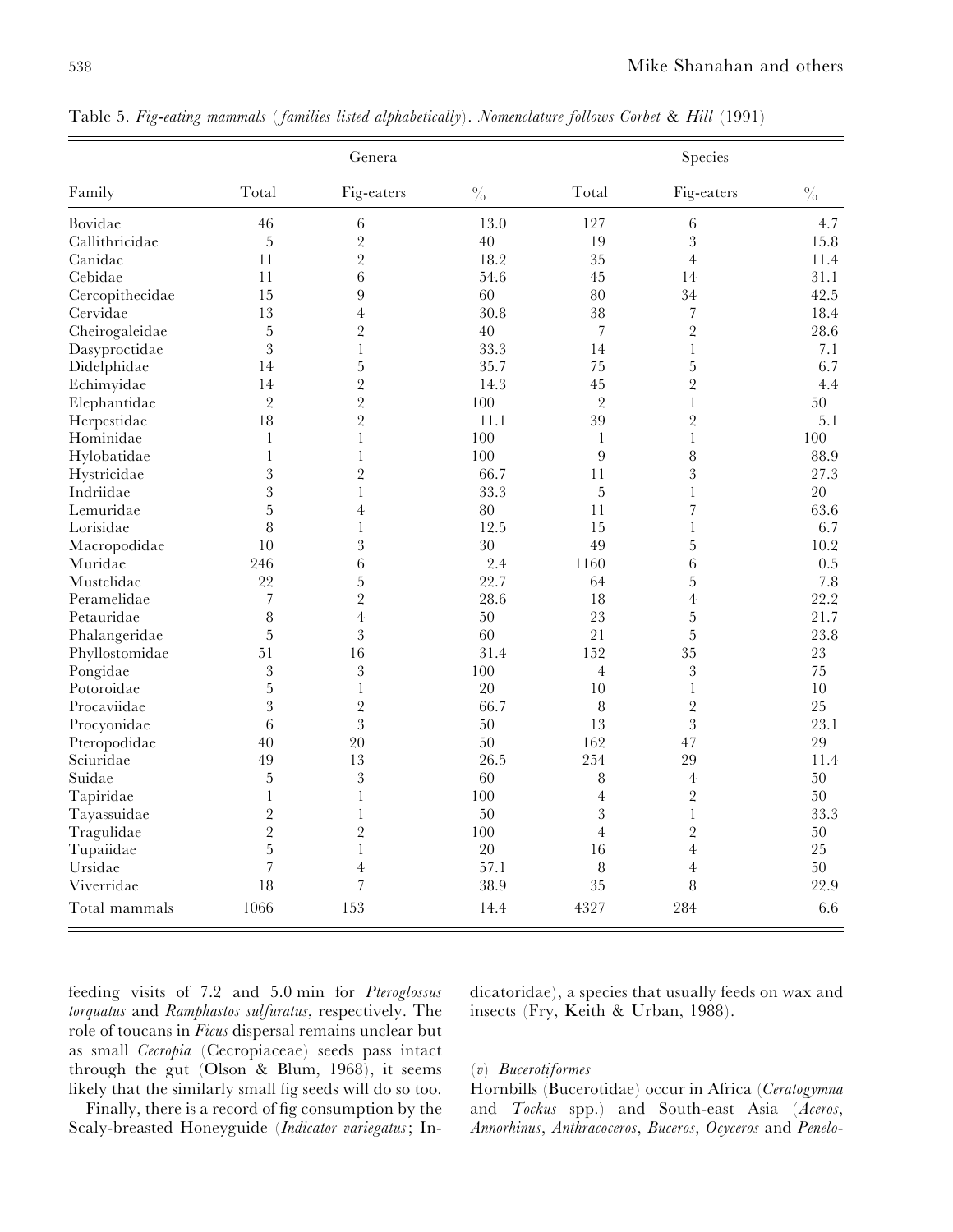|                 |                          | Genera         |               | Species        |                |               |  |
|-----------------|--------------------------|----------------|---------------|----------------|----------------|---------------|--|
| Family          | Total                    | Fig-eaters     | $\frac{0}{0}$ | Total          | Fig-eaters     | $\frac{0}{0}$ |  |
| Bovidae         | 46                       | $\,6\,$        | 13.0          | 127            | 6              | 4.7           |  |
| Callithricidae  | $\overline{5}$           | $\sqrt{2}$     | 40            | 19             | $\sqrt{3}$     | 15.8          |  |
| Canidae         | 11                       | $\overline{2}$ | 18.2          | 35             | $\overline{4}$ | 11.4          |  |
| Cebidae         | 11                       | 6              | 54.6          | 45             | 14             | 31.1          |  |
| Cercopithecidae | 15                       | 9              | 60            | 80             | 34             | 42.5          |  |
| Cervidae        | 13                       | $\overline{4}$ | 30.8          | 38             | $\overline{7}$ | 18.4          |  |
| Cheirogaleidae  | 5                        | $\overline{2}$ | 40            | $\overline{7}$ | $\overline{2}$ | 28.6          |  |
| Dasyproctidae   | 3                        | $\mathbf{1}$   | 33.3          | 14             | $\mathbf{1}$   | 7.1           |  |
| Didelphidae     | 14                       | 5              | 35.7          | 75             | $\overline{5}$ | 6.7           |  |
| Echimyidae      | 14                       | $\overline{2}$ | 14.3          | 45             | $\overline{2}$ | 4.4           |  |
| Elephantidae    | $\overline{2}$           | $\overline{2}$ | 100           | $\overline{2}$ | $\bf{l}$       | 50            |  |
| Herpestidae     | 18                       | $\sqrt{2}$     | 11.1          | 39             | $\sqrt{2}$     | 5.1           |  |
| Hominidae       | 1                        | 1              | 100           | 1              | $\mathbf{1}$   | 100           |  |
| Hylobatidae     | 1                        | $\mathbf{1}$   | 100           | 9              | 8              | 88.9          |  |
| Hystricidae     | 3                        | $\overline{2}$ | 66.7          | 11             | 3              | 27.3          |  |
| Indriidae       | 3                        | $\mathbf{1}$   | 33.3          | 5              | $\mathbf{1}$   | 20            |  |
| Lemuridae       | 5                        | $\overline{4}$ | 80            | 11             | 7              | 63.6          |  |
| Lorisidae       | $\, 8$                   | $\mathbf{1}$   | 12.5          | 15             | $\mathbf{1}$   | 6.7           |  |
| Macropodidae    | 10                       | 3              | 30            | 49             | 5              | 10.2          |  |
| Muridae         | 246                      | 6              | 2.4           | 1160           | 6              | 0.5           |  |
| Mustelidae      | 22                       | $\overline{5}$ | 22.7          | 64             | 5              | 7.8           |  |
| Peramelidae     | $\overline{\phantom{a}}$ | $\overline{2}$ | 28.6          | 18             | $\overline{4}$ | 22.2          |  |
| Petauridae      | 8                        | $\overline{4}$ | 50            | 23             | $\overline{5}$ | 21.7          |  |
| Phalangeridae   | $\overline{5}$           | 3              | 60            | 21             | $\overline{5}$ | 23.8          |  |
| Phyllostomidae  | 51                       | 16             | 31.4          | 152            | 35             | 23            |  |
| Pongidae        | 3                        | $\overline{3}$ | 100           | $\overline{4}$ | 3              | 75            |  |
| Potoroidae      | $\overline{5}$           | $\mathbf{1}$   | 20            | 10             | $\mathbf{1}$   | 10            |  |
| Procaviidae     | 3                        | $\overline{2}$ | 66.7          | $\, 8$         | $\overline{2}$ | 25            |  |
| Procyonidae     | 6                        | 3              | 50            | 13             | 3              | 23.1          |  |
| Pteropodidae    | 40                       | 20             | 50            | 162            | 47             | 29            |  |
| Sciuridae       | 49                       | 13             | 26.5          | 254            | 29             | 11.4          |  |
| Suidae          | 5                        | $\mathfrak{Z}$ | 60            | 8              | $\overline{4}$ | 50            |  |
| Tapiridae       | 1                        | $\mathbf{l}$   | 100           | $\overline{4}$ | $\overline{2}$ | 50            |  |
| Tayassuidae     | $\overline{2}$           | $\mathbf{1}$   | 50            | 3              | $\bf{l}$       | 33.3          |  |
| Tragulidae      | $\overline{2}$           | $\overline{2}$ | 100           | $\overline{4}$ | $\overline{2}$ | 50            |  |
| Tupaiidae       | 5                        | $\mathbf{1}$   | 20            | 16             | $\overline{4}$ | 25            |  |
| Ursidae         | $\overline{7}$           | $\overline{4}$ | 57.1          | 8              | $\overline{4}$ | 50            |  |
| Viverridae      | 18                       | $\overline{7}$ | 38.9          | 35             | 8              | 22.9          |  |
| Total mammals   | 1066                     | 153            | 14.4          | 4327           | 284            | 6.6           |  |

Table 5. *Fig*-*eating mammals* (*families listed alphabetically*). *Nomenclature follows Corbet* & *Hill* (1991)

feeding visits of 7.2 and 5.0 min for *Pteroglossus torquatus* and *Ramphastos sulfuratus*, respectively. The role of toucans in *Ficus* dispersal remains unclear but as small *Cecropia* (Cecropiaceae) seeds pass intact through the gut (Olson & Blum, 1968), it seems likely that the similarly small fig seeds will do so too. dicatoridae), a species that usually feeds on wax and insects (Fry, Keith & Urban, 1988).

#### (*v*) *Bucerotiformes*

Hornbills (Bucerotidae) occur in Africa (*Ceratogymna* and *Tockus* spp.) and South-east Asia (*Aceros*, *Annorhinus*, *Anthracoceros*, *Buceros*, *Ocyceros* and *Penelo*-

Finally, there is a record of fig consumption by the Scaly-breasted Honeyguide (*Indicator variegatus*; In-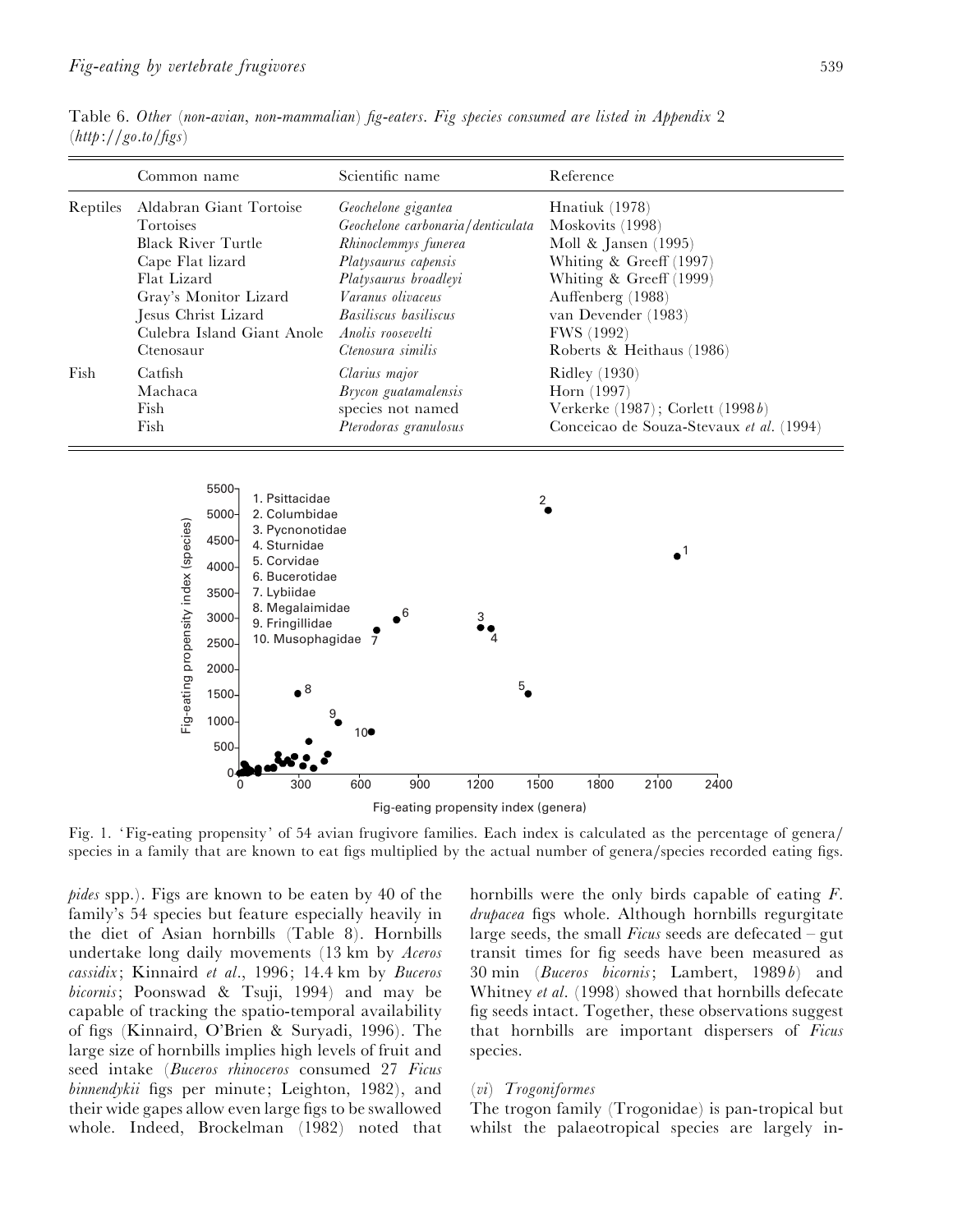| Common name                | Scientific name                   | Reference                                |
|----------------------------|-----------------------------------|------------------------------------------|
| Aldabran Giant Tortoise    | Geochelone gigantea               | Hnatiuk (1978)                           |
| Tortoises                  | Geochelone carbonaria/denticulata | Moskovits (1998)                         |
| <b>Black River Turtle</b>  | Rhinoclemmys funerea              | Moll & Jansen $(1995)$                   |
| Cape Flat lizard           | Platysaurus capensis              | Whiting & Greeff $(1997)$                |
| Flat Lizard                | Platysaurus broadleyi             | Whiting & Greeff (1999)                  |
| Gray's Monitor Lizard      | Varanus olivaceus                 | Auffenberg (1988)                        |
| Jesus Christ Lizard        | Basiliscus basiliscus             | van Devender (1983)                      |
| Culebra Island Giant Anole | Anolis roosevelti                 | FWS (1992)                               |
| Ctenosaur                  | Ctenosura similis                 | Roberts & Heithaus (1986)                |
| Catfish                    | Clarius major                     | <b>Ridley</b> (1930)                     |
| Machaca                    |                                   | Horn $(1997)$                            |
| Fish                       | species not named                 | Verkerke (1987); Corlett (1998b)         |
| Fish                       | Pterodoras granulosus             | Conceicao de Souza-Stevaux et al. (1994) |
|                            |                                   | Brycon guatamalensis                     |

Table 6. *Other* (*non*-*avian*, *non*-*mammalian*) *fig*-*eaters*. *Fig species consumed are listed in Appendix* 2 (*http*:}}*go*.*to*}*figs*)



Fig. 1. 'Fig-eating propensity' of 54 avian frugivore families. Each index is calculated as the percentage of genera/ species in a family that are known to eat figs multiplied by the actual number of genera/species recorded eating figs.

*pides* spp.). Figs are known to be eaten by 40 of the family's 54 species but feature especially heavily in the diet of Asian hornbills (Table 8). Hornbills undertake long daily movements (13 km by *Aceros cassidix*; Kinnaird *et al*., 1996; 14±4 km by *Buceros bicornis*; Poonswad & Tsuji, 1994) and may be capable of tracking the spatio-temporal availability of figs (Kinnaird, O'Brien & Suryadi, 1996). The large size of hornbills implies high levels of fruit and seed intake (*Buceros rhinoceros* consumed 27 *Ficus binnendykii* figs per minute; Leighton, 1982), and their wide gapes allow even large figs to be swallowed whole. Indeed, Brockelman (1982) noted that hornbills were the only birds capable of eating *F*. *drupacea* figs whole. Although hornbills regurgitate large seeds, the small *Ficus* seeds are defecated – gut transit times for fig seeds have been measured as 30 min (*Buceros bicornis*; Lambert, 1989*b*) and Whitney *et al*. (1998) showed that hornbills defecate fig seeds intact. Together, these observations suggest that hornbills are important dispersers of *Ficus* species.

#### (*vi*) *Trogoniformes*

The trogon family (Trogonidae) is pan-tropical but whilst the palaeotropical species are largely in-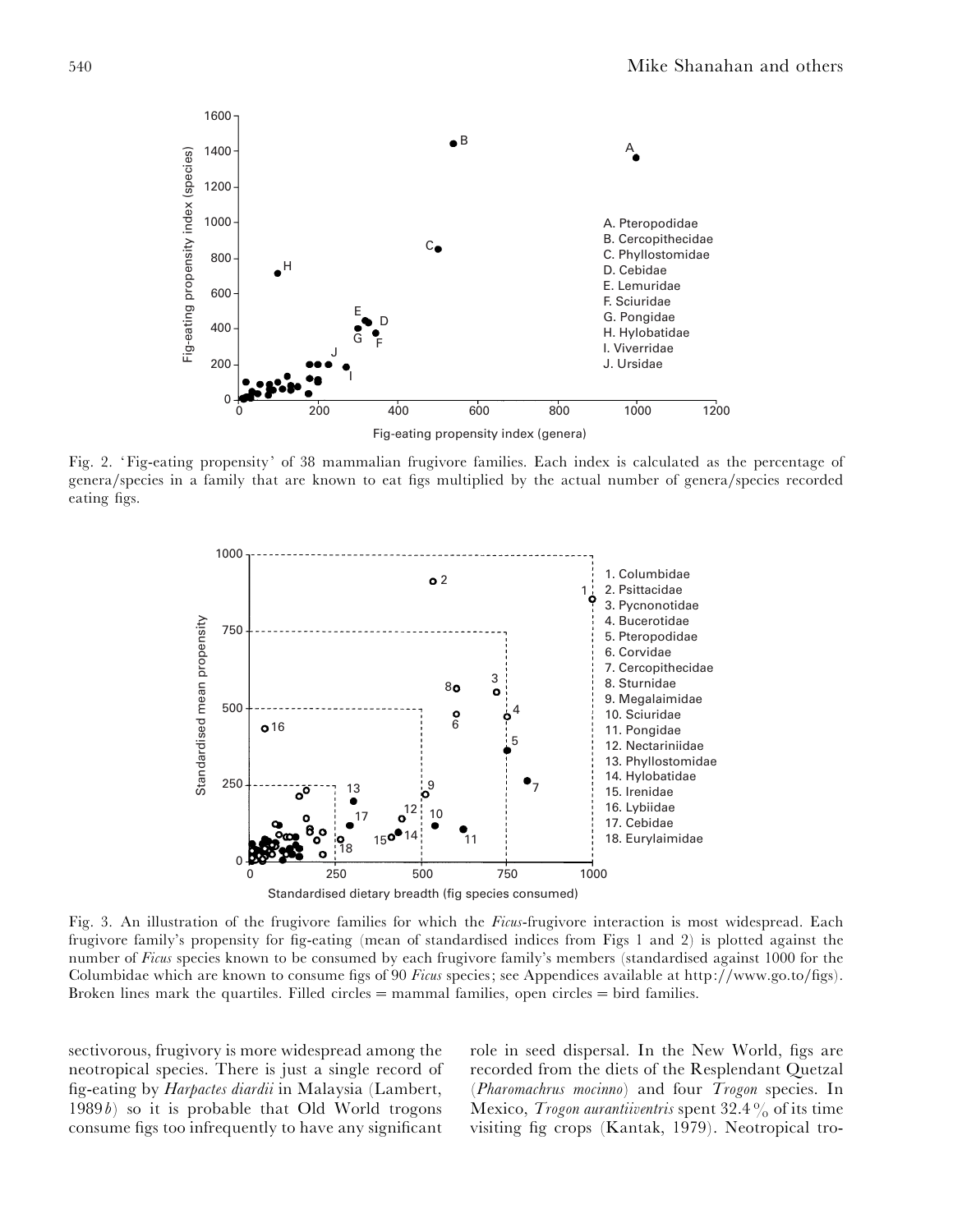

Fig. 2. 'Fig-eating propensity' of 38 mammalian frugivore families. Each index is calculated as the percentage of genera/species in a family that are known to eat figs multiplied by the actual number of genera/species recorded eating figs.



Fig. 3. An illustration of the frugivore families for which the *Ficus*-frugivore interaction is most widespread. Each frugivore family's propensity for fig-eating (mean of standardised indices from Figs 1 and 2) is plotted against the number of *Ficus* species known to be consumed by each frugivore family's members (standardised against 1000 for the Columbidae which are known to consume figs of 90 *Ficus* species; see Appendices available at http:}}www.go.to}figs). Broken lines mark the quartiles. Filled circles  $=$  mammal families, open circles  $=$  bird families.

sectivorous, frugivory is more widespread among the neotropical species. There is just a single record of fig-eating by *Harpactes diardii* in Malaysia (Lambert, 1989*b*) so it is probable that Old World trogons consume figs too infrequently to have any significant role in seed dispersal. In the New World, figs are recorded from the diets of the Resplendant Quetzal (*Pharomachrus mocinno*) and four *Trogon* species. In Mexico, *Trogon aurantiiventris* spent 32.4% of its time visiting fig crops (Kantak, 1979). Neotropical tro-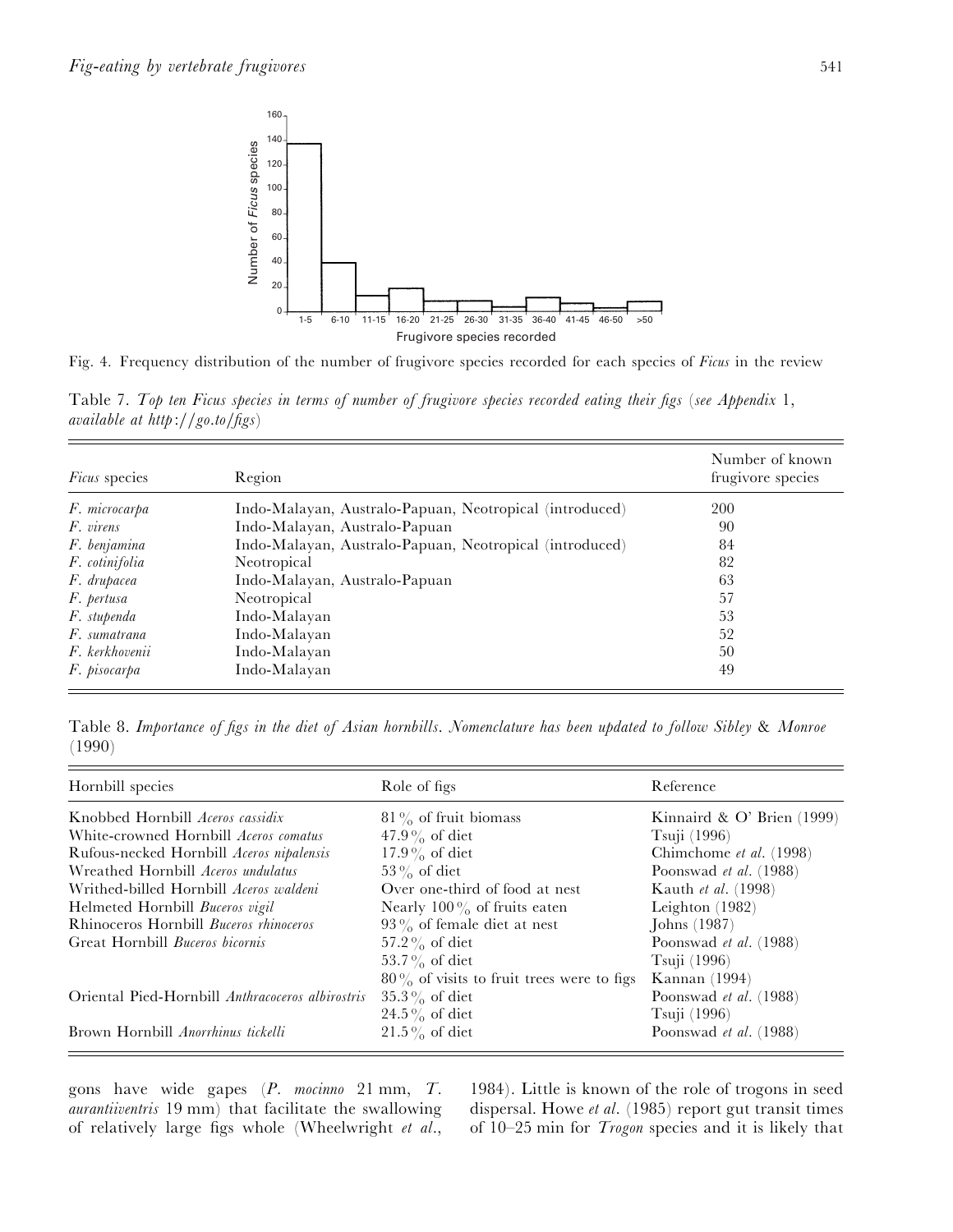

Fig. 4. Frequency distribution of the number of frugivore species recorded for each species of *Ficus* in the review

Table 7. *Top ten Ficus species in terms of number of frugivore species recorded eating their figs* (*see Appendix* 1, *available at http*:}}*go*.*to*}*figs*)

| <i>Ficus</i> species | Region                                                  | Number of known<br>frugivore species |
|----------------------|---------------------------------------------------------|--------------------------------------|
| F. microcarpa        | Indo-Malayan, Australo-Papuan, Neotropical (introduced) | 200                                  |
| F. virens            | Indo-Malayan, Australo-Papuan                           | 90                                   |
| F. benjamina         | Indo-Malayan, Australo-Papuan, Neotropical (introduced) | 84                                   |
| F. cotinifolia       | Neotropical                                             | 82                                   |
| F. drupacea          | Indo-Malayan, Australo-Papuan                           | 63                                   |
| F. pertusa           | Neotropical                                             | 57                                   |
| F. stupenda          | Indo-Malayan                                            | 53                                   |
| F. sumatrana         | Indo-Malayan                                            | 52                                   |
| F. kerkhovenii       | Indo-Malayan                                            | 50                                   |
| F. pisocarpa         | Indo-Malayan                                            | 49                                   |

Table 8. *Importance of figs in the diet of Asian hornbills*. *Nomenclature has been updated to follow Sibley* & *Monroe* (1990)

| Hornbill species                                 | Role of figs                                 | Reference                    |  |  |
|--------------------------------------------------|----------------------------------------------|------------------------------|--|--|
| Knobbed Hornbill Aceros cassidix                 | $81\%$ of fruit biomass                      | Kinnaird & O' Brien $(1999)$ |  |  |
| White-crowned Hornbill <i>Aceros comatus</i>     | 47.9% of diet                                | Tsuji (1996)                 |  |  |
| Rufous-necked Hornbill Aceros nipalensis         | 17.9% of diet                                | Chimchome et al. (1998)      |  |  |
| Wreathed Hornbill Aceros undulatus               | $53\%$ of diet                               | Poonswad et al. (1988)       |  |  |
| Writhed-billed Hornbill Aceros waldeni           | Over one-third of food at nest               | Kauth et al. (1998)          |  |  |
| Helmeted Hornbill Buceros vigil                  | Nearly $100\%$ of fruits eaten               | Leighton (1982)              |  |  |
| Rhinoceros Hornbill Buceros rhinoceros           | $93\%$ of female diet at nest                | Johns (1987)                 |  |  |
| Great Hornbill <i>Buceros bicornis</i>           | 57.2 $\%$ of diet                            | Poonswad et al. (1988)       |  |  |
|                                                  | 53.7% of diet                                | Tsuji (1996)                 |  |  |
|                                                  | $80\%$ of visits to fruit trees were to figs | Kannan $(1994)$              |  |  |
| Oriental Pied-Hornbill Anthracoceros albirostris | $35.3\%$ of diet                             | Poonswad et al. (1988)       |  |  |
|                                                  | 24.5 $\%$ of diet                            | Tsuji (1996)                 |  |  |
| Brown Hornbill Anorrhinus tickelli               | $21.5\%$ of diet                             | Poonswad et al. (1988)       |  |  |

gons have wide gapes (*P*. *mocinno* 21 mm, *T*. *aurantiiventris* 19 mm) that facilitate the swallowing of relatively large figs whole (Wheelwright *et al*.,

1984). Little is known of the role of trogons in seed dispersal. Howe *et al*. (1985) report gut transit times of 10–25 min for *Trogon* species and it is likely that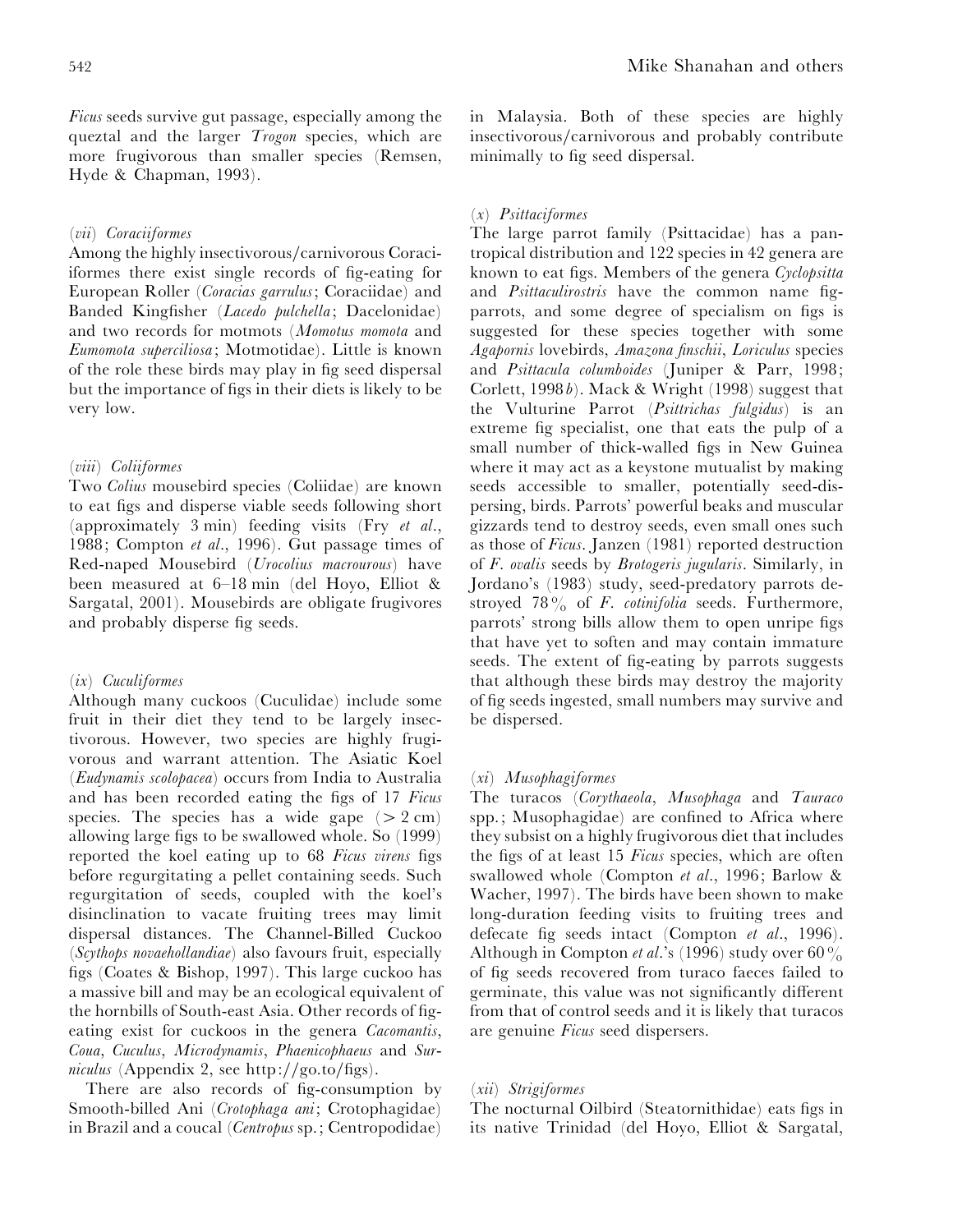*Ficus* seeds survive gut passage, especially among the queztal and the larger *Trogon* species, which are more frugivorous than smaller species (Remsen, Hyde & Chapman, 1993).

#### (*vii*) *Coraciiformes*

Among the highly insectivorous}carnivorous Coraciiformes there exist single records of fig-eating for European Roller (*Coracias garrulus*; Coraciidae) and Banded Kingfisher (*Lacedo pulchella*; Dacelonidae) and two records for motmots (*Momotus momota* and *Eumomota superciliosa*; Motmotidae). Little is known of the role these birds may play in fig seed dispersal but the importance of figs in their diets is likely to be very low.

#### (*viii*) *Coliiformes*

Two *Colius* mousebird species (Coliidae) are known to eat figs and disperse viable seeds following short (approximately 3 min) feeding visits (Fry *et al*., 1988; Compton *et al*., 1996). Gut passage times of Red-naped Mousebird (*Urocolius macrourous*) have been measured at 6–18 min (del Hoyo, Elliot & Sargatal, 2001). Mousebirds are obligate frugivores and probably disperse fig seeds.

#### (*ix*) *Cuculiformes*

Although many cuckoos (Cuculidae) include some fruit in their diet they tend to be largely insectivorous. However, two species are highly frugivorous and warrant attention. The Asiatic Koel (*Eudynamis scolopacea*) occurs from India to Australia and has been recorded eating the figs of 17 *Ficus* species. The species has a wide gape  $(> 2 \text{ cm})$ allowing large figs to be swallowed whole. So (1999) reported the koel eating up to 68 *Ficus virens* figs before regurgitating a pellet containing seeds. Such regurgitation of seeds, coupled with the koel's disinclination to vacate fruiting trees may limit dispersal distances. The Channel-Billed Cuckoo (*Scythops novaehollandiae*) also favours fruit, especially figs (Coates & Bishop, 1997). This large cuckoo has a massive bill and may be an ecological equivalent of the hornbills of South-east Asia. Other records of figeating exist for cuckoos in the genera *Cacomantis*, *Coua*, *Cuculus*, *Microdynamis*, *Phaenicophaeus* and *Sur* $nically$  (Appendix 2, see http://go.to/figs).

There are also records of fig-consumption by Smooth-billed Ani (*Crotophaga ani*; Crotophagidae) in Brazil and a coucal (*Centropus* sp.; Centropodidae)

in Malaysia. Both of these species are highly insectivorous}carnivorous and probably contribute minimally to fig seed dispersal.

### (*x*) *Psittaciformes*

The large parrot family (Psittacidae) has a pantropical distribution and 122 species in 42 genera are known to eat figs. Members of the genera *Cyclopsitta* and *Psittaculirostris* have the common name figparrots, and some degree of specialism on figs is suggested for these species together with some *Agapornis* lovebirds, *Amazona finschii*, *Loriculus* species and *Psittacula columboides* (Juniper & Parr, 1998; Corlett, 1998*b*). Mack & Wright (1998) suggest that the Vulturine Parrot (*Psittrichas fulgidus*) is an extreme fig specialist, one that eats the pulp of a small number of thick-walled figs in New Guinea where it may act as a keystone mutualist by making seeds accessible to smaller, potentially seed-dispersing, birds. Parrots' powerful beaks and muscular gizzards tend to destroy seeds, even small ones such as those of *Ficus*. Janzen (1981) reported destruction of *F*. *ovalis* seeds by *Brotogeris jugularis*. Similarly, in Jordano's (1983) study, seed-predatory parrots destroyed 78% of *F*. *cotinifolia* seeds. Furthermore, parrots' strong bills allow them to open unripe figs that have yet to soften and may contain immature seeds. The extent of fig-eating by parrots suggests that although these birds may destroy the majority of fig seeds ingested, small numbers may survive and be dispersed.

#### (*xi*) *Musophagiformes*

The turacos (*Corythaeola*, *Musophaga* and *Tauraco* spp.; Musophagidae) are confined to Africa where they subsist on a highly frugivorous diet that includes the figs of at least 15 *Ficus* species, which are often swallowed whole (Compton *et al*., 1996; Barlow & Wacher, 1997). The birds have been shown to make long-duration feeding visits to fruiting trees and defecate fig seeds intact (Compton *et al*., 1996). Although in Compton *et al.*'s (1996) study over  $60\%$ of fig seeds recovered from turaco faeces failed to germinate, this value was not significantly different from that of control seeds and it is likely that turacos are genuine *Ficus* seed dispersers.

### (*xii*) *Strigiformes*

The nocturnal Oilbird (Steatornithidae) eats figs in its native Trinidad (del Hoyo, Elliot & Sargatal,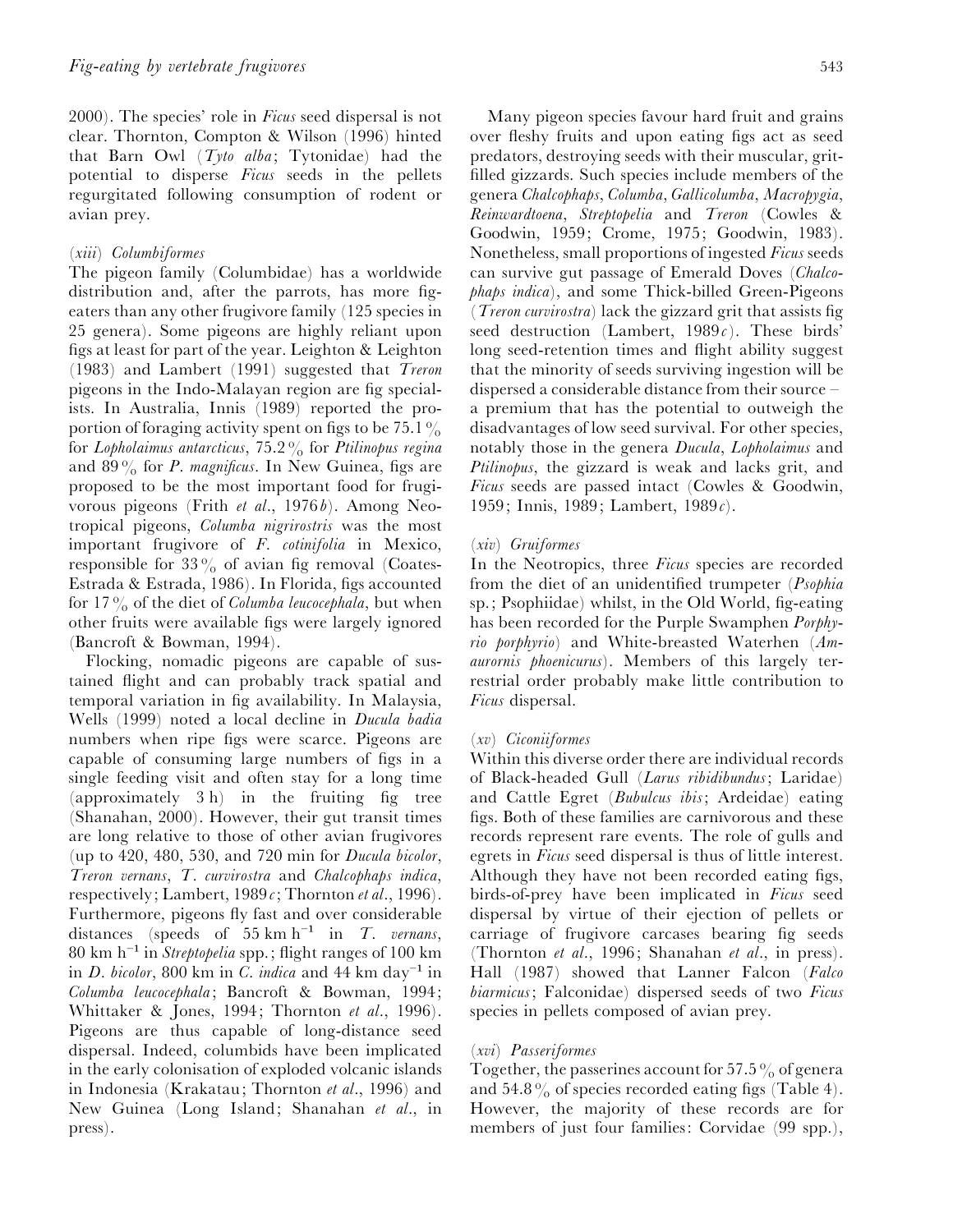2000). The species' role in *Ficus* seed dispersal is not clear. Thornton, Compton & Wilson (1996) hinted that Barn Owl (*Tyto alba*; Tytonidae) had the potential to disperse *Ficus* seeds in the pellets regurgitated following consumption of rodent or avian prey.

#### (*xiii*) *Columbiformes*

The pigeon family (Columbidae) has a worldwide distribution and, after the parrots, has more figeaters than any other frugivore family (125 species in 25 genera). Some pigeons are highly reliant upon figs at least for part of the year. Leighton & Leighton (1983) and Lambert (1991) suggested that *Treron* pigeons in the Indo-Malayan region are fig specialists. In Australia, Innis (1989) reported the proportion of foraging activity spent on figs to be 75.1% for *Lopholaimus antarcticus*, 75±2% for *Ptilinopus regina* and 89% for *P*. *magnificus*. In New Guinea, figs are proposed to be the most important food for frugivorous pigeons (Frith *et al*., 1976*b*). Among Neotropical pigeons, *Columba nigrirostris* was the most important frugivore of *F*. *cotinifolia* in Mexico, responsible for  $33\%$  of avian fig removal (Coates-Estrada & Estrada, 1986). In Florida, figs accounted for 17% of the diet of *Columba leucocephala*, but when other fruits were available figs were largely ignored (Bancroft & Bowman, 1994).

Flocking, nomadic pigeons are capable of sustained flight and can probably track spatial and temporal variation in fig availability. In Malaysia, Wells (1999) noted a local decline in *Ducula badia* numbers when ripe figs were scarce. Pigeons are capable of consuming large numbers of figs in a single feeding visit and often stay for a long time (approximately 3 h) in the fruiting fig tree (Shanahan, 2000). However, their gut transit times are long relative to those of other avian frugivores (up to 420, 480, 530, and 720 min for *Ducula bicolor*, *Treron vernans*, *T*. *curvirostra* and *Chalcophaps indica*, respectively; Lambert, 1989*c*; Thornton *et al*., 1996). Furthermore, pigeons fly fast and over considerable distances (speeds of  $55 \text{ km h}^{-1}$  in *T*. *vernans*, 80 km h−" in *Streptopelia* spp.; flight ranges of 100 km in *D. bicolor*, 800 km in *C. indica* and 44 km day<sup>-1</sup> in *Columba leucocephala*; Bancroft & Bowman, 1994; Whittaker & Jones, 1994; Thornton *et al*., 1996). Pigeons are thus capable of long-distance seed dispersal. Indeed, columbids have been implicated in the early colonisation of exploded volcanic islands in Indonesia (Krakatau; Thornton *et al*., 1996) and New Guinea (Long Island; Shanahan *et al*., in press).

Many pigeon species favour hard fruit and grains over fleshy fruits and upon eating figs act as seed predators, destroying seeds with their muscular, gritfilled gizzards. Such species include members of the genera *Chalcophaps*, *Columba*, *Gallicolumba*, *Macropygia*, *Reinwardtoena*, *Streptopelia* and *Treron* (Cowles & Goodwin, 1959; Crome, 1975; Goodwin, 1983). Nonetheless, small proportions of ingested *Ficus* seeds can survive gut passage of Emerald Doves (*Chalcophaps indica*), and some Thick-billed Green-Pigeons (*Treron curvirostra*) lack the gizzard grit that assists fig seed destruction (Lambert, 1989*c*). These birds' long seed-retention times and flight ability suggest that the minority of seeds surviving ingestion will be dispersed a considerable distance from their source – a premium that has the potential to outweigh the disadvantages of low seed survival. For other species, notably those in the genera *Ducula*, *Lopholaimus* and *Ptilinopus*, the gizzard is weak and lacks grit, and *Ficus* seeds are passed intact (Cowles & Goodwin, 1959; Innis, 1989; Lambert, 1989*c*).

#### (*xiv*) *Gruiformes*

In the Neotropics, three *Ficus* species are recorded from the diet of an unidentified trumpeter (*Psophia* sp.; Psophiidae) whilst, in the Old World, fig-eating has been recorded for the Purple Swamphen *Porphyrio porphyrio*) and White-breasted Waterhen (*Amaurornis phoenicurus*). Members of this largely terrestrial order probably make little contribution to *Ficus* dispersal.

#### (*xv*) *Ciconiiformes*

Within this diverse order there are individual records of Black-headed Gull (*Larus ribidibundus*; Laridae) and Cattle Egret (*Bubulcus ibis*; Ardeidae) eating figs. Both of these families are carnivorous and these records represent rare events. The role of gulls and egrets in *Ficus* seed dispersal is thus of little interest. Although they have not been recorded eating figs, birds-of-prey have been implicated in *Ficus* seed dispersal by virtue of their ejection of pellets or carriage of frugivore carcases bearing fig seeds (Thornton *et al*., 1996; Shanahan *et al*., in press). Hall (1987) showed that Lanner Falcon (*Falco biarmicus*; Falconidae) dispersed seeds of two *Ficus* species in pellets composed of avian prey.

#### (*xvi*) *Passeriformes*

Together, the passerines account for  $57.5\%$  of genera and 54.8% of species recorded eating figs (Table 4). However, the majority of these records are for members of just four families: Corvidae (99 spp.),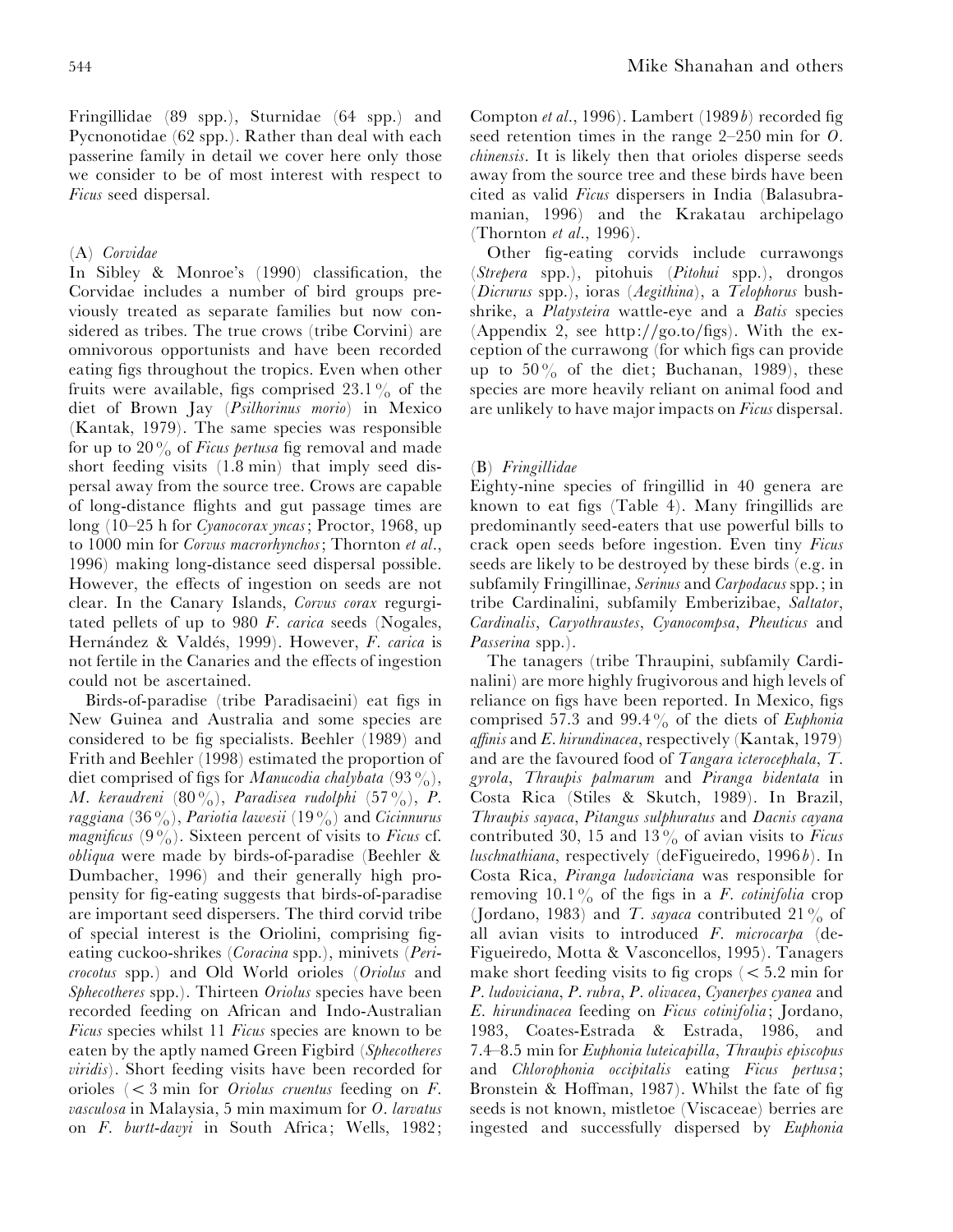Fringillidae (89 spp.), Sturnidae (64 spp.) and Pycnonotidae (62 spp.). Rather than deal with each passerine family in detail we cover here only those we consider to be of most interest with respect to *Ficus* seed dispersal.

#### (A) *Corvidae*

In Sibley & Monroe's (1990) classification, the Corvidae includes a number of bird groups previously treated as separate families but now considered as tribes. The true crows (tribe Corvini) are omnivorous opportunists and have been recorded eating figs throughout the tropics. Even when other fruits were available, figs comprised  $23.1\%$  of the diet of Brown Jay (*Psilhorinus morio*) in Mexico (Kantak, 1979). The same species was responsible for up to 20% of *Ficus pertusa* fig removal and made short feeding visits  $(1.8 \text{ min})$  that imply seed dispersal away from the source tree. Crows are capable of long-distance flights and gut passage times are long (10–25 h for *Cyanocorax yncas*; Proctor, 1968, up to 1000 min for *Corvus macrorhynchos*; Thornton *et al*., 1996) making long-distance seed dispersal possible. However, the effects of ingestion on seeds are not clear. In the Canary Islands, *Corvus corax* regurgitated pellets of up to 980 *F*. *carica* seeds (Nogales, Hernández & Valdés, 1999). However, *F. carica* is not fertile in the Canaries and the effects of ingestion could not be ascertained.

Birds-of-paradise (tribe Paradisaeini) eat figs in New Guinea and Australia and some species are considered to be fig specialists. Beehler (1989) and Frith and Beehler (1998) estimated the proportion of diet comprised of figs for *Manucodia chalybata* (93%), *M*. *keraudreni* (80%), *Paradisea rudolphi* (57%), *P*. *raggiana* (36%), *Pariotia lawesii* (19%) and *Cicinnurus magnificus*  $(9\%)$ . Sixteen percent of visits to *Ficus* cf. *obliqua* were made by birds-of-paradise (Beehler & Dumbacher, 1996) and their generally high propensity for fig-eating suggests that birds-of-paradise are important seed dispersers. The third corvid tribe of special interest is the Oriolini, comprising figeating cuckoo-shrikes (*Coracina* spp.), minivets (*Pericrocotus* spp.) and Old World orioles (*Oriolus* and *Sphecotheres* spp.). Thirteen *Oriolus* species have been recorded feeding on African and Indo-Australian *Ficus* species whilst 11 *Ficus* species are known to be eaten by the aptly named Green Figbird (*Sphecotheres viridis*). Short feeding visits have been recorded for orioles (!3 min for *Oriolus cruentus* feeding on *F*. *vasculosa* in Malaysia, 5 min maximum for *O*. *larvatus* on *F*. *burtt*-*davyi* in South Africa; Wells, 1982; Compton *et al*., 1996). Lambert (1989*b*) recorded fig seed retention times in the range 2–250 min for *O*. *chinensis*. It is likely then that orioles disperse seeds away from the source tree and these birds have been cited as valid *Ficus* dispersers in India (Balasubramanian, 1996) and the Krakatau archipelago (Thornton *et al*., 1996).

Other fig-eating corvids include currawongs (*Strepera* spp.), pitohuis (*Pitohui* spp.), drongos (*Dicrurus* spp.), ioras (*Aegithina*), a *Telophorus* bushshrike, a *Platysteira* wattle-eye and a *Batis* species (Appendix 2, see http://go.to/figs). With the exception of the currawong (for which figs can provide up to  $50\%$  of the diet; Buchanan, 1989), these species are more heavily reliant on animal food and are unlikely to have major impacts on *Ficus* dispersal.

#### (B) *Fringillidae*

Eighty-nine species of fringillid in 40 genera are known to eat figs (Table 4). Many fringillids are predominantly seed-eaters that use powerful bills to crack open seeds before ingestion. Even tiny *Ficus* seeds are likely to be destroyed by these birds (e.g. in subfamily Fringillinae, *Serinus* and *Carpodacus* spp.; in tribe Cardinalini, subfamily Emberizibae, *Saltator*, *Cardinalis*, *Caryothraustes*, *Cyanocompsa*, *Pheuticus* and *Passerina* spp.).

The tanagers (tribe Thraupini, subfamily Cardinalini) are more highly frugivorous and high levels of reliance on figs have been reported. In Mexico, figs comprised 57.3 and  $99.4\%$  of the diets of *Euphonia affinis* and *E*. *hirundinacea*, respectively (Kantak, 1979) and are the favoured food of *Tangara icterocephala*, *T*. *gyrola*, *Thraupis palmarum* and *Piranga bidentata* in Costa Rica (Stiles & Skutch, 1989). In Brazil, *Thraupis sayaca*, *Pitangus sulphuratus* and *Dacnis cayana* contributed 30, 15 and 13% of avian visits to *Ficus luschnathiana*, respectively (deFigueiredo, 1996*b*). In Costa Rica, *Piranga ludoviciana* was responsible for removing  $10.1\%$  of the figs in a *F. cotinifolia* crop (Jordano, 1983) and *T. sayaca* contributed 21 $\%$  of all avian visits to introduced *F*. *microcarpa* (de-Figueiredo, Motta & Vasconcellos, 1995). Tanagers make short feeding visits to fig crops  $( $5.2$  min for$ *P*. *ludoviciana*, *P*. *rubra*, *P*. *olivacea*, *Cyanerpes cyanea* and *E*. *hirundinacea* feeding on *Ficus cotinifolia*; Jordano, 1983, Coates-Estrada & Estrada, 1986, and 7±4–8±5 min for *Euphonia luteicapilla*, *Thraupis episcopus* and *Chlorophonia occipitalis* eating *Ficus pertusa*; Bronstein & Hoffman, 1987). Whilst the fate of fig seeds is not known, mistletoe (Viscaceae) berries are ingested and successfully dispersed by *Euphonia*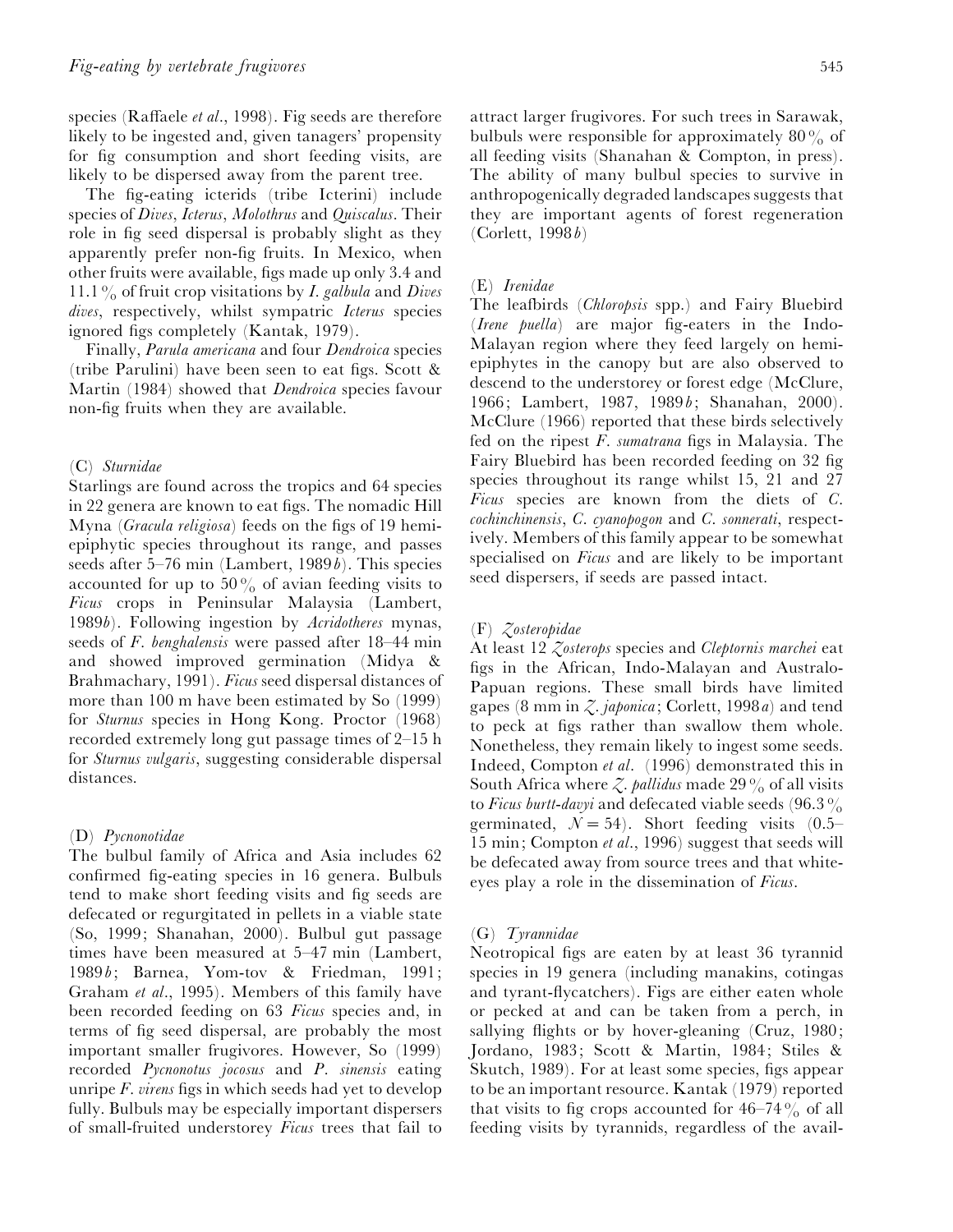species (Raffaele *et al*., 1998). Fig seeds are therefore likely to be ingested and, given tanagers' propensity for fig consumption and short feeding visits, are likely to be dispersed away from the parent tree.

The fig-eating icterids (tribe Icterini) include species of *Dives*, *Icterus*, *Molothrus* and *Quiscalus*. Their role in fig seed dispersal is probably slight as they apparently prefer non-fig fruits. In Mexico, when other fruits were available, figs made up only 3±4 and 11±1% of fruit crop visitations by *I*. *galbula* and *Dives dives*, respectively, whilst sympatric *Icterus* species ignored figs completely (Kantak, 1979).

Finally, *Parula americana* and four *Dendroica* species (tribe Parulini) have been seen to eat figs. Scott & Martin (1984) showed that *Dendroica* species favour non-fig fruits when they are available.

#### (C) *Sturnidae*

Starlings are found across the tropics and 64 species in 22 genera are known to eat figs. The nomadic Hill Myna (*Gracula religiosa*) feeds on the figs of 19 hemiepiphytic species throughout its range, and passes seeds after 5–76 min (Lambert, 1989*b*). This species accounted for up to  $50\%$  of avian feeding visits to *Ficus* crops in Peninsular Malaysia (Lambert, 1989*b*). Following ingestion by *Acridotheres* mynas, seeds of *F*. *benghalensis* were passed after 18–44 min and showed improved germination (Midya & Brahmachary, 1991). *Ficus* seed dispersal distances of more than 100 m have been estimated by So (1999) for *Sturnus* species in Hong Kong. Proctor (1968) recorded extremely long gut passage times of 2–15 h for *Sturnus vulgaris*, suggesting considerable dispersal distances.

#### (D) *Pycnonotidae*

The bulbul family of Africa and Asia includes 62 confirmed fig-eating species in 16 genera. Bulbuls tend to make short feeding visits and fig seeds are defecated or regurgitated in pellets in a viable state (So, 1999; Shanahan, 2000). Bulbul gut passage times have been measured at 5–47 min (Lambert, 1989*b*; Barnea, Yom-tov & Friedman, 1991; Graham *et al*., 1995). Members of this family have been recorded feeding on 63 *Ficus* species and, in terms of fig seed dispersal, are probably the most important smaller frugivores. However, So (1999) recorded *Pycnonotus jocosus* and *P*. *sinensis* eating unripe *F*. *virens* figs in which seeds had yet to develop fully. Bulbuls may be especially important dispersers of small-fruited understorey *Ficus* trees that fail to

attract larger frugivores. For such trees in Sarawak, bulbuls were responsible for approximately  $80\%$  of all feeding visits (Shanahan & Compton, in press). The ability of many bulbul species to survive in anthropogenically degraded landscapes suggests that they are important agents of forest regeneration (Corlett, 1998*b*)

#### (E) *Irenidae*

The leafbirds (*Chloropsis* spp.) and Fairy Bluebird (*Irene puella*) are major fig-eaters in the Indo-Malayan region where they feed largely on hemiepiphytes in the canopy but are also observed to descend to the understorey or forest edge (McClure, 1966; Lambert, 1987, 1989*b*; Shanahan, 2000). McClure (1966) reported that these birds selectively fed on the ripest *F*. *sumatrana* figs in Malaysia. The Fairy Bluebird has been recorded feeding on 32 fig species throughout its range whilst 15, 21 and 27 *Ficus* species are known from the diets of *C*. *cochinchinensis*, *C*. *cyanopogon* and *C*. *sonnerati*, respectively. Members of this family appear to be somewhat specialised on *Ficus* and are likely to be important seed dispersers, if seeds are passed intact.

#### (F) *Zosteropidae*

At least 12 *Zosterops* species and *Cleptornis marchei* eat figs in the African, Indo-Malayan and Australo-Papuan regions. These small birds have limited gapes (8 mm in *Z*. *japonica*; Corlett, 1998*a*) and tend to peck at figs rather than swallow them whole. Nonetheless, they remain likely to ingest some seeds. Indeed, Compton *et al*. (1996) demonstrated this in South Africa where  $\zeta$ . *pallidus* made 29% of all visits to *Ficus burtt-davyi* and defecated viable seeds  $(96.3\%$ germinated,  $\mathcal{N} = 54$ ). Short feeding visits (0.5– 15 min; Compton *et al*., 1996) suggest that seeds will be defecated away from source trees and that whiteeyes play a role in the dissemination of *Ficus*.

#### (G) *Tyrannidae*

Neotropical figs are eaten by at least 36 tyrannid species in 19 genera (including manakins, cotingas and tyrant-flycatchers). Figs are either eaten whole or pecked at and can be taken from a perch, in sallying flights or by hover-gleaning (Cruz, 1980; Jordano, 1983; Scott & Martin, 1984; Stiles & Skutch, 1989). For at least some species, figs appear to be an important resource. Kantak (1979) reported that visits to fig crops accounted for  $46-74\%$  of all feeding visits by tyrannids, regardless of the avail-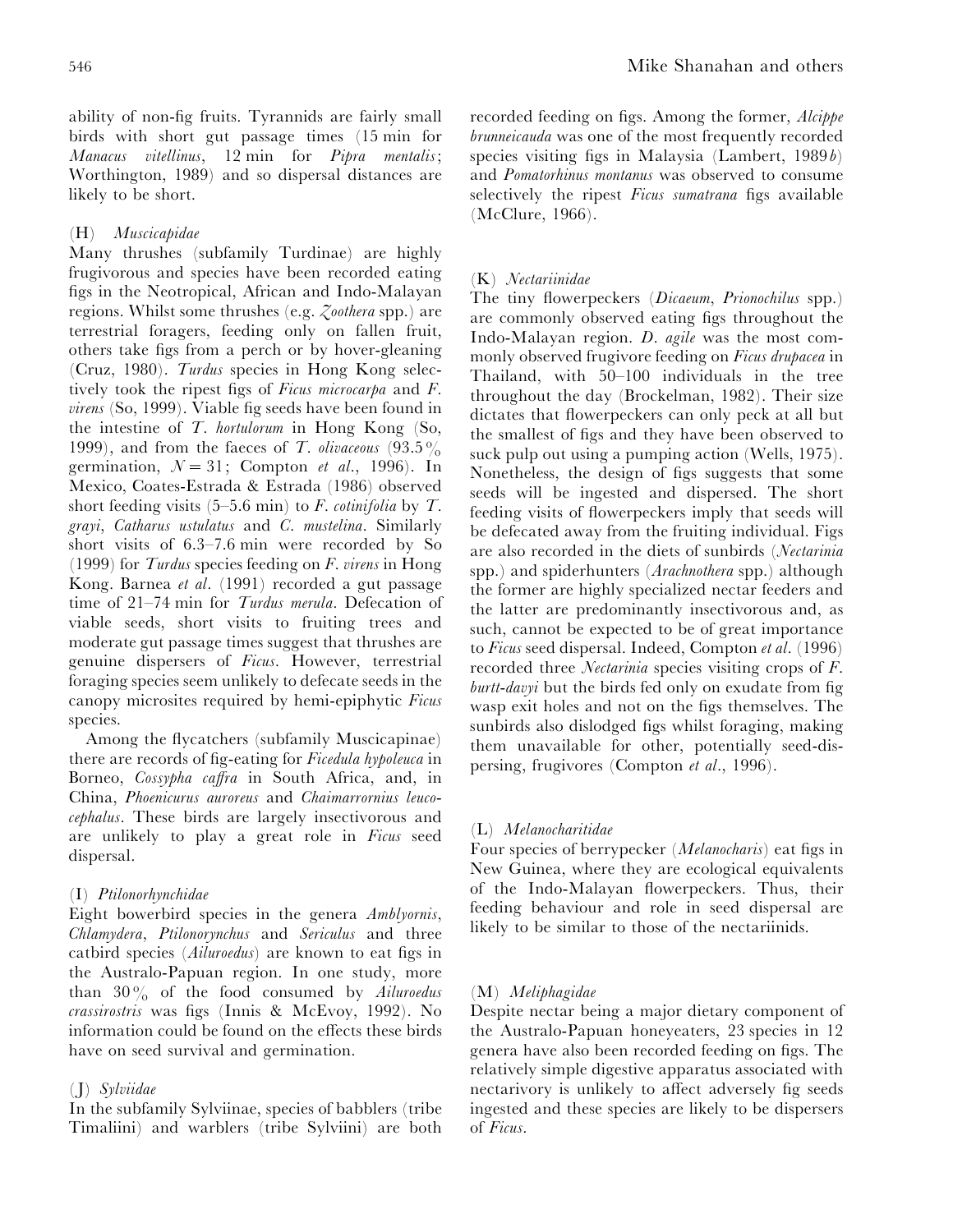ability of non-fig fruits. Tyrannids are fairly small birds with short gut passage times (15 min for *Manacus vitellinus*, 12 min for *Pipra mentalis*; Worthington, 1989) and so dispersal distances are likely to be short.

## (H) *Muscicapidae*

Many thrushes (subfamily Turdinae) are highly frugivorous and species have been recorded eating figs in the Neotropical, African and Indo-Malayan regions. Whilst some thrushes (e.g. *Zoothera* spp.) are terrestrial foragers, feeding only on fallen fruit, others take figs from a perch or by hover-gleaning (Cruz, 1980). *Turdus* species in Hong Kong selectively took the ripest figs of *Ficus microcarpa* and *F*. *virens* (So, 1999). Viable fig seeds have been found in the intestine of *T*. *hortulorum* in Hong Kong (So, 1999), and from the faeces of *T. olivaceous*  $(93.5\%$ germination,  $N=31$ ; Compton *et al.*, 1996). In Mexico, Coates-Estrada & Estrada (1986) observed short feeding visits (5–5±6 min) to *F*. *cotinifolia* by *T*. *grayi*, *Catharus ustulatus* and *C*. *mustelina*. Similarly short visits of  $6.3-7.6$  min were recorded by So (1999) for *Turdus* species feeding on *F*. *virens* in Hong Kong. Barnea *et al*. (1991) recorded a gut passage time of 21–74 min for *Turdus merula*. Defecation of viable seeds, short visits to fruiting trees and moderate gut passage times suggest that thrushes are genuine dispersers of *Ficus*. However, terrestrial foraging species seem unlikely to defecate seeds in the canopy microsites required by hemi-epiphytic *Ficus* species.

Among the flycatchers (subfamily Muscicapinae) there are records of fig-eating for *Ficedula hypoleuca* in Borneo, *Cossypha caffra* in South Africa, and, in China, *Phoenicurus auroreus* and *Chaimarrornius leucocephalus*. These birds are largely insectivorous and are unlikely to play a great role in *Ficus* seed dispersal.

#### (I) *Ptilonorhynchidae*

Eight bowerbird species in the genera *Amblyornis*, *Chlamydera*, *Ptilonorynchus* and *Sericulus* and three catbird species (*Ailuroedus*) are known to eat figs in the Australo-Papuan region. In one study, more than 30% of the food consumed by *Ailuroedus crassirostris* was figs (Innis & McEvoy, 1992). No information could be found on the effects these birds have on seed survival and germination.

#### (J) *Sylviidae*

In the subfamily Sylviinae, species of babblers (tribe Timaliini) and warblers (tribe Sylviini) are both recorded feeding on figs. Among the former, *Alcippe brunneicauda* was one of the most frequently recorded species visiting figs in Malaysia (Lambert, 1989*b*) and *Pomatorhinus montanus* was observed to consume selectively the ripest *Ficus sumatrana* figs available (McClure, 1966).

## (K) *Nectariinidae*

The tiny flowerpeckers (*Dicaeum*, *Prionochilus* spp.) are commonly observed eating figs throughout the Indo-Malayan region. *D*. *agile* was the most commonly observed frugivore feeding on *Ficus drupacea* in Thailand, with 50–100 individuals in the tree throughout the day (Brockelman, 1982). Their size dictates that flowerpeckers can only peck at all but the smallest of figs and they have been observed to suck pulp out using a pumping action (Wells, 1975). Nonetheless, the design of figs suggests that some seeds will be ingested and dispersed. The short feeding visits of flowerpeckers imply that seeds will be defecated away from the fruiting individual. Figs are also recorded in the diets of sunbirds (*Nectarinia* spp.) and spiderhunters (*Arachnothera* spp.) although the former are highly specialized nectar feeders and the latter are predominantly insectivorous and, as such, cannot be expected to be of great importance to *Ficus* seed dispersal. Indeed, Compton *et al*. (1996) recorded three *Nectarinia* species visiting crops of *F*. *burtt*-*davyi* but the birds fed only on exudate from fig wasp exit holes and not on the figs themselves. The sunbirds also dislodged figs whilst foraging, making them unavailable for other, potentially seed-dispersing, frugivores (Compton *et al*., 1996).

## (L) *Melanocharitidae*

Four species of berrypecker (*Melanocharis*) eat figs in New Guinea, where they are ecological equivalents of the Indo-Malayan flowerpeckers. Thus, their feeding behaviour and role in seed dispersal are likely to be similar to those of the nectariinids.

#### (M) *Meliphagidae*

Despite nectar being a major dietary component of the Australo-Papuan honeyeaters, 23 species in 12 genera have also been recorded feeding on figs. The relatively simple digestive apparatus associated with nectarivory is unlikely to affect adversely fig seeds ingested and these species are likely to be dispersers of *Ficus*.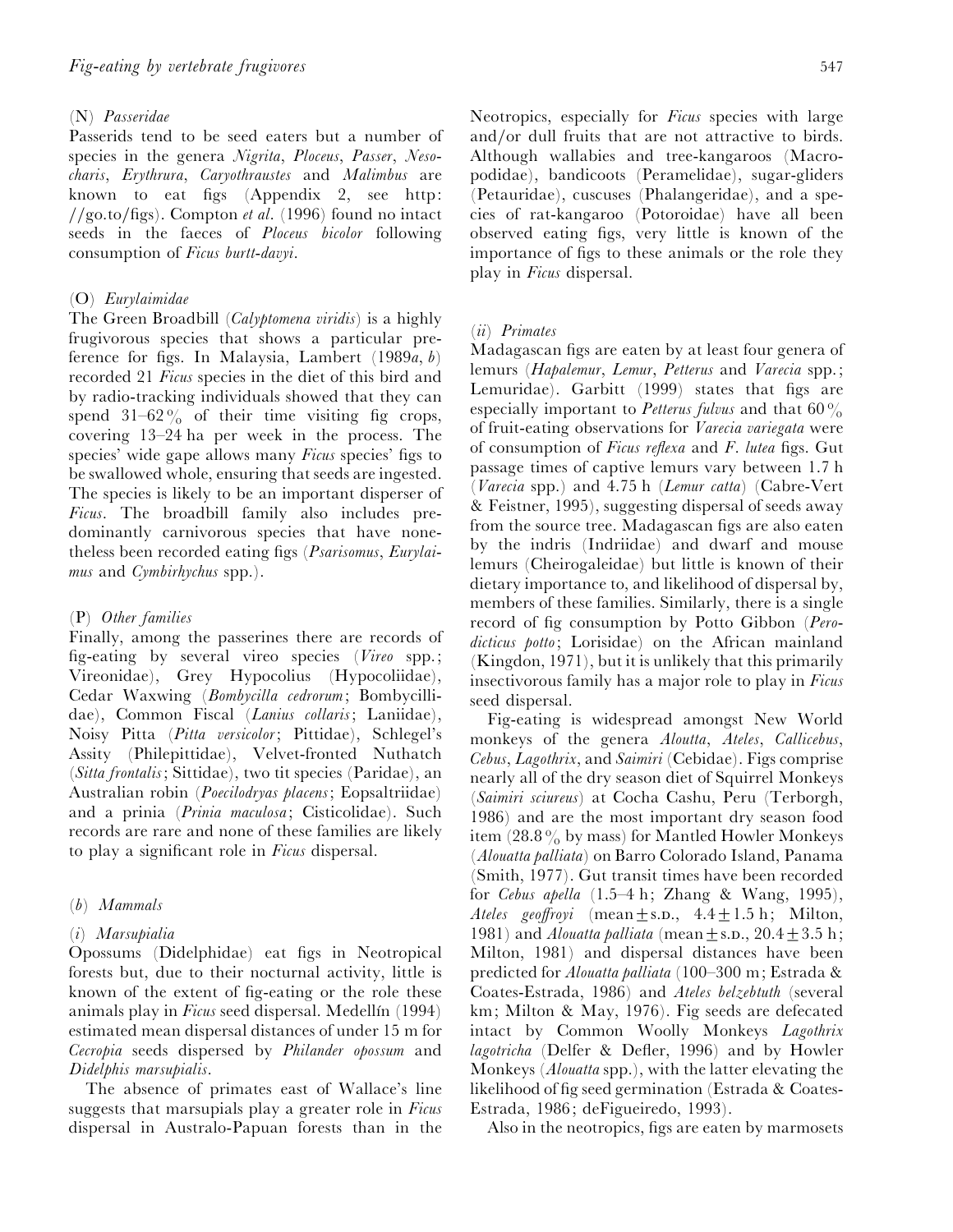#### (N) *Passeridae*

Passerids tend to be seed eaters but a number of species in the genera *Nigrita*, *Ploceus*, *Passer*, *Nesocharis*, *Erythrura*, *Caryothraustes* and *Malimbus* are known to eat figs (Appendix 2, see http:  $//$ go.to/figs). Compton *et al.* (1996) found no intact seeds in the faeces of *Ploceus bicolor* following consumption of *Ficus burtt*-*davyi*.

#### (O) *Eurylaimidae*

The Green Broadbill (*Calyptomena viridis*) is a highly frugivorous species that shows a particular preference for figs. In Malaysia, Lambert (1989*a*, *b*) recorded 21 *Ficus* species in the diet of this bird and by radio-tracking individuals showed that they can spend  $31-62\%$  of their time visiting fig crops, covering 13–24 ha per week in the process. The species' wide gape allows many *Ficus* species' figs to be swallowed whole, ensuring that seeds are ingested. The species is likely to be an important disperser of *Ficus*. The broadbill family also includes predominantly carnivorous species that have nonetheless been recorded eating figs (*Psarisomus*, *Eurylaimus* and *Cymbirhychus* spp.).

#### (P) *Other families*

Finally, among the passerines there are records of fig-eating by several vireo species (*Vireo* spp.; Vireonidae), Grey Hypocolius (Hypocoliidae), Cedar Waxwing (*Bombycilla cedrorum*; Bombycillidae), Common Fiscal (*Lanius collaris*; Laniidae), Noisy Pitta (*Pitta versicolor*; Pittidae), Schlegel's Assity (Philepittidae), Velvet-fronted Nuthatch (*Sitta frontalis*; Sittidae), two tit species (Paridae), an Australian robin (*Poecilodryas placens*; Eopsaltriidae) and a prinia (*Prinia maculosa*; Cisticolidae). Such records are rare and none of these families are likely to play a significant role in *Ficus* dispersal.

#### (*b*) *Mammals*

#### (*i*) *Marsupialia*

Opossums (Didelphidae) eat figs in Neotropical forests but, due to their nocturnal activity, little is known of the extent of fig-eating or the role these animals play in *Ficus* seed dispersal. Medellin (1994) estimated mean dispersal distances of under 15 m for *Cecropia* seeds dispersed by *Philander opossum* and *Didelphis marsupialis*.

The absence of primates east of Wallace's line suggests that marsupials play a greater role in *Ficus* dispersal in Australo-Papuan forests than in the Neotropics, especially for *Ficus* species with large and/or dull fruits that are not attractive to birds. Although wallabies and tree-kangaroos (Macropodidae), bandicoots (Peramelidae), sugar-gliders (Petauridae), cuscuses (Phalangeridae), and a species of rat-kangaroo (Potoroidae) have all been observed eating figs, very little is known of the importance of figs to these animals or the role they play in *Ficus* dispersal.

#### (*ii*) *Primates*

Madagascan figs are eaten by at least four genera of lemurs (*Hapalemur*, *Lemur*, *Petterus* and *Varecia* spp.; Lemuridae). Garbitt (1999) states that figs are especially important to *Petterus fulvus* and that 60% of fruit-eating observations for *Varecia variegata* were of consumption of *Ficus reflexa* and *F*. *lutea* figs. Gut passage times of captive lemurs vary between 1.7 h (*Varecia* spp.) and 4±75 h (*Lemur catta*) (Cabre-Vert & Feistner, 1995), suggesting dispersal of seeds away from the source tree. Madagascan figs are also eaten by the indris (Indriidae) and dwarf and mouse lemurs (Cheirogaleidae) but little is known of their dietary importance to, and likelihood of dispersal by, members of these families. Similarly, there is a single record of fig consumption by Potto Gibbon (*Perodicticus potto*; Lorisidae) on the African mainland (Kingdon, 1971), but it is unlikely that this primarily insectivorous family has a major role to play in *Ficus* seed dispersal.

Fig-eating is widespread amongst New World monkeys of the genera *Aloutta*, *Ateles*, *Callicebus*, *Cebus*, *Lagothrix*, and *Saimiri* (Cebidae). Figs comprise nearly all of the dry season diet of Squirrel Monkeys (*Saimiri sciureus*) at Cocha Cashu, Peru (Terborgh, 1986) and are the most important dry season food item (28.8 $\%$  by mass) for Mantled Howler Monkeys (*Alouatta palliata*) on Barro Colorado Island, Panama (Smith, 1977). Gut transit times have been recorded for *Cebus apella* (1±5–4 h; Zhang & Wang, 1995), *Ateles geoffroyi* (mean $\pm$ s.p., 4.4 $\pm$ 1.5 h; Milton, 1981) and *Alouatta palliata* (mean  $+s.p., 20.4 + 3.5 h;$ Milton, 1981) and dispersal distances have been predicted for *Alouatta palliata* (100–300 m; Estrada & Coates-Estrada, 1986) and *Ateles belzebtuth* (several km; Milton & May, 1976). Fig seeds are defecated intact by Common Woolly Monkeys *Lagothrix lagotricha* (Delfer & Defler, 1996) and by Howler Monkeys (*Alouatta* spp.), with the latter elevating the likelihood of fig seed germination (Estrada & Coates-Estrada, 1986; deFigueiredo, 1993).

Also in the neotropics, figs are eaten by marmosets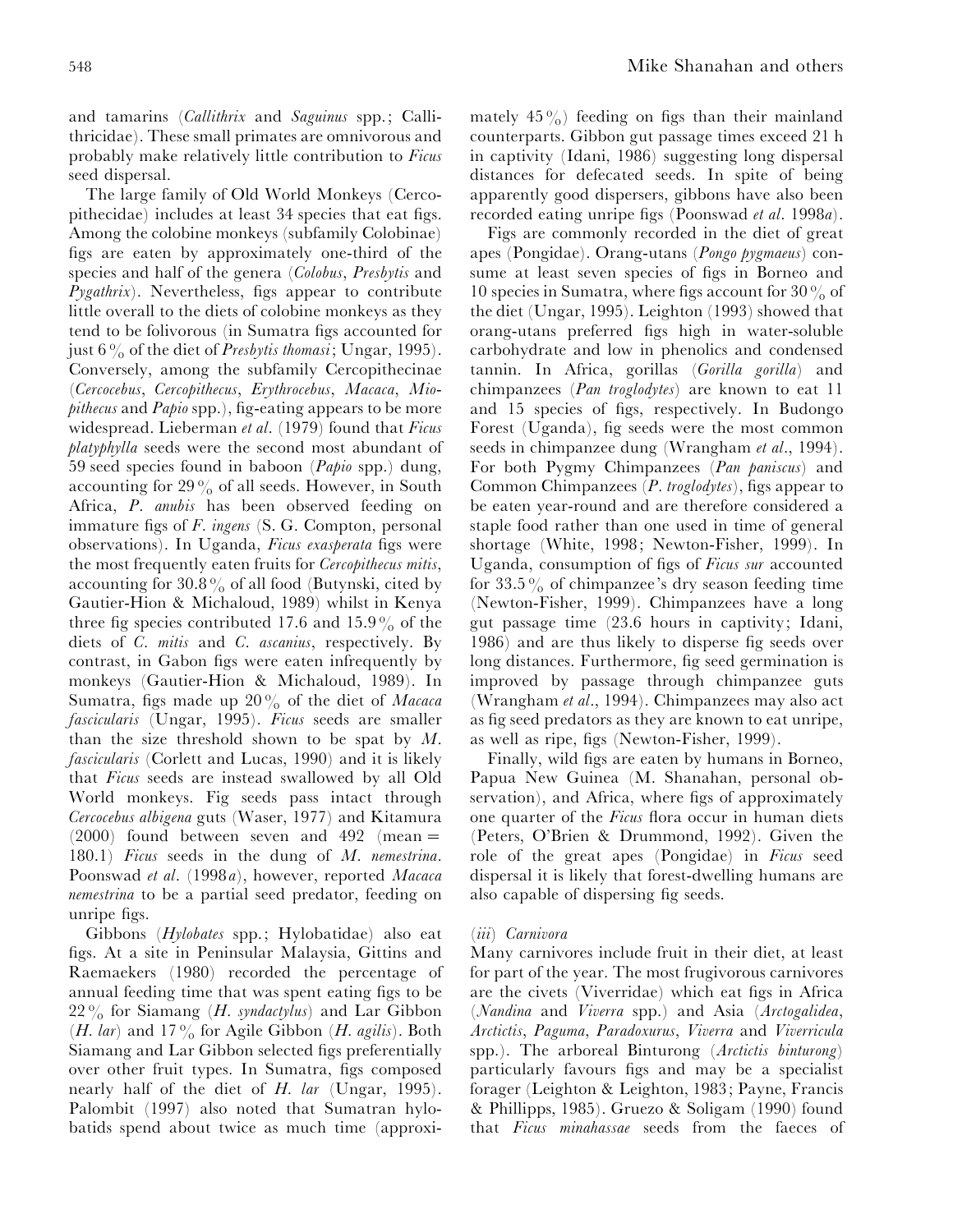The large family of Old World Monkeys (Cercopithecidae) includes at least 34 species that eat figs. Among the colobine monkeys (subfamily Colobinae) figs are eaten by approximately one-third of the species and half of the genera (*Colobus*, *Presbytis* and *Pygathrix*). Nevertheless, figs appear to contribute little overall to the diets of colobine monkeys as they tend to be folivorous (in Sumatra figs accounted for just 6% of the diet of *Presbytis thomasi*; Ungar, 1995). Conversely, among the subfamily Cercopithecinae (*Cercocebus*, *Cercopithecus*, *Erythrocebus*, *Macaca*, *Miopithecus* and *Papio* spp.), fig-eating appears to be more widespread. Lieberman *et al*. (1979) found that *Ficus platyphylla* seeds were the second most abundant of 59 seed species found in baboon (*Papio* spp.) dung, accounting for  $29\%$  of all seeds. However, in South Africa, *P*. *anubis* has been observed feeding on immature figs of *F*. *ingens* (S. G. Compton, personal observations). In Uganda, *Ficus exasperata* figs were the most frequently eaten fruits for *Cercopithecus mitis*, accounting for  $30.8\%$  of all food (Butynski, cited by Gautier-Hion & Michaloud, 1989) whilst in Kenya three fig species contributed 17.6 and 15.9% of the diets of *C*. *mitis* and *C*. *ascanius*, respectively. By contrast, in Gabon figs were eaten infrequently by monkeys (Gautier-Hion & Michaloud, 1989). In Sumatra, figs made up 20% of the diet of *Macaca fascicularis* (Ungar, 1995). *Ficus* seeds are smaller than the size threshold shown to be spat by *M*. *fascicularis* (Corlett and Lucas, 1990) and it is likely that *Ficus* seeds are instead swallowed by all Old World monkeys. Fig seeds pass intact through *Cercocebus albigena* guts (Waser, 1977) and Kitamura  $(2000)$  found between seven and 492 (mean  $=$ 180±1) *Ficus* seeds in the dung of *M*. *nemestrina*. Poonswad *et al*. (1998*a*), however, reported *Macaca nemestrina* to be a partial seed predator, feeding on unripe figs.

Gibbons (*Hylobates* spp.; Hylobatidae) also eat figs. At a site in Peninsular Malaysia, Gittins and Raemaekers (1980) recorded the percentage of annual feeding time that was spent eating figs to be 22% for Siamang (*H*. *syndactylus*) and Lar Gibbon (*H. lar*) and 17% for Agile Gibbon (*H. agilis*). Both Siamang and Lar Gibbon selected figs preferentially over other fruit types. In Sumatra, figs composed nearly half of the diet of *H*. *lar* (Ungar, 1995). Palombit (1997) also noted that Sumatran hylobatids spend about twice as much time (approximately  $45\%$  feeding on figs than their mainland counterparts. Gibbon gut passage times exceed 21 h in captivity (Idani, 1986) suggesting long dispersal distances for defecated seeds. In spite of being apparently good dispersers, gibbons have also been recorded eating unripe figs (Poonswad *et al*. 1998*a*).

Figs are commonly recorded in the diet of great apes (Pongidae). Orang-utans (*Pongo pygmaeus*) consume at least seven species of figs in Borneo and 10 species in Sumatra, where figs account for  $30\%$  of the diet (Ungar, 1995). Leighton (1993) showed that orang-utans preferred figs high in water-soluble carbohydrate and low in phenolics and condensed tannin. In Africa, gorillas (*Gorilla gorilla*) and chimpanzees (*Pan troglodytes*) are known to eat 11 and 15 species of figs, respectively. In Budongo Forest (Uganda), fig seeds were the most common seeds in chimpanzee dung (Wrangham *et al*., 1994). For both Pygmy Chimpanzees (*Pan paniscus*) and Common Chimpanzees (*P*. *troglodytes*), figs appear to be eaten year-round and are therefore considered a staple food rather than one used in time of general shortage (White, 1998; Newton-Fisher, 1999). In Uganda, consumption of figs of *Ficus sur* accounted for  $33.5\%$  of chimpanzee's dry season feeding time (Newton-Fisher, 1999). Chimpanzees have a long gut passage time (23±6 hours in captivity; Idani, 1986) and are thus likely to disperse fig seeds over long distances. Furthermore, fig seed germination is improved by passage through chimpanzee guts (Wrangham *et al*., 1994). Chimpanzees may also act as fig seed predators as they are known to eat unripe, as well as ripe, figs (Newton-Fisher, 1999).

Finally, wild figs are eaten by humans in Borneo, Papua New Guinea (M. Shanahan, personal observation), and Africa, where figs of approximately one quarter of the *Ficus* flora occur in human diets (Peters, O'Brien & Drummond, 1992). Given the role of the great apes (Pongidae) in *Ficus* seed dispersal it is likely that forest-dwelling humans are also capable of dispersing fig seeds.

## (*iii*) *Carnivora*

Many carnivores include fruit in their diet, at least for part of the year. The most frugivorous carnivores are the civets (Viverridae) which eat figs in Africa (*Nandina* and *Viverra* spp.) and Asia (*Arctogalidea*, *Arctictis*, *Paguma*, *Paradoxurus*, *Viverra* and *Viverricula* spp.). The arboreal Binturong (*Arctictis binturong*) particularly favours figs and may be a specialist forager (Leighton & Leighton, 1983; Payne, Francis & Phillipps, 1985). Gruezo & Soligam (1990) found that *Ficus minahassae* seeds from the faeces of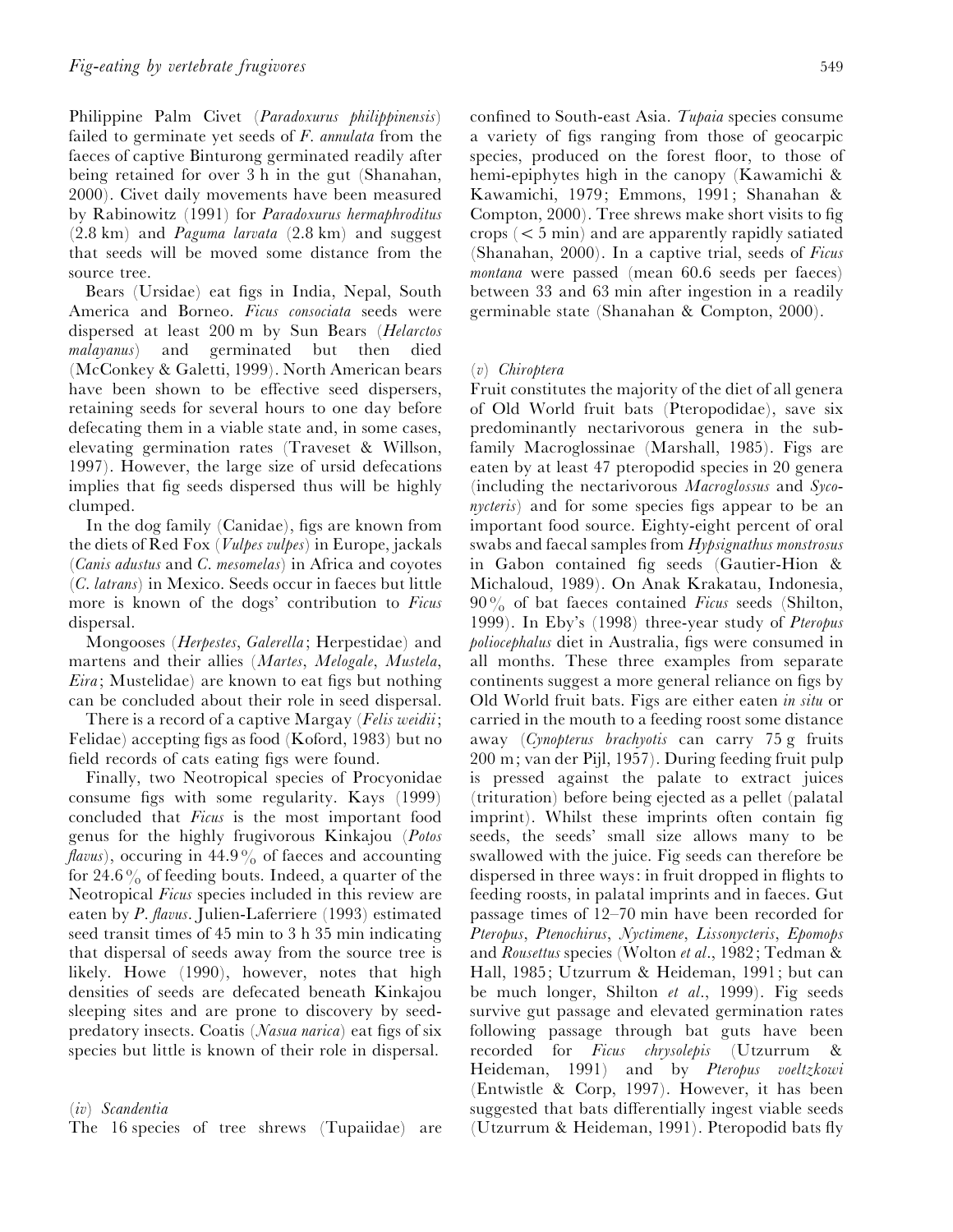Philippine Palm Civet (*Paradoxurus philippinensis*) failed to germinate yet seeds of *F*. *annulata* from the faeces of captive Binturong germinated readily after being retained for over 3 h in the gut (Shanahan, 2000). Civet daily movements have been measured by Rabinowitz (1991) for *Paradoxurus hermaphroditus*  $(2.8 \text{ km})$  and *Paguma larvata*  $(2.8 \text{ km})$  and suggest that seeds will be moved some distance from the source tree.

Bears (Ursidae) eat figs in India, Nepal, South America and Borneo. *Ficus consociata* seeds were dispersed at least 200 m by Sun Bears (*Helarctos malayanus*) and germinated but then died (McConkey & Galetti, 1999). North American bears have been shown to be effective seed dispersers, retaining seeds for several hours to one day before defecating them in a viable state and, in some cases, elevating germination rates (Traveset & Willson, 1997). However, the large size of ursid defecations implies that fig seeds dispersed thus will be highly clumped.

In the dog family (Canidae), figs are known from the diets of Red Fox (*Vulpes vulpes*) in Europe, jackals (*Canis adustus* and *C*. *mesomelas*) in Africa and coyotes (*C*. *latrans*) in Mexico. Seeds occur in faeces but little more is known of the dogs' contribution to *Ficus* dispersal.

Mongooses (*Herpestes*, *Galerella*; Herpestidae) and martens and their allies (*Martes*, *Melogale*, *Mustela*, *Eira*; Mustelidae) are known to eat figs but nothing can be concluded about their role in seed dispersal.

There is a record of a captive Margay (*Felis weidii*; Felidae) accepting figs as food (Koford, 1983) but no field records of cats eating figs were found.

Finally, two Neotropical species of Procyonidae consume figs with some regularity. Kays (1999) concluded that *Ficus* is the most important food genus for the highly frugivorous Kinkajou (*Potos flavus*), occuring in  $44.9\%$  of faeces and accounting for 24.6% of feeding bouts. Indeed, a quarter of the Neotropical *Ficus* species included in this review are eaten by *P*. *flavus*. Julien-Laferriere (1993) estimated seed transit times of 45 min to 3 h 35 min indicating that dispersal of seeds away from the source tree is likely. Howe (1990), however, notes that high densities of seeds are defecated beneath Kinkajou sleeping sites and are prone to discovery by seedpredatory insects. Coatis (*Nasua narica*) eat figs of six species but little is known of their role in dispersal.

(*iv*) *Scandentia*

The 16 species of tree shrews (Tupaiidae) are

confined to South-east Asia. *Tupaia* species consume a variety of figs ranging from those of geocarpic species, produced on the forest floor, to those of hemi-epiphytes high in the canopy (Kawamichi & Kawamichi, 1979; Emmons, 1991; Shanahan & Compton, 2000). Tree shrews make short visits to fig crops  $(< 5$  min) and are apparently rapidly satiated (Shanahan, 2000). In a captive trial, seeds of *Ficus montana* were passed (mean 60.6 seeds per faeces) between 33 and 63 min after ingestion in a readily germinable state (Shanahan & Compton, 2000).

#### (*v*) *Chiroptera*

Fruit constitutes the majority of the diet of all genera of Old World fruit bats (Pteropodidae), save six predominantly nectarivorous genera in the subfamily Macroglossinae (Marshall, 1985). Figs are eaten by at least 47 pteropodid species in 20 genera (including the nectarivorous *Macroglossus* and *Syconycteris*) and for some species figs appear to be an important food source. Eighty-eight percent of oral swabs and faecal samples from *Hypsignathus monstrosus* in Gabon contained fig seeds (Gautier-Hion & Michaloud, 1989). On Anak Krakatau, Indonesia, 90% of bat faeces contained *Ficus* seeds (Shilton, 1999). In Eby's (1998) three-year study of *Pteropus poliocephalus* diet in Australia, figs were consumed in all months. These three examples from separate continents suggest a more general reliance on figs by Old World fruit bats. Figs are either eaten *in situ* or carried in the mouth to a feeding roost some distance away (*Cynopterus brachyotis* can carry 75 g fruits 200 m; van der Pijl, 1957). During feeding fruit pulp is pressed against the palate to extract juices (trituration) before being ejected as a pellet (palatal imprint). Whilst these imprints often contain fig seeds, the seeds' small size allows many to be swallowed with the juice. Fig seeds can therefore be dispersed in three ways: in fruit dropped in flights to feeding roosts, in palatal imprints and in faeces. Gut passage times of 12–70 min have been recorded for *Pteropus*, *Ptenochirus*, *Nyctimene*, *Lissonycteris*, *Epomops* and *Rousettus* species (Wolton *et al*., 1982; Tedman & Hall, 1985; Utzurrum & Heideman, 1991; but can be much longer, Shilton *et al*., 1999). Fig seeds survive gut passage and elevated germination rates following passage through bat guts have been recorded for *Ficus chrysolepis* (Utzurrum & Heideman, 1991) and by *Pteropus voeltzkowi* (Entwistle & Corp, 1997). However, it has been suggested that bats differentially ingest viable seeds (Utzurrum & Heideman, 1991). Pteropodid bats fly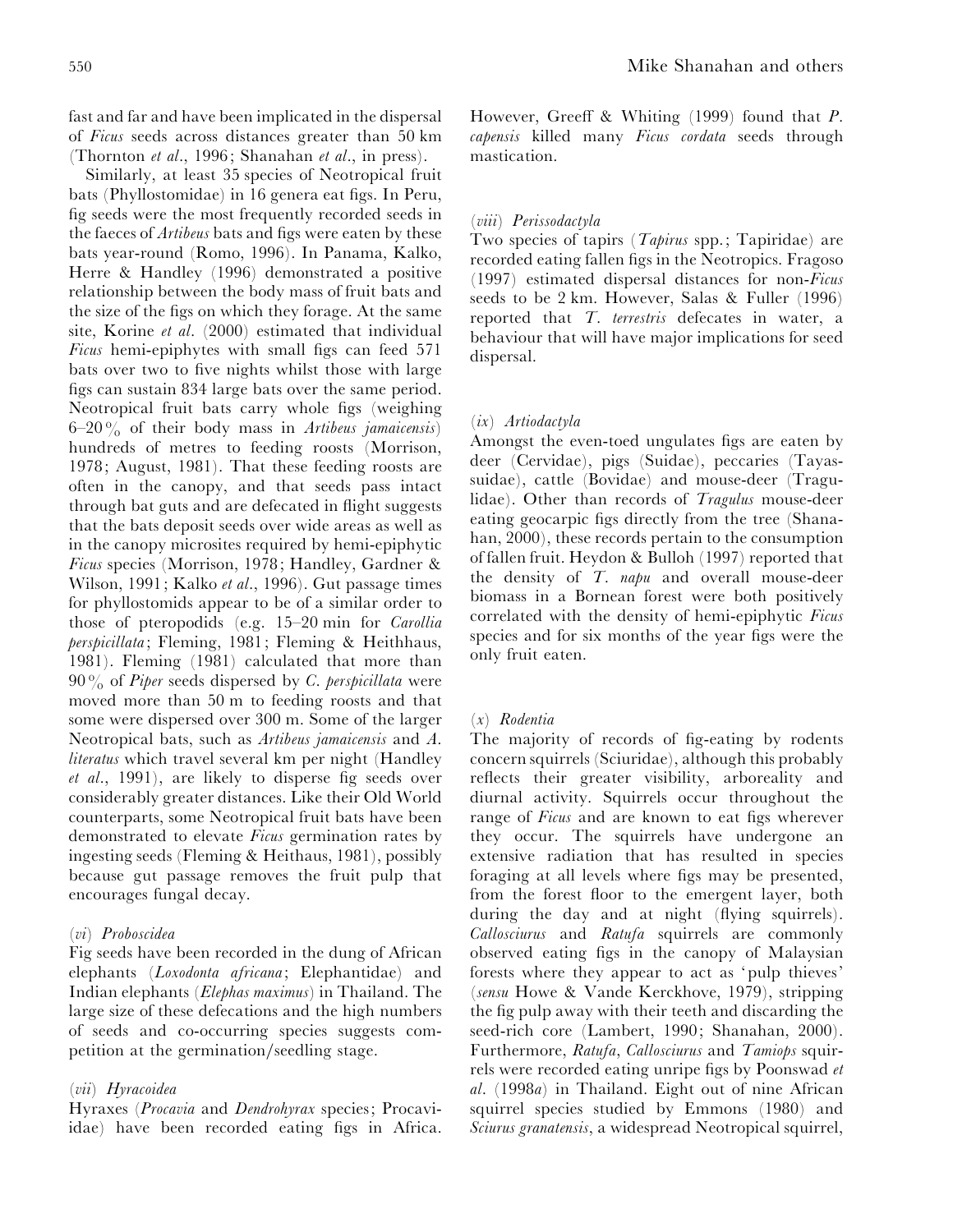fast and far and have been implicated in the dispersal of *Ficus* seeds across distances greater than 50 km (Thornton *et al*., 1996; Shanahan *et al*., in press).

Similarly, at least 35 species of Neotropical fruit bats (Phyllostomidae) in 16 genera eat figs. In Peru, fig seeds were the most frequently recorded seeds in the faeces of *Artibeus* bats and figs were eaten by these bats year-round (Romo, 1996). In Panama, Kalko, Herre & Handley (1996) demonstrated a positive relationship between the body mass of fruit bats and the size of the figs on which they forage. At the same site, Korine *et al*. (2000) estimated that individual *Ficus* hemi-epiphytes with small figs can feed 571 bats over two to five nights whilst those with large figs can sustain 834 large bats over the same period. Neotropical fruit bats carry whole figs (weighing 6–20% of their body mass in *Artibeus jamaicensis*) hundreds of metres to feeding roosts (Morrison, 1978; August, 1981). That these feeding roosts are often in the canopy, and that seeds pass intact through bat guts and are defecated in flight suggests that the bats deposit seeds over wide areas as well as in the canopy microsites required by hemi-epiphytic *Ficus* species (Morrison, 1978; Handley, Gardner & Wilson, 1991; Kalko *et al*., 1996). Gut passage times for phyllostomids appear to be of a similar order to those of pteropodids (e.g. 15–20 min for *Carollia perspicillata*; Fleming, 1981; Fleming & Heithhaus, 1981). Fleming (1981) calculated that more than 90% of *Piper* seeds dispersed by *C*. *perspicillata* were moved more than 50 m to feeding roosts and that some were dispersed over 300 m. Some of the larger Neotropical bats, such as *Artibeus jamaicensis* and *A*. *literatus* which travel several km per night (Handley *et al*., 1991), are likely to disperse fig seeds over considerably greater distances. Like their Old World counterparts, some Neotropical fruit bats have been demonstrated to elevate *Ficus* germination rates by ingesting seeds (Fleming & Heithaus, 1981), possibly because gut passage removes the fruit pulp that encourages fungal decay.

## (*vi*) *Proboscidea*

Fig seeds have been recorded in the dung of African elephants (*Loxodonta africana*; Elephantidae) and Indian elephants (*Elephas maximus*) in Thailand. The large size of these defecations and the high numbers of seeds and co-occurring species suggests competition at the germination/seedling stage.

### (*vii*) *Hyracoidea*

Hyraxes (*Procavia* and *Dendrohyrax* species; Procaviidae) have been recorded eating figs in Africa. However, Greeff & Whiting (1999) found that *P*. *capensis* killed many *Ficus cordata* seeds through mastication.

#### (*viii*) *Perissodactyla*

Two species of tapirs (*Tapirus* spp.; Tapiridae) are recorded eating fallen figs in the Neotropics. Fragoso (1997) estimated dispersal distances for non-*Ficus* seeds to be 2 km. However, Salas & Fuller (1996) reported that *T*. *terrestris* defecates in water, a behaviour that will have major implications for seed dispersal.

#### (*ix*) *Artiodactyla*

Amongst the even-toed ungulates figs are eaten by deer (Cervidae), pigs (Suidae), peccaries (Tayassuidae), cattle (Bovidae) and mouse-deer (Tragulidae). Other than records of *Tragulus* mouse-deer eating geocarpic figs directly from the tree (Shanahan, 2000), these records pertain to the consumption of fallen fruit. Heydon & Bulloh (1997) reported that the density of *T*. *napu* and overall mouse-deer biomass in a Bornean forest were both positively correlated with the density of hemi-epiphytic *Ficus* species and for six months of the year figs were the only fruit eaten.

#### (*x*) *Rodentia*

The majority of records of fig-eating by rodents concern squirrels (Sciuridae), although this probably reflects their greater visibility, arboreality and diurnal activity. Squirrels occur throughout the range of *Ficus* and are known to eat figs wherever they occur. The squirrels have undergone an extensive radiation that has resulted in species foraging at all levels where figs may be presented, from the forest floor to the emergent layer, both during the day and at night (flying squirrels). *Callosciurus* and *Ratufa* squirrels are commonly observed eating figs in the canopy of Malaysian forests where they appear to act as 'pulp thieves' (*sensu* Howe & Vande Kerckhove, 1979), stripping the fig pulp away with their teeth and discarding the seed-rich core (Lambert, 1990; Shanahan, 2000). Furthermore, *Ratufa*, *Callosciurus* and *Tamiops* squirrels were recorded eating unripe figs by Poonswad *et al*. (1998*a*) in Thailand. Eight out of nine African squirrel species studied by Emmons (1980) and *Sciurus granatensis*, a widespread Neotropical squirrel,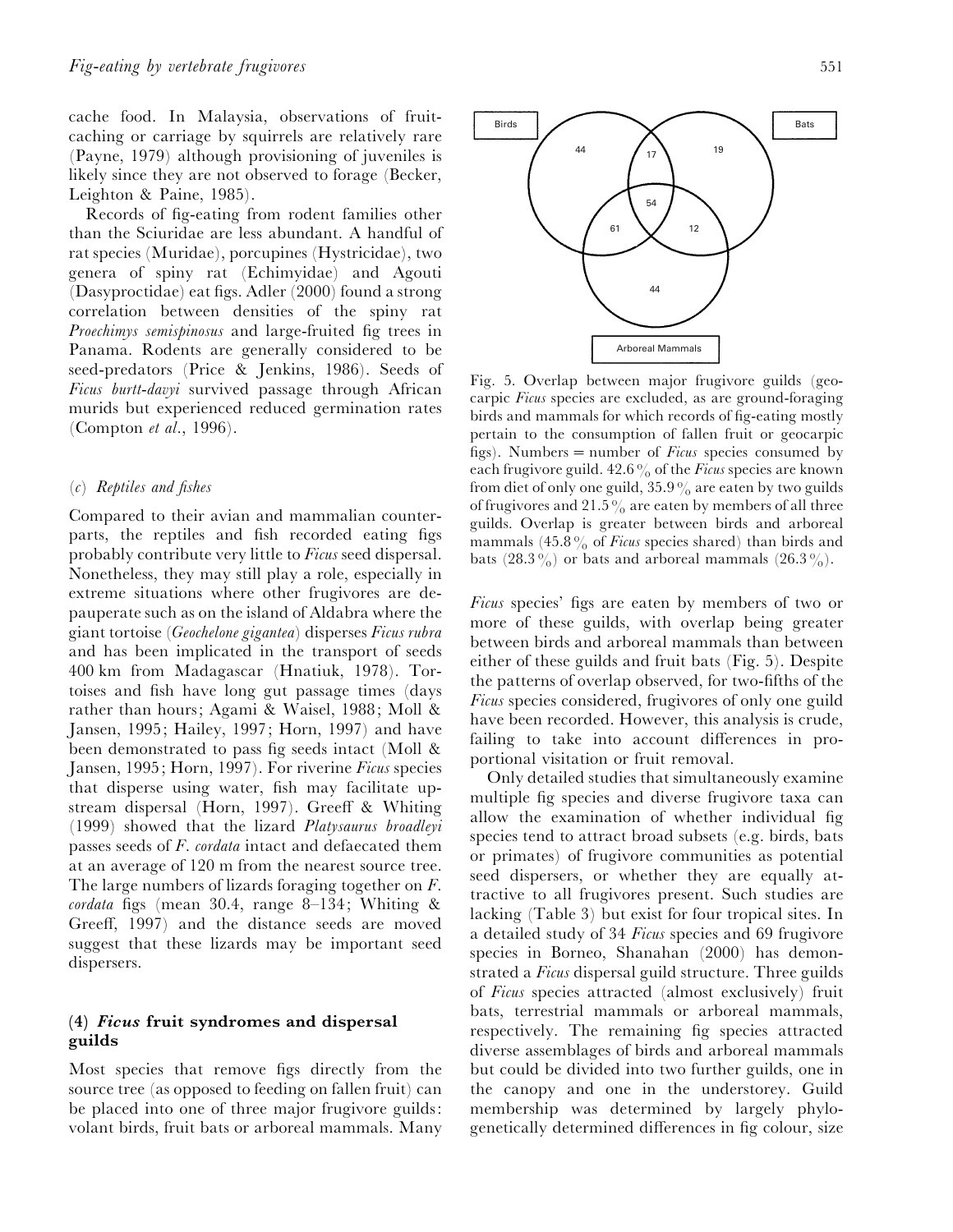cache food. In Malaysia, observations of fruitcaching or carriage by squirrels are relatively rare (Payne, 1979) although provisioning of juveniles is likely since they are not observed to forage (Becker, Leighton & Paine, 1985).

Records of fig-eating from rodent families other than the Sciuridae are less abundant. A handful of rat species (Muridae), porcupines (Hystricidae), two genera of spiny rat (Echimyidae) and Agouti (Dasyproctidae) eat figs. Adler (2000) found a strong correlation between densities of the spiny rat *Proechimys semispinosus* and large-fruited fig trees in Panama. Rodents are generally considered to be seed-predators (Price & Jenkins, 1986). Seeds of *Ficus burtt*-*davyi* survived passage through African murids but experienced reduced germination rates (Compton *et al*., 1996).

## (*c*) *Reptiles and fishes*

Compared to their avian and mammalian counterparts, the reptiles and fish recorded eating figs probably contribute very little to *Ficus* seed dispersal. Nonetheless, they may still play a role, especially in extreme situations where other frugivores are depauperate such as on the island of Aldabra where the giant tortoise (*Geochelone gigantea*) disperses *Ficus rubra* and has been implicated in the transport of seeds 400 km from Madagascar (Hnatiuk, 1978). Tortoises and fish have long gut passage times (days rather than hours; Agami & Waisel, 1988; Moll & Jansen, 1995; Hailey, 1997; Horn, 1997) and have been demonstrated to pass fig seeds intact (Moll & Jansen, 1995; Horn, 1997). For riverine *Ficus* species that disperse using water, fish may facilitate upstream dispersal (Horn, 1997). Greeff & Whiting (1999) showed that the lizard *Platysaurus broadleyi* passes seeds of *F*. *cordata* intact and defaecated them at an average of 120 m from the nearest source tree. The large numbers of lizards foraging together on *F*. *cordata* figs (mean 30.4, range 8–134; Whiting & Greeff, 1997) and the distance seeds are moved suggest that these lizards may be important seed dispersers.

## *(4) Ficus fruit syndromes and dispersal guilds*

Most species that remove figs directly from the source tree (as opposed to feeding on fallen fruit) can be placed into one of three major frugivore guilds: volant birds, fruit bats or arboreal mammals. Many



Fig. 5. Overlap between major frugivore guilds (geocarpic *Ficus* species are excluded, as are ground-foraging birds and mammals for which records of fig-eating mostly pertain to the consumption of fallen fruit or geocarpic figs). Numbers  $=$  number of *Ficus* species consumed by each frugivore guild. 42±6% of the *Ficus* species are known from diet of only one guild,  $35.9\%$  are eaten by two guilds of frugivores and 21.5% are eaten by members of all three guilds. Overlap is greater between birds and arboreal mammals  $(45.8\%$  of *Ficus* species shared) than birds and bats  $(28.3\%)$  or bats and arboreal mammals  $(26.3\%)$ .

*Ficus* species' figs are eaten by members of two or more of these guilds, with overlap being greater between birds and arboreal mammals than between either of these guilds and fruit bats (Fig. 5). Despite the patterns of overlap observed, for two-fifths of the *Ficus* species considered, frugivores of only one guild have been recorded. However, this analysis is crude, failing to take into account differences in proportional visitation or fruit removal.

Only detailed studies that simultaneously examine multiple fig species and diverse frugivore taxa can allow the examination of whether individual fig species tend to attract broad subsets (e.g. birds, bats or primates) of frugivore communities as potential seed dispersers, or whether they are equally attractive to all frugivores present. Such studies are lacking (Table 3) but exist for four tropical sites. In a detailed study of 34 *Ficus* species and 69 frugivore species in Borneo, Shanahan (2000) has demonstrated a *Ficus* dispersal guild structure. Three guilds of *Ficus* species attracted (almost exclusively) fruit bats, terrestrial mammals or arboreal mammals, respectively. The remaining fig species attracted diverse assemblages of birds and arboreal mammals but could be divided into two further guilds, one in the canopy and one in the understorey. Guild membership was determined by largely phylogenetically determined differences in fig colour, size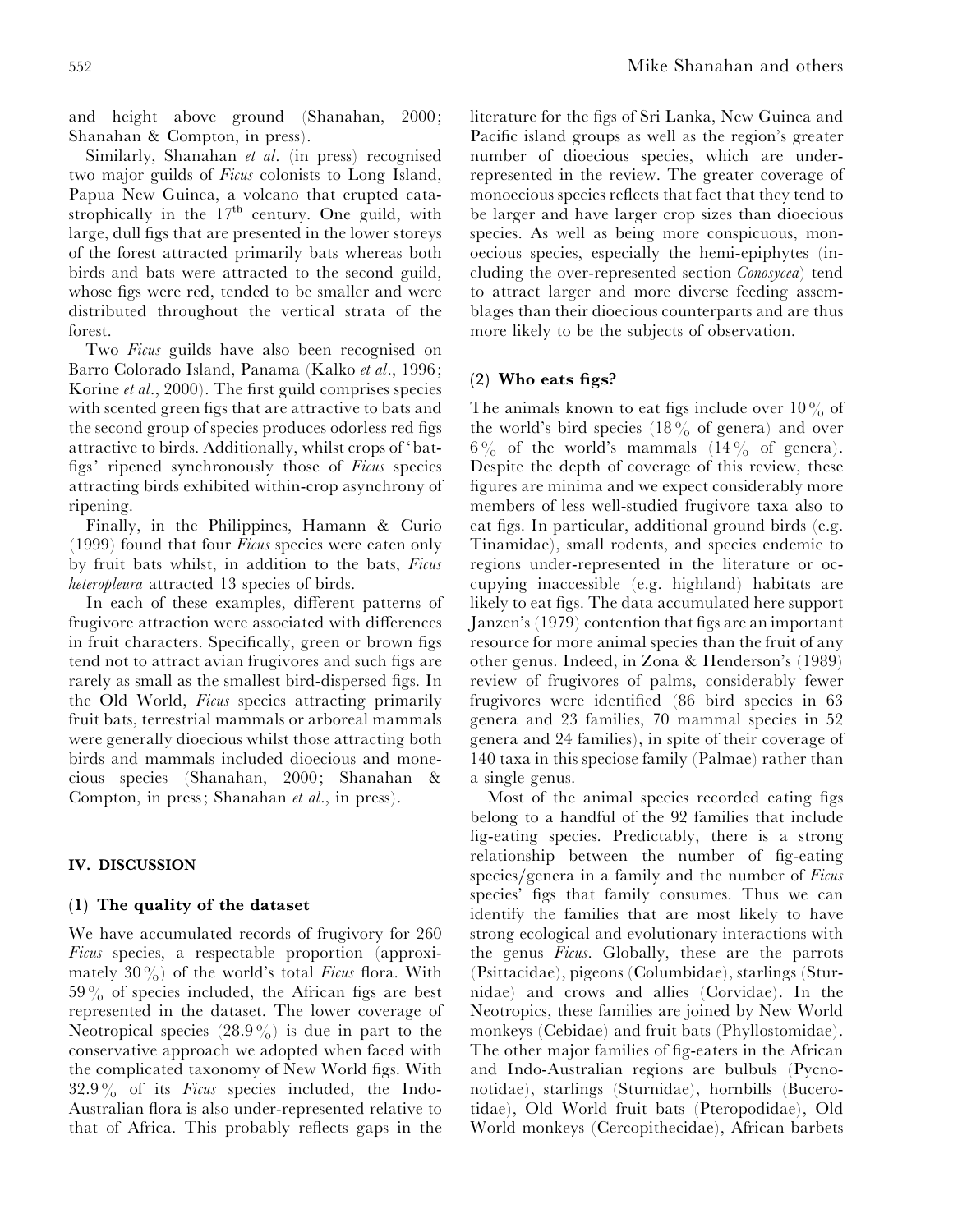and height above ground (Shanahan, 2000; Shanahan & Compton, in press).

Similarly, Shanahan *et al*. (in press) recognised two major guilds of *Ficus* colonists to Long Island, Papua New Guinea, a volcano that erupted catastrophically in the  $17<sup>th</sup>$  century. One guild, with large, dull figs that are presented in the lower storeys of the forest attracted primarily bats whereas both birds and bats were attracted to the second guild, whose figs were red, tended to be smaller and were distributed throughout the vertical strata of the forest.

Two *Ficus* guilds have also been recognised on Barro Colorado Island, Panama (Kalko *et al*., 1996; Korine *et al*., 2000). The first guild comprises species with scented green figs that are attractive to bats and the second group of species produces odorless red figs attractive to birds. Additionally, whilst crops of 'batfigs' ripened synchronously those of *Ficus* species attracting birds exhibited within-crop asynchrony of ripening.

Finally, in the Philippines, Hamann & Curio (1999) found that four *Ficus* species were eaten only by fruit bats whilst, in addition to the bats, *Ficus heteropleura* attracted 13 species of birds.

In each of these examples, different patterns of frugivore attraction were associated with differences in fruit characters. Specifically, green or brown figs tend not to attract avian frugivores and such figs are rarely as small as the smallest bird-dispersed figs. In the Old World, *Ficus* species attracting primarily fruit bats, terrestrial mammals or arboreal mammals were generally dioecious whilst those attracting both birds and mammals included dioecious and monecious species (Shanahan, 2000; Shanahan & Compton, in press; Shanahan *et al*., in press).

#### *IV. DISCUSSION*

#### *(1) The quality of the dataset*

We have accumulated records of frugivory for 260 *Ficus* species, a respectable proportion (approximately 30%) of the world's total *Ficus* flora. With  $59\%$  of species included, the African figs are best represented in the dataset. The lower coverage of Neotropical species  $(28.9\%)$  is due in part to the conservative approach we adopted when faced with the complicated taxonomy of New World figs. With  $32.9\%$  of its *Ficus* species included, the Indo-Australian flora is also under-represented relative to that of Africa. This probably reflects gaps in the literature for the figs of Sri Lanka, New Guinea and Pacific island groups as well as the region's greater number of dioecious species, which are underrepresented in the review. The greater coverage of monoecious species reflects that fact that they tend to be larger and have larger crop sizes than dioecious species. As well as being more conspicuous, monoecious species, especially the hemi-epiphytes (including the over-represented section *Conosycea*) tend to attract larger and more diverse feeding assemblages than their dioecious counterparts and are thus more likely to be the subjects of observation.

#### *(2) Who eats figs?*

The animals known to eat figs include over  $10\%$  of the world's bird species  $(18\%$  of genera) and over  $6\%$  of the world's mammals  $(14\%$  of genera). Despite the depth of coverage of this review, these figures are minima and we expect considerably more members of less well-studied frugivore taxa also to eat figs. In particular, additional ground birds (e.g. Tinamidae), small rodents, and species endemic to regions under-represented in the literature or occupying inaccessible (e.g. highland) habitats are likely to eat figs. The data accumulated here support Janzen's (1979) contention that figs are an important resource for more animal species than the fruit of any other genus. Indeed, in Zona & Henderson's (1989) review of frugivores of palms, considerably fewer frugivores were identified (86 bird species in 63 genera and 23 families, 70 mammal species in 52 genera and 24 families), in spite of their coverage of 140 taxa in this speciose family (Palmae) rather than a single genus.

Most of the animal species recorded eating figs belong to a handful of the 92 families that include fig-eating species. Predictably, there is a strong relationship between the number of fig-eating species}genera in a family and the number of *Ficus* species' figs that family consumes. Thus we can identify the families that are most likely to have strong ecological and evolutionary interactions with the genus *Ficus*. Globally, these are the parrots (Psittacidae), pigeons (Columbidae), starlings (Sturnidae) and crows and allies (Corvidae). In the Neotropics, these families are joined by New World monkeys (Cebidae) and fruit bats (Phyllostomidae). The other major families of fig-eaters in the African and Indo-Australian regions are bulbuls (Pycnonotidae), starlings (Sturnidae), hornbills (Bucerotidae), Old World fruit bats (Pteropodidae), Old World monkeys (Cercopithecidae), African barbets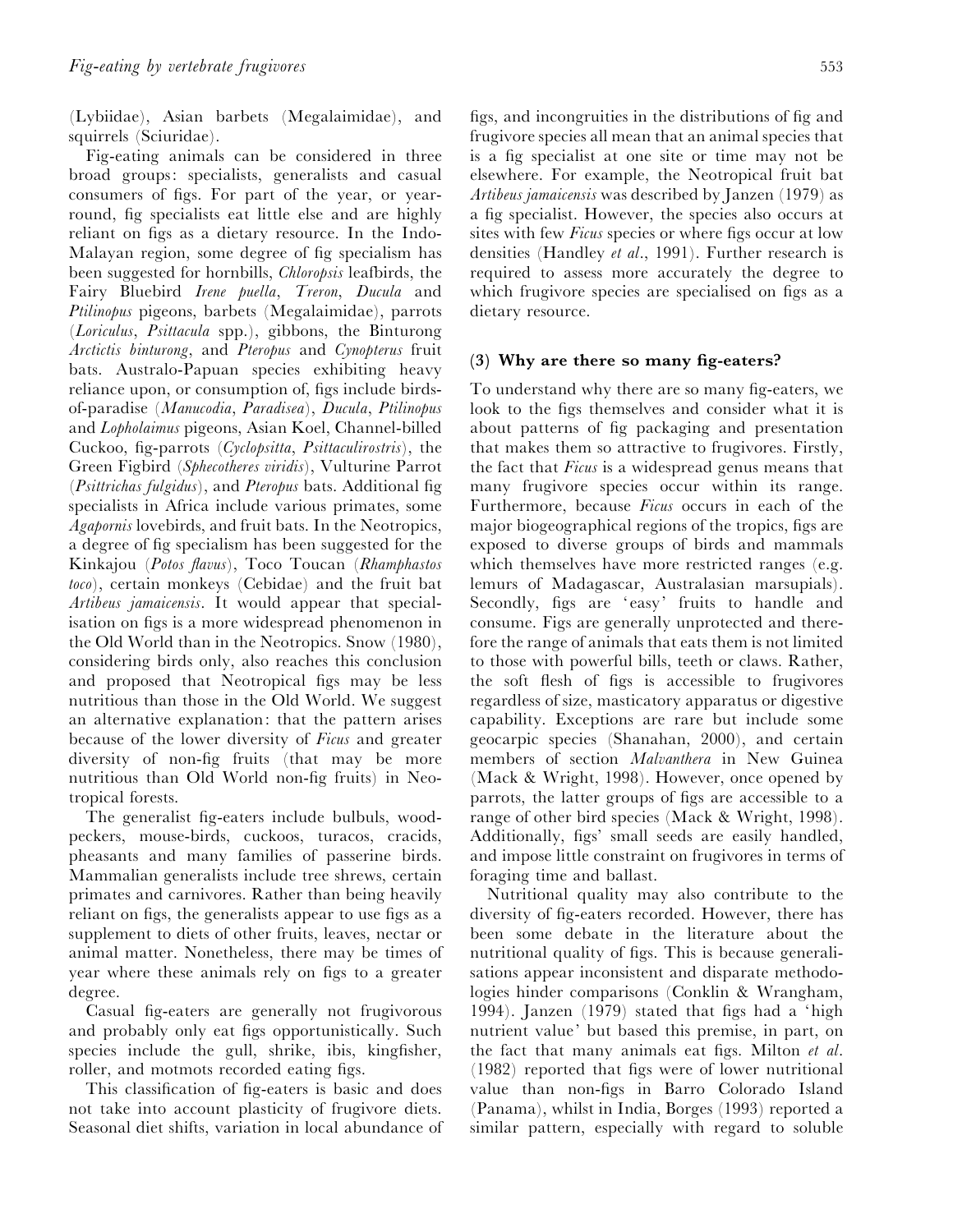(Lybiidae), Asian barbets (Megalaimidae), and squirrels (Sciuridae).

Fig-eating animals can be considered in three broad groups: specialists, generalists and casual consumers of figs. For part of the year, or yearround, fig specialists eat little else and are highly reliant on figs as a dietary resource. In the Indo-Malayan region, some degree of fig specialism has been suggested for hornbills, *Chloropsis* leafbirds, the Fairy Bluebird *Irene puella*, *Treron*, *Ducula* and *Ptilinopus* pigeons, barbets (Megalaimidae), parrots (*Loriculus*, *Psittacula* spp.), gibbons, the Binturong *Arctictis binturong*, and *Pteropus* and *Cynopterus* fruit bats. Australo-Papuan species exhibiting heavy reliance upon, or consumption of, figs include birdsof-paradise (*Manucodia*, *Paradisea*), *Ducula*, *Ptilinopus* and *Lopholaimus* pigeons, Asian Koel, Channel-billed Cuckoo, fig-parrots (*Cyclopsitta*, *Psittaculirostris*), the Green Figbird (*Sphecotheres viridis*), Vulturine Parrot (*Psittrichas fulgidus*), and *Pteropus* bats. Additional fig specialists in Africa include various primates, some *Agapornis* lovebirds, and fruit bats. In the Neotropics, a degree of fig specialism has been suggested for the Kinkajou (*Potos flavus*), Toco Toucan (*Rhamphastos toco*), certain monkeys (Cebidae) and the fruit bat *Artibeus jamaicensis*. It would appear that specialisation on figs is a more widespread phenomenon in the Old World than in the Neotropics. Snow (1980), considering birds only, also reaches this conclusion and proposed that Neotropical figs may be less nutritious than those in the Old World. We suggest an alternative explanation: that the pattern arises because of the lower diversity of *Ficus* and greater diversity of non-fig fruits (that may be more nutritious than Old World non-fig fruits) in Neotropical forests.

The generalist fig-eaters include bulbuls, woodpeckers, mouse-birds, cuckoos, turacos, cracids, pheasants and many families of passerine birds. Mammalian generalists include tree shrews, certain primates and carnivores. Rather than being heavily reliant on figs, the generalists appear to use figs as a supplement to diets of other fruits, leaves, nectar or animal matter. Nonetheless, there may be times of year where these animals rely on figs to a greater degree.

Casual fig-eaters are generally not frugivorous and probably only eat figs opportunistically. Such species include the gull, shrike, ibis, kingfisher, roller, and motmots recorded eating figs.

This classification of fig-eaters is basic and does not take into account plasticity of frugivore diets. Seasonal diet shifts, variation in local abundance of figs, and incongruities in the distributions of fig and frugivore species all mean that an animal species that is a fig specialist at one site or time may not be elsewhere. For example, the Neotropical fruit bat *Artibeus jamaicensis* was described by Janzen (1979) as a fig specialist. However, the species also occurs at sites with few *Ficus* species or where figs occur at low densities (Handley *et al*., 1991). Further research is required to assess more accurately the degree to which frugivore species are specialised on figs as a dietary resource.

#### *(3) Why are there so many fig-eaters?*

To understand why there are so many fig-eaters, we look to the figs themselves and consider what it is about patterns of fig packaging and presentation that makes them so attractive to frugivores. Firstly, the fact that *Ficus* is a widespread genus means that many frugivore species occur within its range. Furthermore, because *Ficus* occurs in each of the major biogeographical regions of the tropics, figs are exposed to diverse groups of birds and mammals which themselves have more restricted ranges (e.g. lemurs of Madagascar, Australasian marsupials). Secondly, figs are 'easy' fruits to handle and consume. Figs are generally unprotected and therefore the range of animals that eats them is not limited to those with powerful bills, teeth or claws. Rather, the soft flesh of figs is accessible to frugivores regardless of size, masticatory apparatus or digestive capability. Exceptions are rare but include some geocarpic species (Shanahan, 2000), and certain members of section *Malvanthera* in New Guinea (Mack & Wright, 1998). However, once opened by parrots, the latter groups of figs are accessible to a range of other bird species (Mack & Wright, 1998). Additionally, figs' small seeds are easily handled, and impose little constraint on frugivores in terms of foraging time and ballast.

Nutritional quality may also contribute to the diversity of fig-eaters recorded. However, there has been some debate in the literature about the nutritional quality of figs. This is because generalisations appear inconsistent and disparate methodologies hinder comparisons (Conklin & Wrangham, 1994). Janzen (1979) stated that figs had a 'high nutrient value' but based this premise, in part, on the fact that many animals eat figs. Milton *et al*. (1982) reported that figs were of lower nutritional value than non-figs in Barro Colorado Island (Panama), whilst in India, Borges (1993) reported a similar pattern, especially with regard to soluble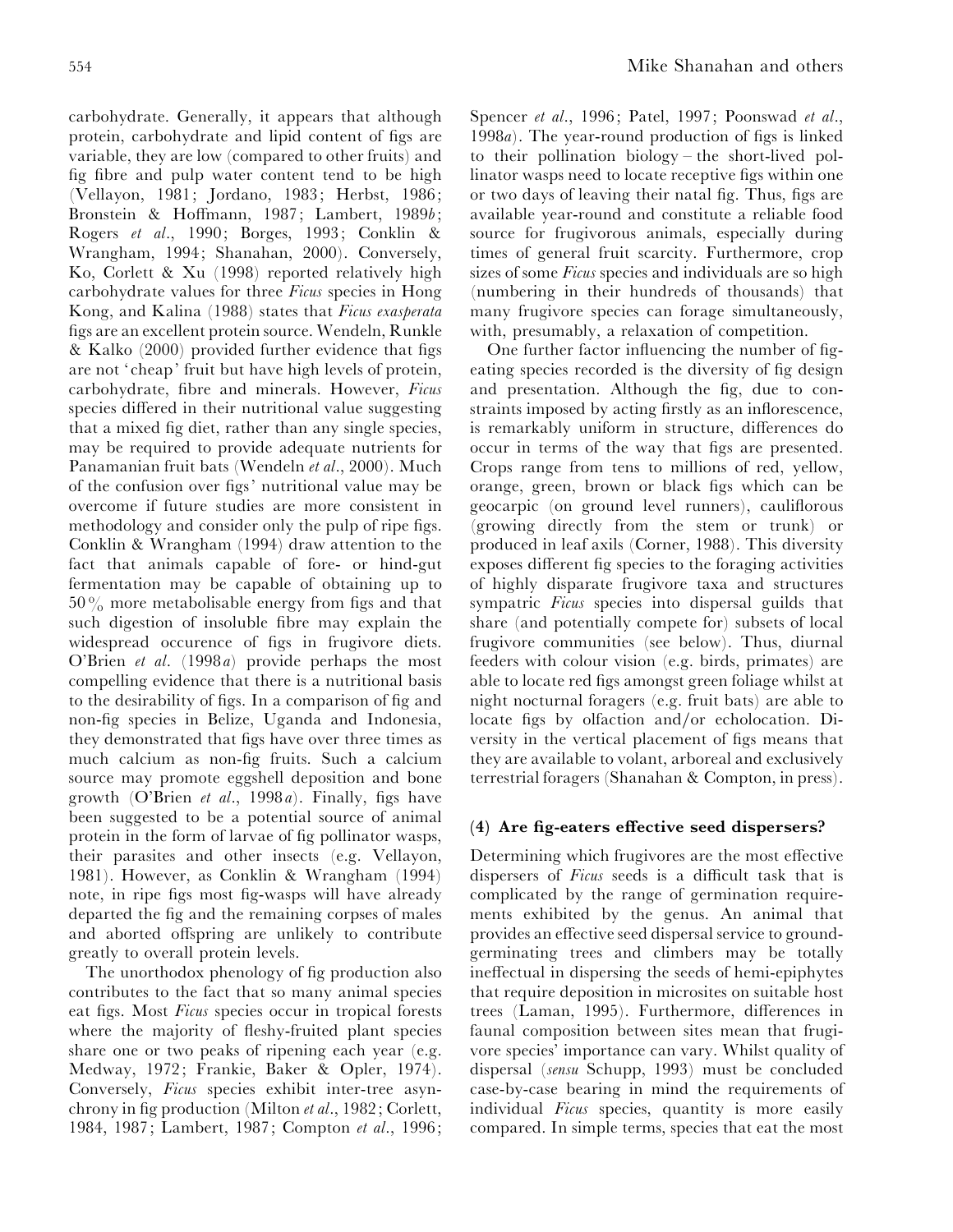carbohydrate. Generally, it appears that although protein, carbohydrate and lipid content of figs are variable, they are low (compared to other fruits) and fig fibre and pulp water content tend to be high (Vellayon, 1981; Jordano, 1983; Herbst, 1986; Bronstein & Hoffmann, 1987; Lambert, 1989*b*; Rogers *et al*., 1990; Borges, 1993; Conklin & Wrangham, 1994; Shanahan, 2000). Conversely, Ko, Corlett & Xu (1998) reported relatively high carbohydrate values for three *Ficus* species in Hong Kong, and Kalina (1988) states that *Ficus exasperata* figs are an excellent protein source. Wendeln, Runkle & Kalko (2000) provided further evidence that figs are not 'cheap' fruit but have high levels of protein, carbohydrate, fibre and minerals. However, *Ficus* species differed in their nutritional value suggesting that a mixed fig diet, rather than any single species, may be required to provide adequate nutrients for Panamanian fruit bats (Wendeln *et al*., 2000). Much of the confusion over figs' nutritional value may be overcome if future studies are more consistent in methodology and consider only the pulp of ripe figs. Conklin & Wrangham (1994) draw attention to the fact that animals capable of fore- or hind-gut fermentation may be capable of obtaining up to  $50\%$  more metabolisable energy from figs and that such digestion of insoluble fibre may explain the widespread occurence of figs in frugivore diets. O'Brien *et al*. (1998*a*) provide perhaps the most compelling evidence that there is a nutritional basis to the desirability of figs. In a comparison of fig and non-fig species in Belize, Uganda and Indonesia, they demonstrated that figs have over three times as much calcium as non-fig fruits. Such a calcium source may promote eggshell deposition and bone growth (O'Brien *et al*., 1998*a*). Finally, figs have been suggested to be a potential source of animal protein in the form of larvae of fig pollinator wasps, their parasites and other insects (e.g. Vellayon, 1981). However, as Conklin & Wrangham (1994) note, in ripe figs most fig-wasps will have already departed the fig and the remaining corpses of males and aborted offspring are unlikely to contribute greatly to overall protein levels.

The unorthodox phenology of fig production also contributes to the fact that so many animal species eat figs. Most *Ficus* species occur in tropical forests where the majority of fleshy-fruited plant species share one or two peaks of ripening each year (e.g. Medway, 1972; Frankie, Baker & Opler, 1974). Conversely, *Ficus* species exhibit inter-tree asynchrony in fig production (Milton *et al*., 1982; Corlett, 1984, 1987; Lambert, 1987; Compton *et al*., 1996; Spencer *et al*., 1996; Patel, 1997; Poonswad *et al*., 1998*a*). The year-round production of figs is linked to their pollination biology – the short-lived pollinator wasps need to locate receptive figs within one or two days of leaving their natal fig. Thus, figs are available year-round and constitute a reliable food source for frugivorous animals, especially during times of general fruit scarcity. Furthermore, crop sizes of some *Ficus* species and individuals are so high (numbering in their hundreds of thousands) that many frugivore species can forage simultaneously, with, presumably, a relaxation of competition.

One further factor influencing the number of figeating species recorded is the diversity of fig design and presentation. Although the fig, due to constraints imposed by acting firstly as an inflorescence, is remarkably uniform in structure, differences do occur in terms of the way that figs are presented. Crops range from tens to millions of red, yellow, orange, green, brown or black figs which can be geocarpic (on ground level runners), cauliflorous (growing directly from the stem or trunk) or produced in leaf axils (Corner, 1988). This diversity exposes different fig species to the foraging activities of highly disparate frugivore taxa and structures sympatric *Ficus* species into dispersal guilds that share (and potentially compete for) subsets of local frugivore communities (see below). Thus, diurnal feeders with colour vision (e.g. birds, primates) are able to locate red figs amongst green foliage whilst at night nocturnal foragers (e.g. fruit bats) are able to locate figs by olfaction and/or echolocation. Diversity in the vertical placement of figs means that they are available to volant, arboreal and exclusively terrestrial foragers (Shanahan & Compton, in press).

## *(4) Are fig-eaters effective seed dispersers?*

Determining which frugivores are the most effective dispersers of *Ficus* seeds is a difficult task that is complicated by the range of germination requirements exhibited by the genus. An animal that provides an effective seed dispersal service to groundgerminating trees and climbers may be totally ineffectual in dispersing the seeds of hemi-epiphytes that require deposition in microsites on suitable host trees (Laman, 1995). Furthermore, differences in faunal composition between sites mean that frugivore species' importance can vary. Whilst quality of dispersal (*sensu* Schupp, 1993) must be concluded case-by-case bearing in mind the requirements of individual *Ficus* species, quantity is more easily compared. In simple terms, species that eat the most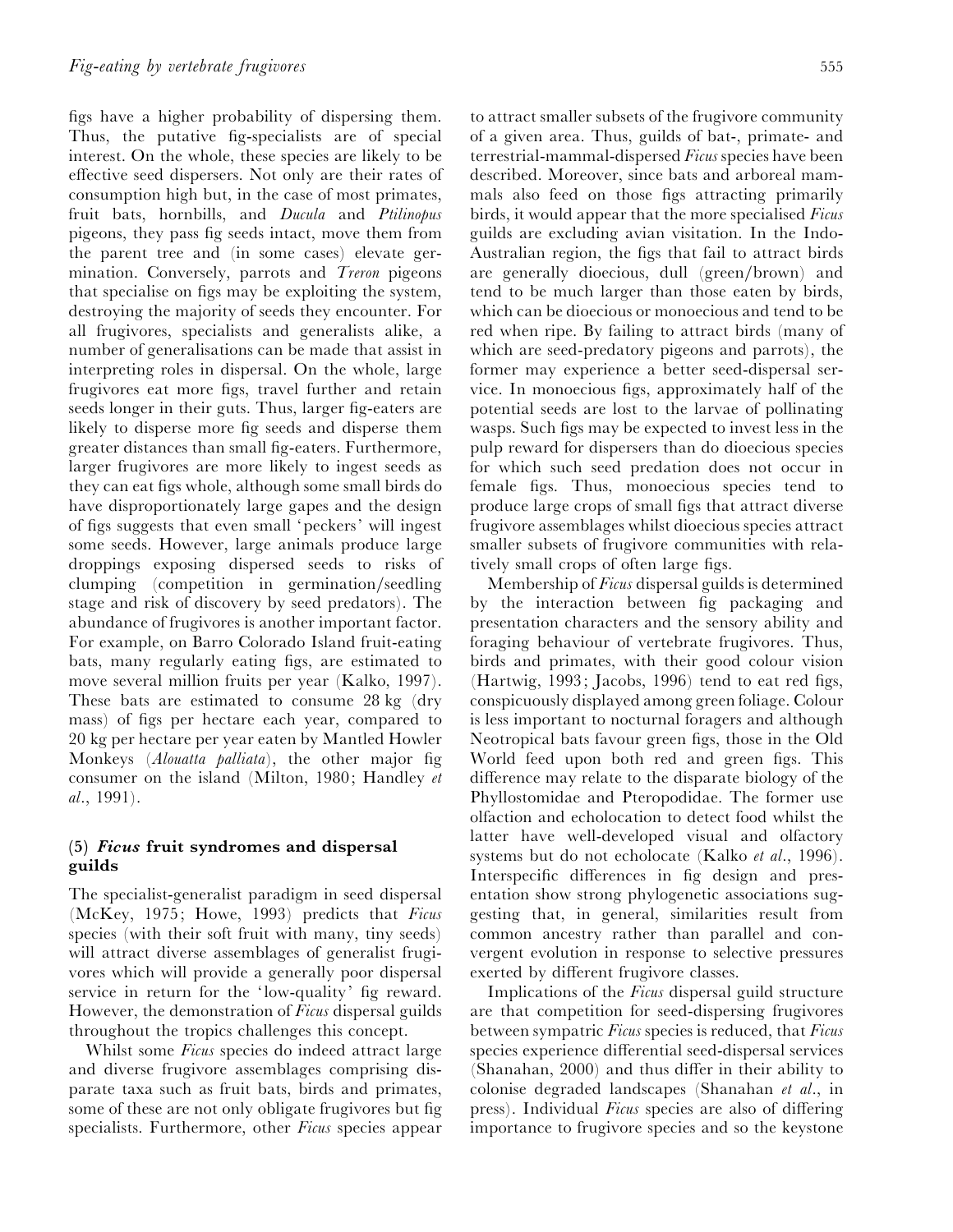figs have a higher probability of dispersing them. Thus, the putative fig-specialists are of special interest. On the whole, these species are likely to be effective seed dispersers. Not only are their rates of consumption high but, in the case of most primates, fruit bats, hornbills, and *Ducula* and *Ptilinopus* pigeons, they pass fig seeds intact, move them from the parent tree and (in some cases) elevate germination. Conversely, parrots and *Treron* pigeons that specialise on figs may be exploiting the system, destroying the majority of seeds they encounter. For all frugivores, specialists and generalists alike, a number of generalisations can be made that assist in interpreting roles in dispersal. On the whole, large frugivores eat more figs, travel further and retain seeds longer in their guts. Thus, larger fig-eaters are likely to disperse more fig seeds and disperse them greater distances than small fig-eaters. Furthermore, larger frugivores are more likely to ingest seeds as they can eat figs whole, although some small birds do have disproportionately large gapes and the design of figs suggests that even small 'peckers' will ingest some seeds. However, large animals produce large droppings exposing dispersed seeds to risks of clumping (competition in germination/seedling stage and risk of discovery by seed predators). The abundance of frugivores is another important factor. For example, on Barro Colorado Island fruit-eating bats, many regularly eating figs, are estimated to move several million fruits per year (Kalko, 1997). These bats are estimated to consume 28 kg (dry mass) of figs per hectare each year, compared to 20 kg per hectare per year eaten by Mantled Howler Monkeys (*Alouatta palliata*), the other major fig consumer on the island (Milton, 1980; Handley *et al*., 1991).

## *(5) Ficus fruit syndromes and dispersal guilds*

The specialist-generalist paradigm in seed dispersal (McKey, 1975; Howe, 1993) predicts that *Ficus* species (with their soft fruit with many, tiny seeds) will attract diverse assemblages of generalist frugivores which will provide a generally poor dispersal service in return for the 'low-quality' fig reward. However, the demonstration of *Ficus* dispersal guilds throughout the tropics challenges this concept.

Whilst some *Ficus* species do indeed attract large and diverse frugivore assemblages comprising disparate taxa such as fruit bats, birds and primates, some of these are not only obligate frugivores but fig specialists. Furthermore, other *Ficus* species appear to attract smaller subsets of the frugivore community of a given area. Thus, guilds of bat-, primate- and terrestrial-mammal-dispersed *Ficus* species have been described. Moreover, since bats and arboreal mammals also feed on those figs attracting primarily birds, it would appear that the more specialised *Ficus* guilds are excluding avian visitation. In the Indo-Australian region, the figs that fail to attract birds are generally dioecious, dull (green/brown) and tend to be much larger than those eaten by birds, which can be dioecious or monoecious and tend to be red when ripe. By failing to attract birds (many of which are seed-predatory pigeons and parrots), the former may experience a better seed-dispersal service. In monoecious figs, approximately half of the potential seeds are lost to the larvae of pollinating wasps. Such figs may be expected to invest less in the pulp reward for dispersers than do dioecious species for which such seed predation does not occur in female figs. Thus, monoecious species tend to produce large crops of small figs that attract diverse frugivore assemblages whilst dioecious species attract smaller subsets of frugivore communities with relatively small crops of often large figs.

Membership of *Ficus* dispersal guilds is determined by the interaction between fig packaging and presentation characters and the sensory ability and foraging behaviour of vertebrate frugivores. Thus, birds and primates, with their good colour vision (Hartwig, 1993; Jacobs, 1996) tend to eat red figs, conspicuously displayed among green foliage. Colour is less important to nocturnal foragers and although Neotropical bats favour green figs, those in the Old World feed upon both red and green figs. This difference may relate to the disparate biology of the Phyllostomidae and Pteropodidae. The former use olfaction and echolocation to detect food whilst the latter have well-developed visual and olfactory systems but do not echolocate (Kalko *et al*., 1996). Interspecific differences in fig design and presentation show strong phylogenetic associations suggesting that, in general, similarities result from common ancestry rather than parallel and convergent evolution in response to selective pressures exerted by different frugivore classes.

Implications of the *Ficus* dispersal guild structure are that competition for seed-dispersing frugivores between sympatric *Ficus* species is reduced, that *Ficus* species experience differential seed-dispersal services (Shanahan, 2000) and thus differ in their ability to colonise degraded landscapes (Shanahan *et al*., in press). Individual *Ficus* species are also of differing importance to frugivore species and so the keystone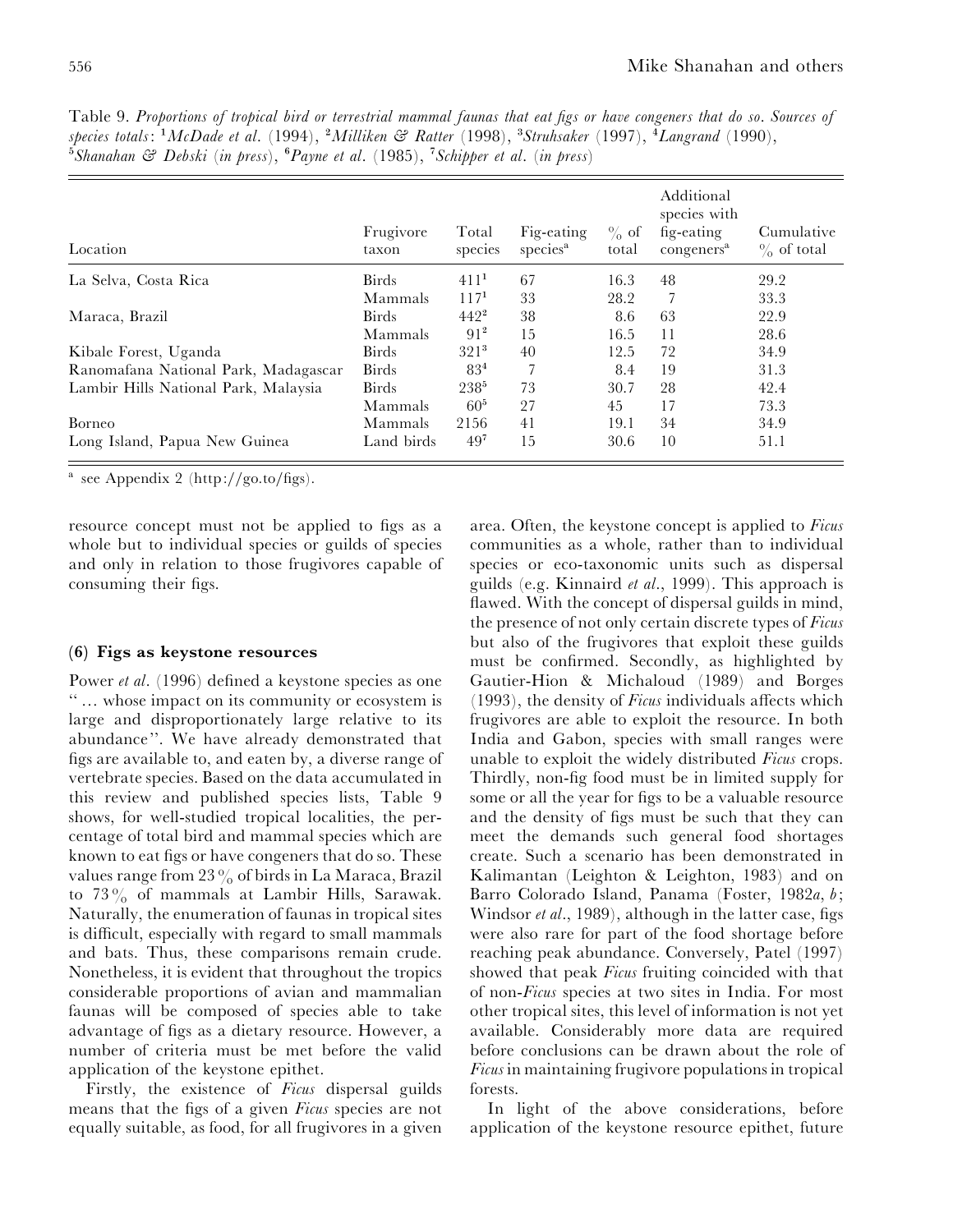| Location                             | Frugivore<br>taxon | Total<br>species | Fig-eating<br>species <sup>a</sup> | $\%$ of<br>total | Additional<br>species with<br>fig-eating<br>congeners <sup>a</sup> | Cumulative<br>$\%$ of total |
|--------------------------------------|--------------------|------------------|------------------------------------|------------------|--------------------------------------------------------------------|-----------------------------|
| La Selva, Costa Rica                 | <b>Birds</b>       | 411 <sup>1</sup> | 67                                 | 16.3             | 48                                                                 | 29.2                        |
|                                      | Mammals            | 117 <sup>1</sup> | 33                                 | 28.2             | 7                                                                  | 33.3                        |
| Maraca, Brazil                       | <b>Birds</b>       | $442^2$          | 38                                 | 8.6              | 63                                                                 | 22.9                        |
|                                      | Mammals            | 91 <sup>2</sup>  | 15                                 | 16.5             | 11                                                                 | 28.6                        |
| Kibale Forest, Uganda                | Birds              | 321 <sup>3</sup> | 40                                 | 12.5             | 72                                                                 | 34.9                        |
| Ranomafana National Park, Madagascar | <b>Birds</b>       | 83 <sup>4</sup>  |                                    | 8.4              | 19                                                                 | 31.3                        |
| Lambir Hills National Park, Malaysia | <b>Birds</b>       | 2385             | 73                                 | 30.7             | 28                                                                 | 42.4                        |
|                                      | Mammals            | $60^{5}$         | 27                                 | 45               | 17                                                                 | 73.3                        |
| Borneo                               | Mammals            | 2156             | 41                                 | 19.1             | 34                                                                 | 34.9                        |
| Long Island, Papua New Guinea        | Land birds         | $49^{7}$         | 15                                 | 30.6             | 10                                                                 | 51.1                        |

Table 9. *Proportions of tropical bird or terrestrial mammal faunas that eat figs or have congeners that do so*. *Sources of species totals*: "*McDade et al*. (1994), #*Milliken & Ratter* (1998), \$*Struhsaker* (1997), %*Langrand* (1990), <sup>5</sup>Shanahan & Debski (*in press*), <sup>6</sup>Payne et al. (1985), <sup>7</sup>Schipper et al. (*in press*)

<sup>a</sup> see Appendix 2 (http://go.to/figs).

resource concept must not be applied to figs as a whole but to individual species or guilds of species and only in relation to those frugivores capable of consuming their figs.

## *(6) Figs as keystone resources*

Power *et al.* (1996) defined a keystone species as one '' … whose impact on its community or ecosystem is large and disproportionately large relative to its abundance''. We have already demonstrated that figs are available to, and eaten by, a diverse range of vertebrate species. Based on the data accumulated in this review and published species lists, Table 9 shows, for well-studied tropical localities, the percentage of total bird and mammal species which are known to eat figs or have congeners that do so. These values range from 23% of birds in La Maraca, Brazil to  $73\%$  of mammals at Lambir Hills, Sarawak. Naturally, the enumeration of faunas in tropical sites is difficult, especially with regard to small mammals and bats. Thus, these comparisons remain crude. Nonetheless, it is evident that throughout the tropics considerable proportions of avian and mammalian faunas will be composed of species able to take advantage of figs as a dietary resource. However, a number of criteria must be met before the valid application of the keystone epithet.

Firstly, the existence of *Ficus* dispersal guilds means that the figs of a given *Ficus* species are not equally suitable, as food, for all frugivores in a given area. Often, the keystone concept is applied to *Ficus* communities as a whole, rather than to individual species or eco-taxonomic units such as dispersal guilds (e.g. Kinnaird *et al*., 1999). This approach is flawed. With the concept of dispersal guilds in mind, the presence of not only certain discrete types of *Ficus* but also of the frugivores that exploit these guilds must be confirmed. Secondly, as highlighted by Gautier-Hion & Michaloud (1989) and Borges (1993), the density of *Ficus* individuals affects which frugivores are able to exploit the resource. In both India and Gabon, species with small ranges were unable to exploit the widely distributed *Ficus* crops. Thirdly, non-fig food must be in limited supply for some or all the year for figs to be a valuable resource and the density of figs must be such that they can meet the demands such general food shortages create. Such a scenario has been demonstrated in Kalimantan (Leighton & Leighton, 1983) and on Barro Colorado Island, Panama (Foster, 1982*a*, *b*; Windsor *et al*., 1989), although in the latter case, figs were also rare for part of the food shortage before reaching peak abundance. Conversely, Patel (1997) showed that peak *Ficus* fruiting coincided with that of non-*Ficus* species at two sites in India. For most other tropical sites, this level of information is not yet available. Considerably more data are required before conclusions can be drawn about the role of *Ficus* in maintaining frugivore populations in tropical forests.

In light of the above considerations, before application of the keystone resource epithet, future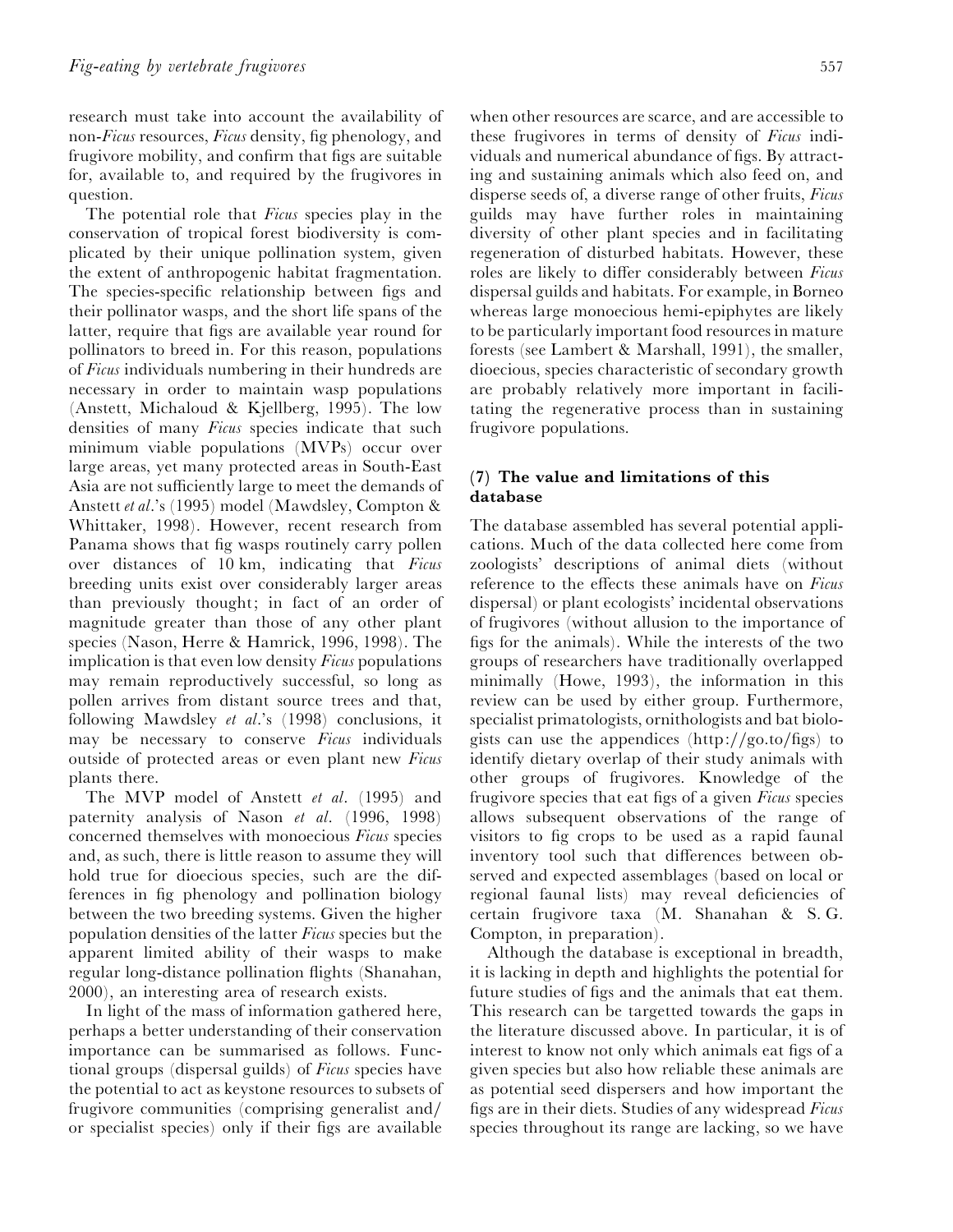research must take into account the availability of non-*Ficus* resources, *Ficus* density, fig phenology, and frugivore mobility, and confirm that figs are suitable for, available to, and required by the frugivores in question.

The potential role that *Ficus* species play in the conservation of tropical forest biodiversity is complicated by their unique pollination system, given the extent of anthropogenic habitat fragmentation. The species-specific relationship between figs and their pollinator wasps, and the short life spans of the latter, require that figs are available year round for pollinators to breed in. For this reason, populations of *Ficus* individuals numbering in their hundreds are necessary in order to maintain wasp populations (Anstett, Michaloud & Kjellberg, 1995). The low densities of many *Ficus* species indicate that such minimum viable populations (MVPs) occur over large areas, yet many protected areas in South-East Asia are not sufficiently large to meet the demands of Anstett *et al*.'s (1995) model (Mawdsley, Compton & Whittaker, 1998). However, recent research from Panama shows that fig wasps routinely carry pollen over distances of 10 km, indicating that *Ficus* breeding units exist over considerably larger areas than previously thought; in fact of an order of magnitude greater than those of any other plant species (Nason, Herre & Hamrick, 1996, 1998). The implication is that even low density *Ficus* populations may remain reproductively successful, so long as pollen arrives from distant source trees and that, following Mawdsley *et al*.'s (1998) conclusions, it may be necessary to conserve *Ficus* individuals outside of protected areas or even plant new *Ficus* plants there.

The MVP model of Anstett *et al*. (1995) and paternity analysis of Nason *et al*. (1996, 1998) concerned themselves with monoecious *Ficus* species and, as such, there is little reason to assume they will hold true for dioecious species, such are the differences in fig phenology and pollination biology between the two breeding systems. Given the higher population densities of the latter *Ficus* species but the apparent limited ability of their wasps to make regular long-distance pollination flights (Shanahan, 2000), an interesting area of research exists.

In light of the mass of information gathered here, perhaps a better understanding of their conservation importance can be summarised as follows. Functional groups (dispersal guilds) of *Ficus* species have the potential to act as keystone resources to subsets of frugivore communities (comprising generalist and/ or specialist species) only if their figs are available when other resources are scarce, and are accessible to these frugivores in terms of density of *Ficus* individuals and numerical abundance of figs. By attracting and sustaining animals which also feed on, and disperse seeds of, a diverse range of other fruits, *Ficus* guilds may have further roles in maintaining diversity of other plant species and in facilitating regeneration of disturbed habitats. However, these roles are likely to differ considerably between *Ficus* dispersal guilds and habitats. For example, in Borneo whereas large monoecious hemi-epiphytes are likely to be particularly important food resources in mature forests (see Lambert & Marshall, 1991), the smaller, dioecious, species characteristic of secondary growth are probably relatively more important in facilitating the regenerative process than in sustaining frugivore populations.

## *(7) The value and limitations of this database*

The database assembled has several potential applications. Much of the data collected here come from zoologists' descriptions of animal diets (without reference to the effects these animals have on *Ficus* dispersal) or plant ecologists' incidental observations of frugivores (without allusion to the importance of figs for the animals). While the interests of the two groups of researchers have traditionally overlapped minimally (Howe, 1993), the information in this review can be used by either group. Furthermore, specialist primatologists, ornithologists and bat biologists can use the appendices  $(http://go.to/figs)$  to identify dietary overlap of their study animals with other groups of frugivores. Knowledge of the frugivore species that eat figs of a given *Ficus* species allows subsequent observations of the range of visitors to fig crops to be used as a rapid faunal inventory tool such that differences between observed and expected assemblages (based on local or regional faunal lists) may reveal deficiencies of certain frugivore taxa (M. Shanahan & S. G. Compton, in preparation).

Although the database is exceptional in breadth, it is lacking in depth and highlights the potential for future studies of figs and the animals that eat them. This research can be targetted towards the gaps in the literature discussed above. In particular, it is of interest to know not only which animals eat figs of a given species but also how reliable these animals are as potential seed dispersers and how important the figs are in their diets. Studies of any widespread *Ficus* species throughout its range are lacking, so we have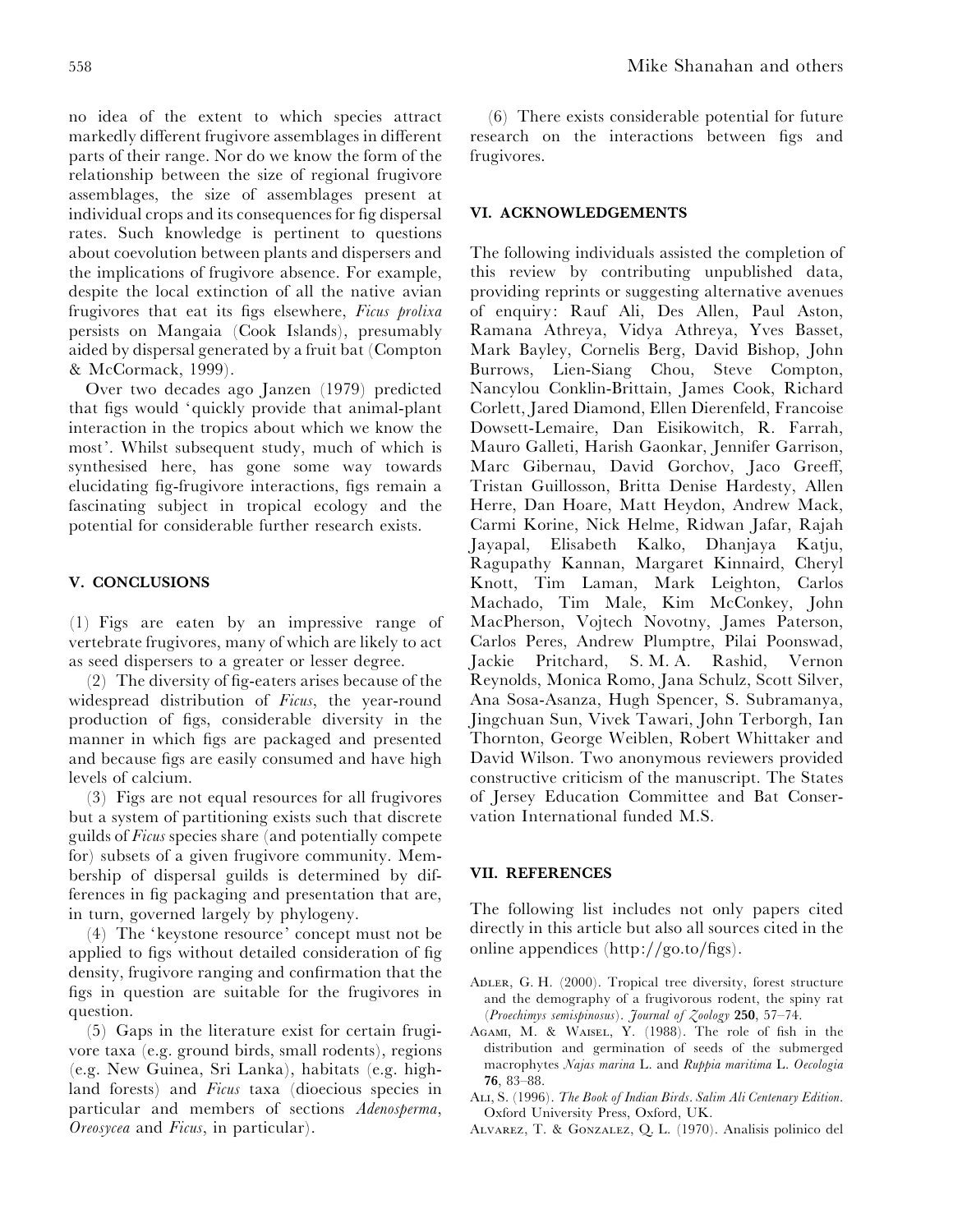no idea of the extent to which species attract markedly different frugivore assemblages in different parts of their range. Nor do we know the form of the relationship between the size of regional frugivore assemblages, the size of assemblages present at individual crops and its consequences for fig dispersal rates. Such knowledge is pertinent to questions about coevolution between plants and dispersers and the implications of frugivore absence. For example, despite the local extinction of all the native avian frugivores that eat its figs elsewhere, *Ficus prolixa* persists on Mangaia (Cook Islands), presumably aided by dispersal generated by a fruit bat (Compton & McCormack, 1999).

Over two decades ago Janzen (1979) predicted that figs would 'quickly provide that animal-plant interaction in the tropics about which we know the most'. Whilst subsequent study, much of which is synthesised here, has gone some way towards elucidating fig-frugivore interactions, figs remain a fascinating subject in tropical ecology and the potential for considerable further research exists.

#### *V. CONCLUSIONS*

(1) Figs are eaten by an impressive range of vertebrate frugivores, many of which are likely to act as seed dispersers to a greater or lesser degree.

(2) The diversity of fig-eaters arises because of the widespread distribution of *Ficus*, the year-round production of figs, considerable diversity in the manner in which figs are packaged and presented and because figs are easily consumed and have high levels of calcium.

(3) Figs are not equal resources for all frugivores but a system of partitioning exists such that discrete guilds of *Ficus* species share (and potentially compete for) subsets of a given frugivore community. Membership of dispersal guilds is determined by differences in fig packaging and presentation that are, in turn, governed largely by phylogeny.

(4) The ' keystone resource' concept must not be applied to figs without detailed consideration of fig density, frugivore ranging and confirmation that the figs in question are suitable for the frugivores in question.

(5) Gaps in the literature exist for certain frugivore taxa (e.g. ground birds, small rodents), regions (e.g. New Guinea, Sri Lanka), habitats (e.g. highland forests) and *Ficus* taxa (dioecious species in particular and members of sections *Adenosperma*, *Oreosycea* and *Ficus*, in particular).

(6) There exists considerable potential for future research on the interactions between figs and frugivores.

#### *VI. ACKNOWLEDGEMENTS*

The following individuals assisted the completion of this review by contributing unpublished data, providing reprints or suggesting alternative avenues of enquiry: Rauf Ali, Des Allen, Paul Aston, Ramana Athreya, Vidya Athreya, Yves Basset, Mark Bayley, Cornelis Berg, David Bishop, John Burrows, Lien-Siang Chou, Steve Compton, Nancylou Conklin-Brittain, James Cook, Richard Corlett, Jared Diamond, Ellen Dierenfeld, Francoise Dowsett-Lemaire, Dan Eisikowitch, R. Farrah, Mauro Galleti, Harish Gaonkar, Jennifer Garrison, Marc Gibernau, David Gorchov, Jaco Greeff, Tristan Guillosson, Britta Denise Hardesty, Allen Herre, Dan Hoare, Matt Heydon, Andrew Mack, Carmi Korine, Nick Helme, Ridwan Jafar, Rajah Jayapal, Elisabeth Kalko, Dhanjaya Katju, Ragupathy Kannan, Margaret Kinnaird, Cheryl Knott, Tim Laman, Mark Leighton, Carlos Machado, Tim Male, Kim McConkey, John MacPherson, Vojtech Novotny, James Paterson, Carlos Peres, Andrew Plumptre, Pilai Poonswad, Jackie Pritchard, S. M. A. Rashid, Vernon Reynolds, Monica Romo, Jana Schulz, Scott Silver, Ana Sosa-Asanza, Hugh Spencer, S. Subramanya, Jingchuan Sun, Vivek Tawari, John Terborgh, Ian Thornton, George Weiblen, Robert Whittaker and David Wilson. Two anonymous reviewers provided constructive criticism of the manuscript. The States of Jersey Education Committee and Bat Conservation International funded M.S.

#### *VII. REFERENCES*

The following list includes not only papers cited directly in this article but also all sources cited in the online appendices  $(\text{http://go.to/figs}).$ 

- ADLER, G. H. (2000). Tropical tree diversity, forest structure and the demography of a frugivorous rodent, the spiny rat (*Proechimys semispinosus*). *Journal of Zoology 250*, 57–74.
- AGAMI, M. & WAISEL, Y. (1988). The role of fish in the distribution and germination of seeds of the submerged macrophytes *Najas marina* L. and *Ruppia maritima* L. *Oecologia 76*, 83–88.
- A, S. (1996). *The Book of Indian Birds*. *Salim Ali Centenary Edition*. Oxford University Press, Oxford, UK.
- ALVAREZ, T. & GONZALEZ, Q. L. (1970). Analisis polinico del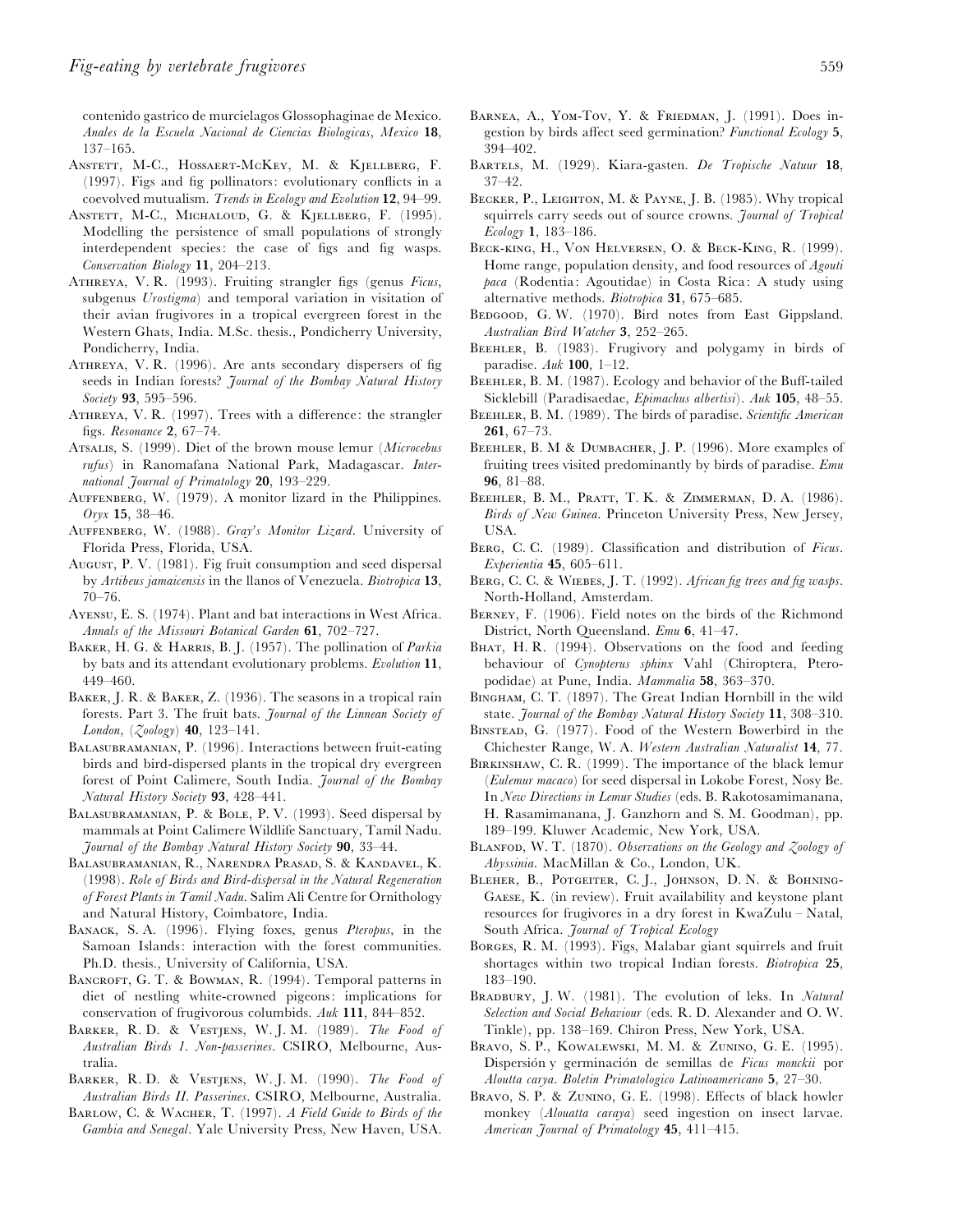contenido gastrico de murcielagos Glossophaginae de Mexico. *Anales de la Escuela Nacional de Ciencias Biologicas*, *Mexico 18*, 137–165.

- ANSTETT, M-C., HOSSAERT-MCKEY, M. & KJELLBERG, F. (1997). Figs and fig pollinators: evolutionary conflicts in a coevolved mutualism. *Trends in Ecology and Evolution 12*, 94–99.
- ANSTETT, M-C., MICHALOUD, G. & KJELLBERG, F. (1995). Modelling the persistence of small populations of strongly interdependent species: the case of figs and fig wasps. *Conservation Biology 11*, 204–213.
- ATHREYA, V. R. (1993). Fruiting strangler figs (genus *Ficus*, subgenus *Urostigma*) and temporal variation in visitation of their avian frugivores in a tropical evergreen forest in the Western Ghats, India. M.Sc. thesis., Pondicherry University, Pondicherry, India.
- ATHREYA, V. R. (1996). Are ants secondary dispersers of fig seeds in Indian forests? *Journal of the Bombay Natural History Society 93*, 595–596.
- ATHREYA, V. R. (1997). Trees with a difference: the strangler figs. *Resonance 2*, 67–74.
- Arsatts, S. (1999). Diet of the brown mouse lemur (*Microcebus rufus*) in Ranomafana National Park, Madagascar. *International Journal of Primatology 20*, 193–229.
- AUFFENBERG, W. (1979). A monitor lizard in the Philippines. *Oryx 15*, 38–46.
- AUFFENBERG, W. (1988). *Gray's Monitor Lizard*. University of Florida Press, Florida, USA.
- August, P. V. (1981). Fig fruit consumption and seed dispersal by *Artibeus jamaicensis* in the llanos of Venezuela. *Biotropica 13*, 70–76.
- AYENSU, E. S. (1974). Plant and bat interactions in West Africa. *Annals of the Missouri Botanical Garden 61*, 702–727.
- BAKER, H. G. & HARRIS, B. J. (1957). The pollination of *Parkia* by bats and its attendant evolutionary problems. *Evolution 11*, 449–460.
- BAKER, J. R. & BAKER, Z. (1936). The seasons in a tropical rain forests. Part 3. The fruit bats. *Journal of the Linnean Society of London*, (*Zoology*) *40*, 123–141.
- BALASUBRAMANIAN, P. (1996). Interactions between fruit-eating birds and bird-dispersed plants in the tropical dry evergreen forest of Point Calimere, South India. *Journal of the Bombay Natural History Society 93*, 428–441.
- BALASUBRAMANIAN, P. & BOLE, P. V. (1993). Seed dispersal by mammals at Point Calimere Wildlife Sanctuary, Tamil Nadu. *Journal of the Bombay Natural History Society 90*, 33–44.
- BALASUBRAMANIAN, R., NARENDRA PRASAD, S. & KANDAVEL, K. (1998). *Role of Birds and Bird*-*dispersal in the Natural Regeneration of Forest Plants in Tamil Nadu*. Salim Ali Centre for Ornithology and Natural History, Coimbatore, India.
- BANACK, S.A. (1996). Flying foxes, genus *Pteropus*, in the Samoan Islands: interaction with the forest communities. Ph.D. thesis., University of California, USA.
- BANCROFT, G. T. & BOWMAN, R. (1994). Temporal patterns in diet of nestling white-crowned pigeons: implications for conservation of frugivorous columbids. *Auk 111*, 844–852.
- BARKER, R. D. & VESTJENS, W. J. M. (1989). *The Food of Australian Birds 1. Non-passerines*. CSIRO, Melbourne, Australia.
- BARKER, R. D. & VESTJENS, W. J. M. (1990). *The Food of Australian Birds II. Passerines*. CSIRO, Melbourne, Australia.
- BARLOW, C. & WACHER, T. (1997). *A Field Guide to Birds of the Gambia and Senegal*. Yale University Press, New Haven, USA.
- BARNEA, A., YOM-TOV, Y. & FRIEDMAN, J. (1991). Does ingestion by birds affect seed germination? *Functional Ecology 5*, 394–402.
- B, M. (1929). Kiara-gasten. *De Tropische Natuur 18*, 37–42.
- BECKER, P., LEIGHTON, M. & PAYNE, J. B. (1985). Why tropical squirrels carry seeds out of source crowns. *Journal of Tropical Ecology 1*, 183–186.
- BECK-KING, H., VON HELVERSEN, O. & BECK-KING, R. (1999). Home range, population density, and food resources of *Agouti paca* (Rodentia: Agoutidae) in Costa Rica: A study using alternative methods. *Biotropica 31*, 675–685.
- BEDGOOD, G. W. (1970). Bird notes from East Gippsland. *Australian Bird Watcher 3*, 252–265.
- BEEHLER, B. (1983). Frugivory and polygamy in birds of paradise. *Auk 100*, 1–12.
- BEEHLER, B. M. (1987). Ecology and behavior of the Buff-tailed Sicklebill (Paradisaedae, *Epimachus albertisi*). *Auk 105*, 48–55.
- BEEHLER, B. M. (1989). The birds of paradise. *Scientific American 261*, 67–73.
- BEEHLER, B. M & DUMBACHER, J. P. (1996). More examples of fruiting trees visited predominantly by birds of paradise. *Emu 96*, 81–88.
- BEEHLER, B. M., PRATT, T. K. & ZIMMERMAN, D. A. (1986). *Birds of New Guinea*. Princeton University Press, New Jersey, USA.
- BERG, C. C. (1989). Classification and distribution of *Ficus*. *Experientia 45*, 605–611.
- BERG, C. C. & WIEBES, J. T. (1992). *African fig trees and fig wasps*. North-Holland, Amsterdam.
- BERNEY, F. (1906). Field notes on the birds of the Richmond District, North Queensland. *Emu 6*, 41–47.
- BHAT, H. R. (1994). Observations on the food and feeding behaviour of *Cynopterus sphinx* Vahl (Chiroptera, Pteropodidae) at Pune, India. *Mammalia 58*, 363–370.
- BINGHAM, C. T. (1897). The Great Indian Hornbill in the wild state. *Journal of the Bombay Natural History Society 11*, 308–310.
- BINSTEAD, G. (1977). Food of the Western Bowerbird in the Chichester Range, W. A. *Western Australian Naturalist 14*, 77.
- BIRKINSHAW, C. R.  $(1999)$ . The importance of the black lemur (*Eulemur macaco*) for seed dispersal in Lokobe Forest, Nosy Be. In *New Directions in Lemur Studies* (eds. B. Rakotosamimanana, H. Rasamimanana, J. Ganzhorn and S. M. Goodman), pp. 189–199. Kluwer Academic, New York, USA.
- BLANFOD, W. T. (1870). *Observations on the Geology and Zoology of Abyssinia*. MacMillan & Co., London, UK.
- BLEHER, B., POTGEITER, C. J., JOHNSON, D. N. & BOHNING-GAESE, K. (in review). Fruit availability and keystone plant resources for frugivores in a dry forest in KwaZulu – Natal, South Africa. *Journal of Tropical Ecology*
- BORGES, R. M. (1993). Figs, Malabar giant squirrels and fruit shortages within two tropical Indian forests. *Biotropica 25*, 183–190.
- BRADBURY, J. W. (1981). The evolution of leks. In *Natural Selection and Social Behaviour* (eds. R. D. Alexander and O. W. Tinkle), pp. 138–169. Chiron Press, New York, USA.
- BRAVO, S. P., KOWALEWSKI, M. M. & ZUNINO, G. E. (1995). Dispersión y germinación de semillas de *Ficus monckii* por *Aloutta carya*. *Boletin Primatologico Latinoamericano 5*, 27–30.
- BRAVO, S. P. & ZUNINO, G. E. (1998). Effects of black howler monkey (*Alouatta caraya*) seed ingestion on insect larvae. *American Journal of Primatology 45*, 411–415.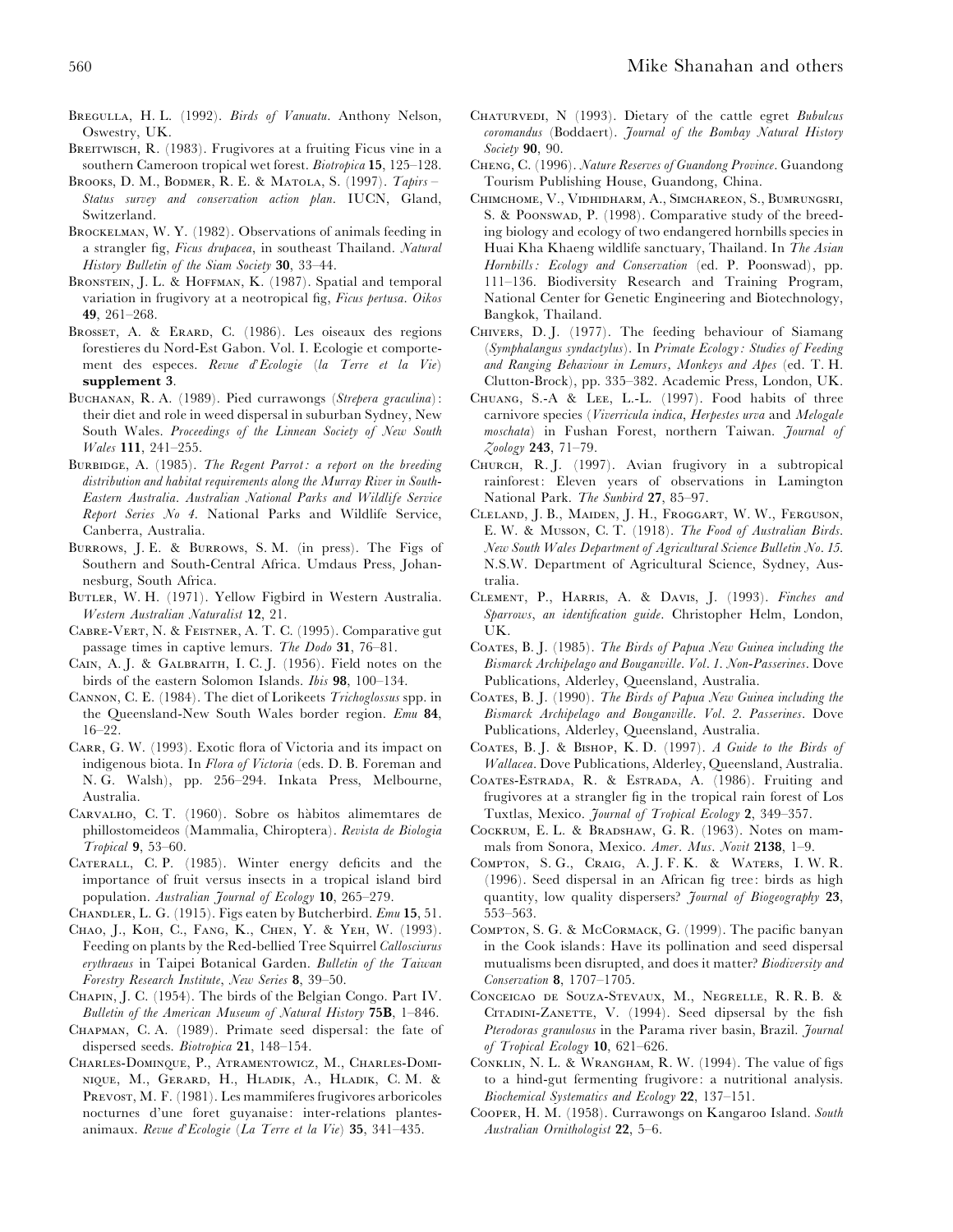- BREGULLA, H. L. (1992). *Birds of Vanuatu*. Anthony Nelson, Oswestry, UK.
- BREITWISCH,  $R. (1983)$ . Frugivores at a fruiting Ficus vine in a southern Cameroon tropical wet forest. *Biotropica 15*, 125–128.
- BROOKS, D. M., BODMER, R. E. & MATOLA, S. (1997). *Tapirs Status survey and conservation action plan*. IUCN, Gland, Switzerland.
- BROCKELMAN, W. Y. (1982). Observations of animals feeding in a strangler fig, *Ficus drupacea*, in southeast Thailand. *Natural History Bulletin of the Siam Society 30*, 33–44.
- BRONSTEIN, J. L. & HOFFMAN, K. (1987). Spatial and temporal variation in frugivory at a neotropical fig, *Ficus pertusa*. *Oikos 49*, 261–268.
- BROSSET, A. & ERARD, C. (1986). Les oiseaux des regions forestieres du Nord-Est Gabon. Vol. I. Ecologie et comportement des especes. *Revue d*'*Ecologie* (*la Terre et la Vie*) *supplement 3*.
- BUCHANAN, R. A. (1989). Pied currawongs (*Strepera graculina*): their diet and role in weed dispersal in suburban Sydney, New South Wales. *Proceedings of the Linnean Society of New South Wales 111*, 241–255.
- BURBIDGE, A. (1985). *The Regent Parrot: a report on the breeding distribution and habitat requirements along the Murray River in South-Eastern Australia. Australian National Parks and Wildlife Service Report Series No 4*. National Parks and Wildlife Service, Canberra, Australia.
- BURROWS, J. E. & BURROWS, S. M. (in press). The Figs of Southern and South-Central Africa. Umdaus Press, Johannesburg, South Africa.
- BUTLER, W. H. (1971). Yellow Figbird in Western Australia. *Western Australian Naturalist 12*, 21.
- CABRE-VERT, N. & FEISTNER, A. T. C. (1995). Comparative gut passage times in captive lemurs. *The Dodo 31*, 76–81.
- CAIN, A. J. & GALBRAITH, I. C. J. (1956). Field notes on the birds of the eastern Solomon Islands. *Ibis 98*, 100–134.
- C, C. E. (1984). The diet of Lorikeets *Trichoglossus* spp. in the Queensland-New South Wales border region. *Emu 84*, 16–22.
- CARR, G. W. (1993). Exotic flora of Victoria and its impact on indigenous biota. In *Flora of Victoria* (eds. D. B. Foreman and N. G. Walsh), pp. 256–294. Inkata Press, Melbourne, Australia.
- CARVALHO, C. T. (1960). Sobre os hàbitos alimemtares de phillostomeideos (Mammalia, Chiroptera). *Revista de Biologia Tropical 9*, 53–60.
- CATERALL, C. P. (1985). Winter energy deficits and the importance of fruit versus insects in a tropical island bird population. *Australian Journal of Ecology 10*, 265–279.
- CHANDLER, L. G. (1915). Figs eaten by Butcherbird. *Emu* 15, 51.
- CHAO, J., KOH, C., FANG, K., CHEN, Y. & YEH, W. (1993). Feeding on plants by the Red-bellied Tree Squirrel *Callosciurus erythraeus* in Taipei Botanical Garden. *Bulletin of the Taiwan Forestry Research Institute*, *New Series 8*, 39–50.
- CHAPIN, J. C. (1954). The birds of the Belgian Congo. Part IV. *Bulletin of the American Museum of Natural History 75B*, 1–846.
- CHAPMAN, C. A. (1989). Primate seed dispersal: the fate of dispersed seeds. *Biotropica 21*, 148–154.
- CHARLES-DOMINQUE, P., ATRAMENTOWICZ, M., CHARLES-DOMI-NIQUE, M., GERARD, H., HLADIK, A., HLADIK, C. M. & PREVOST, M. F. (1981). Les mammiferes frugivores arboricoles nocturnes d'une foret guyanaise: inter-relations plantesanimaux. *Revue d*'*Ecologie* (*La Terre et la Vie*) *35*, 341–435.
- CHATURVEDI, N (1993). Dietary of the cattle egret *Bubulcus coromandus* (Boddaert). *Journal of the Bombay Natural History Society 90*, 90.
- C, C. (1996). *Nature Reserves of Guandong Province*. Guandong Tourism Publishing House, Guandong, China.
- CHIMCHOME, V., VIDHIDHARM, A., SIMCHAREON, S., BUMRUNGSRI, S. & POONSWAD, P. (1998). Comparative study of the breeding biology and ecology of two endangered hornbills species in Huai Kha Khaeng wildlife sanctuary, Thailand. In *The Asian Hornbills : Ecology and Conservation* (ed. P. Poonswad), pp. 111–136. Biodiversity Research and Training Program, National Center for Genetic Engineering and Biotechnology, Bangkok, Thailand.
- CHIVERS, D. J. (1977). The feeding behaviour of Siamang (*Symphalangus syndactylus*). In *Primate Ecology : Studies of Feeding and Ranging Behaviour in Lemurs, Monkeys and Apes* (ed. T. H. Clutton-Brock), pp. 335–382. Academic Press, London, UK.
- CHUANG, S.-A & LEE, L.-L.  $(1997)$ . Food habits of three carnivore species (*Viverricula indica*, *Herpestes urva* and *Melogale moschata*) in Fushan Forest, northern Taiwan. *Journal of Zoology 243*, 71–79.
- CHURCH, R.J. (1997). Avian frugivory in a subtropical rainforest: Eleven years of observations in Lamington National Park. *The Sunbird 27*, 85–97.
- CLELAND, J. B., MAIDEN, J. H., FROGGART, W. W., FERGUSON, E. W. & M, C. T. (1918). *The Food of Australian Birds. New South Wales Department of Agricultural Science Bulletin No. 15*. N.S.W. Department of Agricultural Science, Sydney, Australia.
- CLEMENT, P., HARRIS, A. & DAVIS, J. (1993). *Finches and Sparrows*, *an identification guide*. Christopher Helm, London, UK.
- COATES, B. J. (1985). *The Birds of Papua New Guinea including the Bismarck Archipelago and Bouganville. Vol. 1. Non-Passerines*. Dove Publications, Alderley, Queensland, Australia.
- COATES, B. J. (1990). *The Birds of Papua New Guinea including the Bismarck Archipelago and Bouganville. Vol. 2. Passerines*. Dove Publications, Alderley, Queensland, Australia.
- COATES, B. J. & BISHOP, K. D. (1997). *A Guide to the Birds of Wallacea*. Dove Publications, Alderley, Queensland, Australia.
- COATES-ESTRADA, R. & ESTRADA, A. (1986). Fruiting and frugivores at a strangler fig in the tropical rain forest of Los Tuxtlas, Mexico. *Journal of Tropical Ecology 2*, 349–357.
- COCKRUM, E. L. & BRADSHAW, G. R. (1963). Notes on mammals from Sonora, Mexico. *Amer*. *Mus*. *Novit 2138*, 1–9.
- COMPTON, S. G., CRAIG, A. J. F. K. & WATERS, I. W. R. (1996). Seed dispersal in an African fig tree: birds as high quantity, low quality dispersers? *Journal of Biogeography 23*, 553–563.
- COMPTON, S. G. & McCORMACK, G. (1999). The pacific banyan in the Cook islands: Have its pollination and seed dispersal mutualisms been disrupted, and does it matter? *Biodiversity and Conservation 8*, 1707–1705.
- CONCEICAO DE SOUZA-STEVAUX, M., NEGRELLE, R. R. B. & CITADINI-ZANETTE, V. (1994). Seed dipsersal by the fish *Pterodoras granulosus* in the Parama river basin, Brazil. *Journal of Tropical Ecology 10*, 621–626.
- CONKLIN, N. L. & WRANGHAM, R. W. (1994). The value of figs to a hind-gut fermenting frugivore: a nutritional analysis. *Biochemical Systematics and Ecology 22*, 137–151.
- C, H. M. (1958). Currawongs on Kangaroo Island. *South Australian Ornithologist 22*, 5–6.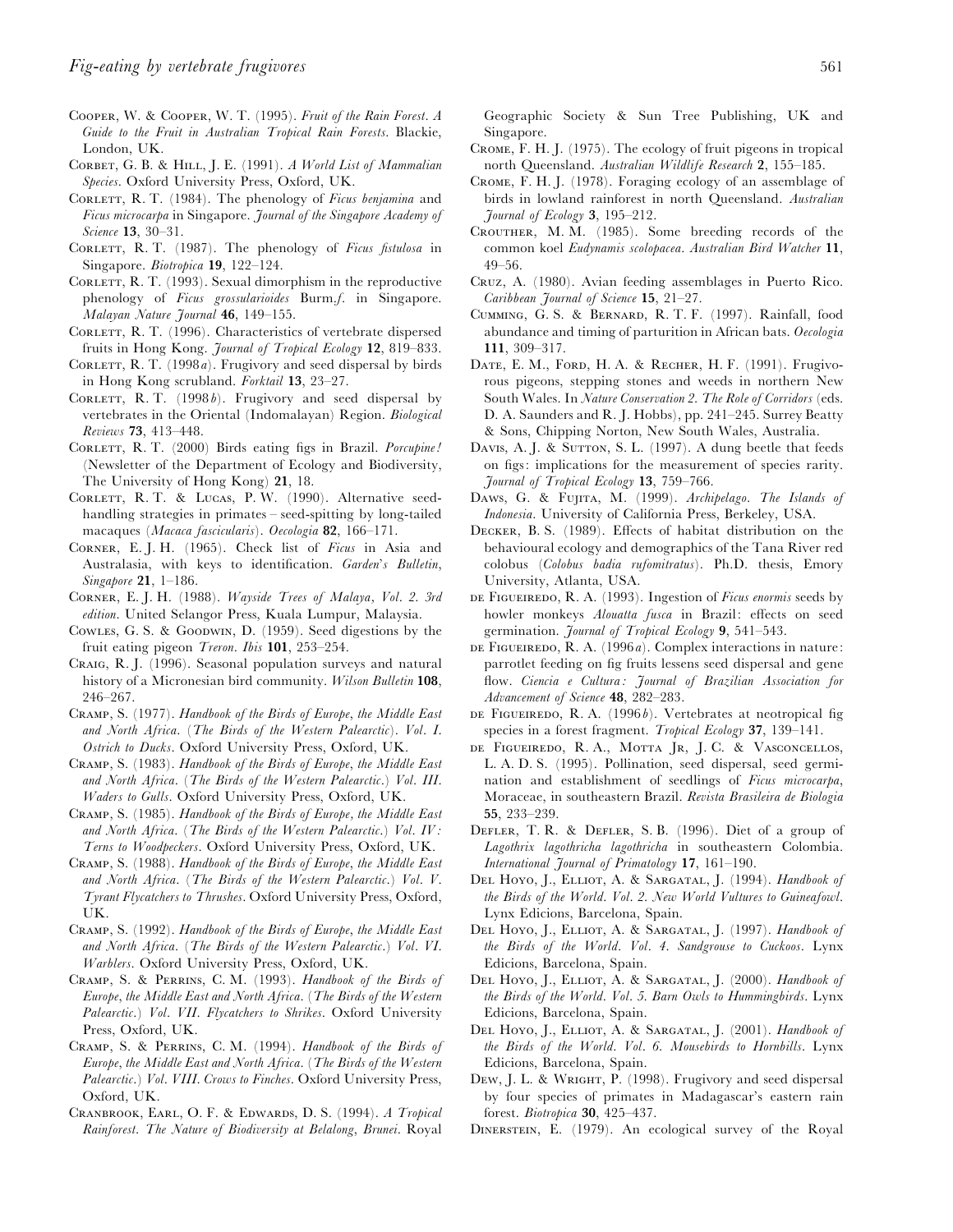- COOPER, W. & COOPER, W. T. (1995). *Fruit of the Rain Forest. A Guide to the Fruit in Australian Tropical Rain Forests*. Blackie, London, UK.
- CORBET, G. B. & HILL, J. E. (1991). *A World List of Mammalian Species*. Oxford University Press, Oxford, UK.
- CORLETT, R. T. (1984). The phenology of *Ficus benjamina* and *Ficus microcarpa* in Singapore. *Journal of the Singapore Academy of Science 13*, 30–31.
- CORLETT, R. T. (1987). The phenology of *Ficus fistulosa* in Singapore. *Biotropica 19*, 122–124.
- CORLETT, R. T. (1993). Sexual dimorphism in the reproductive phenology of *Ficus grossularioides* Burm.*f*. in Singapore. *Malayan Nature Journal 46*, 149–155.
- CORLETT, R. T. (1996). Characteristics of vertebrate dispersed fruits in Hong Kong. *Journal of Tropical Ecology 12*, 819–833.
- CORLETT, R. T.  $(1998a)$ . Frugivory and seed dispersal by birds in Hong Kong scrubland. *Forktail 13*, 23–27.
- CORLETT, R. T.  $(1998b)$ . Frugivory and seed dispersal by vertebrates in the Oriental (Indomalayan) Region. *Biological Reviews 73*, 413–448.
- CORLETT, R. T. (2000) Birds eating figs in Brazil. *Porcupine!* (Newsletter of the Department of Ecology and Biodiversity, The University of Hong Kong) *21*, 18.
- CORLETT, R. T. & LUCAS, P. W. (1990). Alternative seedhandling strategies in primates – seed-spitting by long-tailed macaques (*Macaca fascicularis*). *Oecologia 82*, 166–171.
- CORNER, E. J. H. (1965). Check list of *Ficus* in Asia and Australasia, with keys to identification. *Garden*'*s Bulletin*, *Singapore 21*, 1–186.
- CORNER, E. J. H. (1988). *Wayside Trees of Malaya, Vol. 2. 3rd edition*. United Selangor Press, Kuala Lumpur, Malaysia.
- Cowles, G. S. & Goodwin, D. (1959). Seed digestions by the fruit eating pigeon *Treron*. *Ibis 101*, 253–254.
- CRAIG, R. J. (1996). Seasonal population surveys and natural history of a Micronesian bird community. *Wilson Bulletin 108*, 246–267.
- CRAMP, S. (1977). *Handbook of the Birds of Europe*, *the Middle East and North Africa*. (*The Birds of the Western Palearctic*). *Vol*. *I*. *Ostrich to Ducks*. Oxford University Press, Oxford, UK.
- C, S. (1983). *Handbook of the Birds of Europe*, *the Middle East and North Africa*. (*The Birds of the Western Palearctic*.) *Vol*. *III*. *Waders to Gulls*. Oxford University Press, Oxford, UK.
- CRAMP, S. (1985). *Handbook of the Birds of Europe, the Middle East and North Africa.* (*The Birds of the Western Palearctic.*) *Vol. IV : Terns to Woodpeckers*. Oxford University Press, Oxford, UK.
- CRAMP, S. (1988). *Handbook of the Birds of Europe*, *the Middle East and North Africa*. (*The Birds of the Western Palearctic*.) *Vol*. *V*. *Tyrant Flycatchers to Thrushes*. Oxford University Press, Oxford, UK.
- C, S. (1992). *Handbook of the Birds of Europe*, *the Middle East and North Africa*. (*The Birds of the Western Palearctic*.) *Vol*. *VI*. *Warblers*. Oxford University Press, Oxford, UK.
- CRAMP, S. & PERRINS, C. M. (1993). *Handbook of the Birds of Europe*, *the Middle East and North Africa*. (*The Birds of the Western Palearctic*.) *Vol*. *VII*. *Flycatchers to Shrikes*. Oxford University Press, Oxford, UK.
- CRAMP, S. & PERRINS, C. M. (1994). *Handbook of the Birds of Europe*, *the Middle East and North Africa*. (*The Birds of the Western Palearctic*.) *Vol*. *VIII*. *Crows to Finches*. Oxford University Press, Oxford, UK.
- CRANBROOK, EARL, O. F. & EDWARDS, D. S. (1994). *A Tropical Rainforest*. *The Nature of Biodiversity at Belalong*, *Brunei*. Royal

Geographic Society & Sun Tree Publishing, UK and Singapore.

- CROME, F. H. J. (1975). The ecology of fruit pigeons in tropical north Queensland. *Australian Wildlife Research 2*, 155–185.
- CROME, F. H. J. (1978). Foraging ecology of an assemblage of birds in lowland rainforest in north Queensland. *Australian Journal of Ecology 3*, 195–212.
- CROUTHER, M. M. (1985). Some breeding records of the common koel *Eudynamis scolopacea*. *Australian Bird Watcher 11*, 49–56.
- CRUZ, A. (1980). Avian feeding assemblages in Puerto Rico. *Caribbean Journal of Science 15*, 21–27.
- CUMMING, G. S. & BERNARD, R. T. F. (1997). Rainfall, food abundance and timing of parturition in African bats. *Oecologia 111*, 309–317.
- DATE, E. M., FORD, H. A. & RECHER, H. F. (1991). Frugivorous pigeons, stepping stones and weeds in northern New South Wales. In *Nature Conservation 2. The Role of Corridors* (eds. D. A. Saunders and R. J. Hobbs), pp. 241–245. Surrey Beatty & Sons, Chipping Norton, New South Wales, Australia.
- DAVIS, A. J. & SUTTON, S. L. (1997). A dung beetle that feeds on figs: implications for the measurement of species rarity. *Journal of Tropical Ecology 13*, 759–766.
- DAWS, G. & FUJITA, M. (1999). *Archipelago. The Islands of Indonesia*. University of California Press, Berkeley, USA.
- DECKER, B. S. (1989). Effects of habitat distribution on the behavioural ecology and demographics of the Tana River red colobus (*Colobus badia rufomitratus*). Ph.D. thesis, Emory University, Atlanta, USA.
- DE FIGUEIREDO, R. A. (1993). Ingestion of *Ficus enormis* seeds by howler monkeys *Alouatta fusca* in Brazil: effects on seed germination. *Journal of Tropical Ecology 9*, 541–543.
- DE FIGUEIREDO, R. A. (1996*a*). Complex interactions in nature: parrotlet feeding on fig fruits lessens seed dispersal and gene flow. *Ciencia e Cultura : Journal of Brazilian Association for Advancement of Science 48*, 282–283.
- DE FIGUEIREDO, R. A.  $(1996b)$ . Vertebrates at neotropical fig species in a forest fragment. *Tropical Ecology 37*, 139–141.
- DE FIGUEIREDO, R. A., MOTTA JR, J. C. & VASCONCELLOS, L. A. D. S. (1995). Pollination, seed dispersal, seed germination and establishment of seedlings of *Ficus microcarpa*, Moraceae, in southeastern Brazil. *Revista Brasileira de Biologia 55*, 233–239.
- DEFLER, T. R. & DEFLER, S. B. (1996). Diet of a group of *Lagothrix lagothricha lagothricha* in southeastern Colombia. *International Journal of Primatology 17*, 161–190.
- DEL HOYO, J., ELLIOT, A. & SARGATAL, J. (1994). *Handbook of the Birds of the World. Vol. 2. New World Vultures to Guineafowl*. Lynx Edicions, Barcelona, Spain.
- DEL HOYO, J., ELLIOT, A. & SARGATAL, J. (1997). *Handbook of the Birds of the World. Vol. 4. Sandgrouse to Cuckoos*. Lynx Edicions, Barcelona, Spain.
- DEL HOYO, J., ELLIOT, A. & SARGATAL, J. (2000). *Handbook of the Birds of the World. Vol. 5. Barn Owls to Hummingbirds*. Lynx Edicions, Barcelona, Spain.
- DEL HOYO, J., ELLIOT, A. & SARGATAL, J. (2001). *Handbook of the Birds of the World. Vol. 6. Mousebirds to Hornbills*. Lynx Edicions, Barcelona, Spain.
- DEW, J. L. & WRIGHT, P. (1998). Frugivory and seed dispersal by four species of primates in Madagascar's eastern rain forest. *Biotropica 30*, 425–437.
- DINERSTEIN, E. (1979). An ecological survey of the Royal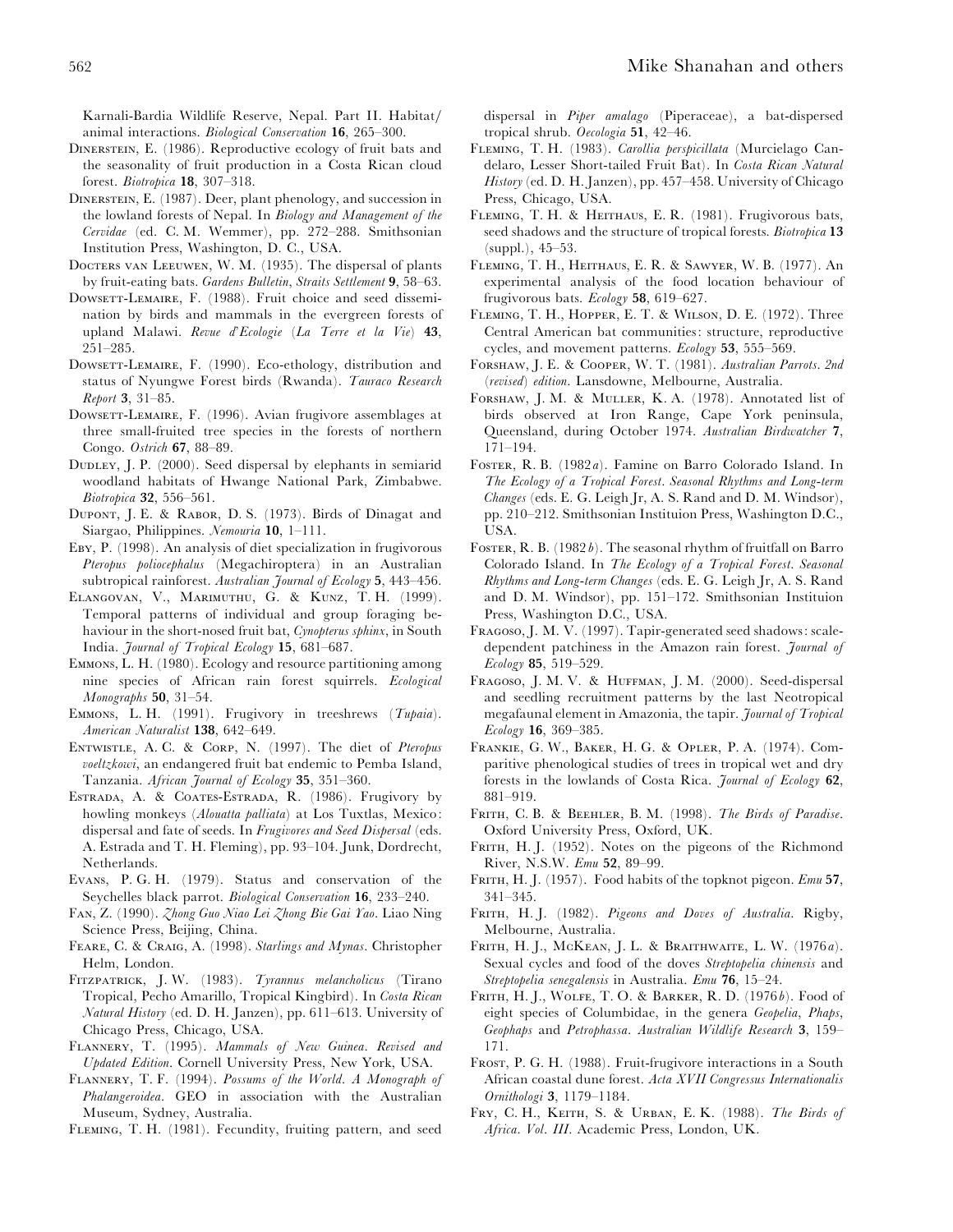Karnali-Bardia Wildlife Reserve, Nepal. Part II. Habitat} animal interactions. *Biological Conservation 16*, 265–300.

- DINERSTEIN, E. (1986). Reproductive ecology of fruit bats and the seasonality of fruit production in a Costa Rican cloud forest. *Biotropica 18*, 307–318.
- DINERSTEIN, E. (1987). Deer, plant phenology, and succession in the lowland forests of Nepal. In *Biology and Management of the Cervidae* (ed. C. M. Wemmer), pp. 272–288. Smithsonian Institution Press, Washington, D. C., USA.
- DOCTERS VAN LEEUWEN, W. M. (1935). The dispersal of plants by fruit-eating bats. *Gardens Bulletin*, *Straits Settlement 9*, 58–63.
- DOWSETT-LEMAIRE, F. (1988). Fruit choice and seed dissemination by birds and mammals in the evergreen forests of upland Malawi. *Revue d*'*Ecologie* (*La Terre et la Vie*) *43*, 251–285.
- DOWSETT-LEMAIRE, F. (1990). Eco-ethology, distribution and status of Nyungwe Forest birds (Rwanda). *Tauraco Research Report 3*, 31–85.
- DOWSETT-LEMAIRE, F. (1996). Avian frugivore assemblages at three small-fruited tree species in the forests of northern Congo. *Ostrich 67*, 88–89.
- DUDLEY, J. P. (2000). Seed dispersal by elephants in semiarid woodland habitats of Hwange National Park, Zimbabwe. *Biotropica 32*, 556–561.
- DUPONT, J. E. & RABOR, D. S. (1973). Birds of Dinagat and Siargao, Philippines. *Nemouria 10*, 1–111.
- EBY, P. (1998). An analysis of diet specialization in frugivorous *Pteropus poliocephalus* (Megachiroptera) in an Australian subtropical rainforest. *Australian Journal of Ecology 5*, 443–456.
- ELANGOVAN, V., MARIMUTHU, G. & KUNZ, T. H. (1999). Temporal patterns of individual and group foraging behaviour in the short-nosed fruit bat, *Cynopterus sphinx*, in South India. *Journal of Tropical Ecology 15*, 681–687.
- EMMONS, L. H. (1980). Ecology and resource partitioning among nine species of African rain forest squirrels. *Ecological Monographs 50*, 31–54.
- EMMONS, L. H. (1991). Frugivory in treeshrews (*Tupaia*). *American Naturalist 138*, 642–649.
- ENTWISTLE, A. C. & CORP, N. (1997). The diet of *Pteropus voeltzkowi*, an endangered fruit bat endemic to Pemba Island, Tanzania. *African Journal of Ecology 35*, 351–360.
- ESTRADA, A. & COATES-ESTRADA, R. (1986). Frugivory by howling monkeys (*Alouatta palliata*) at Los Tuxtlas, Mexico: dispersal and fate of seeds. In *Frugivores and Seed Dispersal* (eds. A. Estrada and T. H. Fleming), pp. 93–104. Junk, Dordrecht, Netherlands.
- EVANS, P. G. H. (1979). Status and conservation of the Seychelles black parrot. *Biological Conservation 16*, 233–240.
- F, Z. (1990). *Zhong Guo Niao Lei Zhong Bie Gai Yao*. Liao Ning Science Press, Beijing, China.
- FEARE, C. & CRAIG, A. (1998). *Starlings and Mynas*. Christopher Helm, London.
- FITZPATRICK, J.W. (1983). *Tyrannus melancholicus* (Tirano Tropical, Pecho Amarillo, Tropical Kingbird). In *Costa Rican Natural History* (ed. D. H. Janzen), pp. 611–613. University of Chicago Press, Chicago, USA.
- FLANNERY, T. (1995). *Mammals of New Guinea. Revised and Updated Edition*. Cornell University Press, New York, USA.
- FLANNERY, T. F. (1994). *Possums of the World. A Monograph of Phalangeroidea*. GEO in association with the Australian Museum, Sydney, Australia.
- FLEMING, T. H. (1981). Fecundity, fruiting pattern, and seed

dispersal in *Piper amalago* (Piperaceae), a bat-dispersed tropical shrub. *Oecologia 51*, 42–46.

- FLEMING, T. H. (1983). *Carollia perspicillata* (Murcielago Candelaro, Lesser Short-tailed Fruit Bat). In *Costa Rican Natural History*(ed. D. H. Janzen), pp. 457–458. University of Chicago Press, Chicago, USA.
- FLEMING, T. H. & HEITHAUS, E. R. (1981). Frugivorous bats, seed shadows and the structure of tropical forests. *Biotropica 13* (suppl.), 45–53.
- FLEMING, T. H., HEITHAUS, E. R. & SAWYER, W. B. (1977). An experimental analysis of the food location behaviour of frugivorous bats. *Ecology 58*, 619–627.
- FLEMING, T. H., HOPPER, E. T. & WILSON, D. E. (1972). Three Central American bat communities: structure, reproductive cycles, and movement patterns. *Ecology 53*, 555–569.
- FORSHAW, J. E. & COOPER, W. T. (1981). *Australian Parrots. 2nd* (*revised*) *edition*. Lansdowne, Melbourne, Australia.
- FORSHAW, J. M. & MULLER, K. A. (1978). Annotated list of birds observed at Iron Range, Cape York peninsula, Queensland, during October 1974. *Australian Birdwatcher 7*, 171–194.
- FOSTER, R. B. (1982*a*). Famine on Barro Colorado Island. In *The Ecology of a Tropical Forest*. *Seasonal Rhythms and Long*-*term Changes* (eds. E. G. Leigh Jr, A. S. Rand and D. M. Windsor), pp. 210–212. Smithsonian Instituion Press, Washington D.C., USA.
- FOSTER, R. B. (1982b). The seasonal rhythm of fruitfall on Barro Colorado Island. In *The Ecology of a Tropical Forest*. *Seasonal Rhythms and Long*-*term Changes* (eds. E. G. Leigh Jr, A. S. Rand and D. M. Windsor), pp. 151–172. Smithsonian Instituion Press, Washington D.C., USA.
- FRAGOSO, J. M. V. (1997). Tapir-generated seed shadows: scaledependent patchiness in the Amazon rain forest. *Journal of Ecology 85*, 519–529.
- FRAGOSO, J. M. V. & HUFFMAN, J. M. (2000). Seed-dispersal and seedling recruitment patterns by the last Neotropical megafaunal element in Amazonia, the tapir. *Journal of Tropical Ecology 16*, 369–385.
- FRANKIE, G. W., BAKER, H. G. & OPLER, P. A. (1974). Comparitive phenological studies of trees in tropical wet and dry forests in the lowlands of Costa Rica. *Journal of Ecology 62*, 881–919.
- FRITH, C. B. & BEEHLER, B. M. (1998). *The Birds of Paradise*. Oxford University Press, Oxford, UK.
- FRITH, H. J. (1952). Notes on the pigeons of the Richmond River, N.S.W. *Emu 52*, 89–99.
- FRITH, H. J. (1957). Food habits of the topknot pigeon. *Emu* 57, 341–345.
- FRITH, H. J. (1982). *Pigeons and Doves of Australia*. Rigby, Melbourne, Australia.
- FRITH, H. J., MCKEAN, J. L. & BRAITHWAITE, L. W. (1976a). Sexual cycles and food of the doves *Streptopelia chinensis* and *Streptopelia senegalensis* in Australia. *Emu 76*, 15–24.
- FRITH, H. J., WOLFE, T. O. & BARKER, R. D. (1976b). Food of eight species of Columbidae, in the genera *Geopelia*, *Phaps*, *Geophaps* and *Petrophassa*. *Australian Wildlife Research 3*, 159– 171.
- FROST, P. G. H. (1988). Fruit-frugivore interactions in a South African coastal dune forest. *Acta XVII Congressus Internationalis Ornithologi 3*, 1179–1184.
- FRY, C. H., KEITH, S. & URBAN, E. K. (1988). *The Birds of Africa*. *Vol*. *III*. Academic Press, London, UK.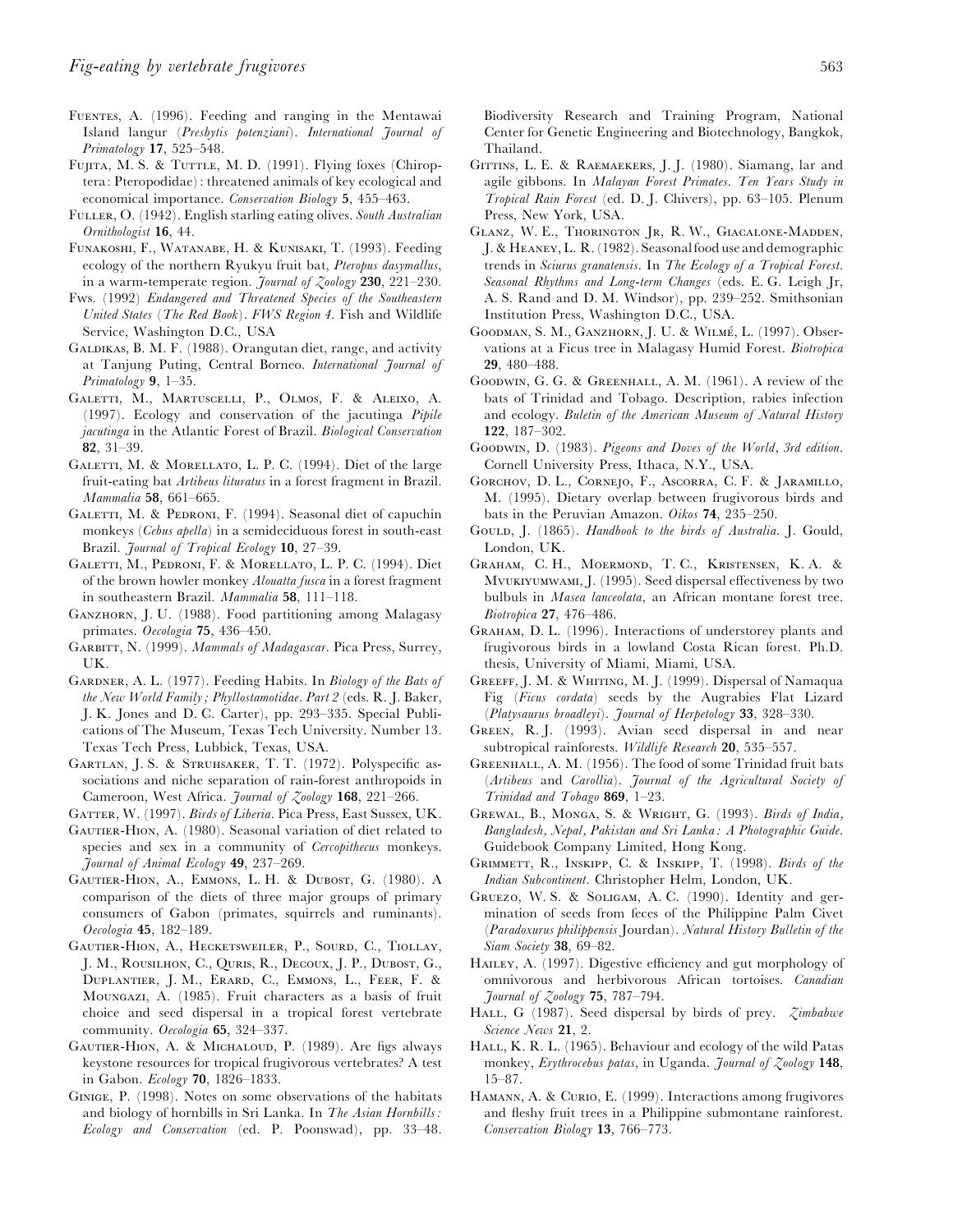- FUENTES, A. (1996). Feeding and ranging in the Mentawai Island langur (*Presbytis potenziani*). *International Journal of Primatology 17*, 525–548.
- FUJITA, M. S. & TUTTLE, M. D. (1991). Flying foxes (Chiroptera: Pteropodidae): threatened animals of key ecological and economical importance. *Conservation Biology 5*, 455–463.
- FULLER, O. (1942). English starling eating olives. *South Australian Ornithologist 16*, 44.
- FUNAKOSHI, F., WATANABE, H. & KUNISAKI, T. (1993). Feeding ecology of the northern Ryukyu fruit bat, *Pteropus dasymallus*, in a warm-temperate region. *Journal of Zoology 230*, 221–230.
- Fws. (1992) *Endangered and Threatened Species of the Southeastern United States* (*The Red Book*). *FWS Region 4.* Fish and Wildlife Service, Washington D.C., USA
- GALDIKAS, B. M. F. (1988). Orangutan diet, range, and activity at Tanjung Puting, Central Borneo. *International Journal of Primatology 9*, 1–35.
- GALETTI, M., MARTUSCELLI, P., OLMOS, F. & ALEIXO, A. (1997). Ecology and conservation of the jacutinga *Pipile jacutinga* in the Atlantic Forest of Brazil. *Biological Conservation 82*, 31–39.
- GALETTI, M. & MORELLATO, L. P. C. (1994). Diet of the large fruit-eating bat *Artibeus lituratus* in a forest fragment in Brazil. *Mammalia 58*, 661–665.
- GALETTI, M. & PEDRONI, F. (1994). Seasonal diet of capuchin monkeys (*Cebus apella*) in a semideciduous forest in south-east Brazil. *Journal of Tropical Ecology 10*, 27–39.
- GALETTI, M., PEDRONI, F. & MORELLATO, L. P. C. (1994). Diet of the brown howler monkey *Alouatta fusca* in a forest fragment in southeastern Brazil. *Mammalia 58*, 111–118.
- GANZHORN, J. U. (1988). Food partitioning among Malagasy primates. *Oecologia 75*, 436–450.
- GARBITT, N. (1999). *Mammals of Madagascar*. Pica Press, Surrey, UK.
- G, A. L. (1977). Feeding Habits. In *Biology of the Bats of the New World Family ; Phyllostamotidae. Part 2* (eds. R. J. Baker, J. K. Jones and D. C. Carter), pp. 293–335. Special Publications of The Museum, Texas Tech University. Number 13. Texas Tech Press, Lubbick, Texas, USA.
- GARTLAN, J. S. & STRUHSAKER, T. T. (1972). Polyspecific associations and niche separation of rain-forest anthropoids in Cameroon, West Africa. *Journal of Zoology 168*, 221–266.
- GATTER, W. (1997). *Birds of Liberia*. Pica Press, East Sussex, UK.
- GAUTIER-HION, A. (1980). Seasonal variation of diet related to species and sex in a community of *Cercopithecus* monkeys. *Journal of Animal Ecology 49*, 237–269.
- GAUTIER-HION, A., EMMONS, L. H. & DUBOST, G. (1980). A comparison of the diets of three major groups of primary consumers of Gabon (primates, squirrels and ruminants). *Oecologia 45*, 182–189.
- GAUTIER-HION, A., HECKETSWEILER, P., SOURD, C., TIOLLAY, J. M., ROUSILHON, C., QURIS, R., DECOUX, J. P., DUBOST, G., DUPLANTIER, J. M., ERARD, C., EMMONS, L., FEER, F. & Moungazi, A. (1985). Fruit characters as a basis of fruit choice and seed dispersal in a tropical forest vertebrate community. *Oecologia 65*, 324–337.
- GAUTIER-HION, A. & MICHALOUD, P. (1989). Are figs always keystone resources for tropical frugivorous vertebrates? A test in Gabon. *Ecology 70*, 1826–1833.
- GINIGE, P. (1998). Notes on some observations of the habitats and biology of hornbills in Sri Lanka. In *The Asian Hornbills : Ecology and Conservation* (ed. P. Poonswad), pp. 33–48.

Biodiversity Research and Training Program, National Center for Genetic Engineering and Biotechnology, Bangkok, Thailand.

- GITTINS, L. E. & RAEMAEKERS, J. J. (1980). Siamang, lar and agile gibbons. In *Malayan Forest Primates*. *Ten Years Study in Tropical Rain Forest* (ed. D. J. Chivers), pp. 63–105. Plenum Press, New York, USA.
- GLANZ, W. E., THORINGTON JR, R. W., GIACALONE-MADDEN, J. & HEANEY, L. R. (1982). Seasonal food use and demographic trends in *Sciurus granatensis*. In *The Ecology of a Tropical Forest*. *Seasonal Rhythms and Long*-*term Changes* (eds. E. G. Leigh Jr, A. S. Rand and D. M. Windsor), pp. 239–252. Smithsonian Institution Press, Washington D.C., USA.
- GOODMAN, S. M., GANZHORN, J. U. & WILMÉ, L. (1997). Observations at a Ficus tree in Malagasy Humid Forest. *Biotropica 29*, 480–488.
- GOODWIN, G. G. & GREENHALL, A. M. (1961). A review of the bats of Trinidad and Tobago. Description, rabies infection and ecology. *Buletin of the American Museum of Natural History 122*, 187–302.
- GOODWIN, D. (1983). *Pigeons and Doves of the World, 3rd edition*. Cornell University Press, Ithaca, N.Y., USA.
- GORCHOV, D. L., CORNEJO, F., ASCORRA, C. F. & JARAMILLO, M. (1995). Dietary overlap between frugivorous birds and bats in the Peruvian Amazon. *Oikos 74*, 235–250.
- GOULD, J. (1865). *Handbook to the birds of Australia*. J. Gould, London, UK.
- GRAHAM, C. H., MOERMOND, T. C., KRISTENSEN, K. A. & MVUKIYUMWAMI, J. (1995). Seed dispersal effectiveness by two bulbuls in *Masea lanceolata*, an African montane forest tree. *Biotropica 27*, 476–486.
- GRAHAM, D. L. (1996). Interactions of understorey plants and frugivorous birds in a lowland Costa Rican forest. Ph.D. thesis, University of Miami, Miami, USA.
- GREEFF, J. M. & WHITING, M. J. (1999). Dispersal of Namaqua Fig (*Ficus cordata*) seeds by the Augrabies Flat Lizard (*Platysaurus broadleyi*). *Journal of Herpetology 33*, 328–330.
- GREEN, R. J. (1993). Avian seed dispersal in and near subtropical rainforests. *Wildlife Research 20*, 535–557.
- GREENHALL, A. M. (1956). The food of some Trinidad fruit bats (*Artibeus* and *Carollia*). *Journal of the Agricultural Society of Trinidad and Tobago 869*, 1–23.
- GREWAL, B., MONGA, S. & WRIGHT, G. (1993). *Birds of India*, *Bangladesh, Nepal, Pakistan and Sri Lanka : A Photographic Guide*. Guidebook Company Limited, Hong Kong.
- GRIMMETT, R., INSKIPP, C. & INSKIPP, T. (1998). *Birds of the Indian Subcontinent*. Christopher Helm, London, UK.
- GRUEZO, W. S. & SOLIGAM, A. C. (1990). Identity and germination of seeds from feces of the Philippine Palm Civet (*Paradoxurus philippensis* Jourdan). *Natural History Bulletin of the Siam Society 38*, 69–82.
- HAILEY, A. (1997). Digestive efficiency and gut morphology of omnivorous and herbivorous African tortoises. *Canadian Journal of Zoology 75*, 787–794.
- HALL, G (1987). Seed dispersal by birds of prey. *Zimbabwe Science News 21*, 2.
- HALL, K. R. L. (1965). Behaviour and ecology of the wild Patas monkey, *Erythrocebus patas*, in Uganda. *Journal of Zoology 148*, 15–87.
- HAMANN, A. & CURIO, E. (1999). Interactions among frugivores and fleshy fruit trees in a Philippine submontane rainforest. *Conservation Biology 13*, 766–773.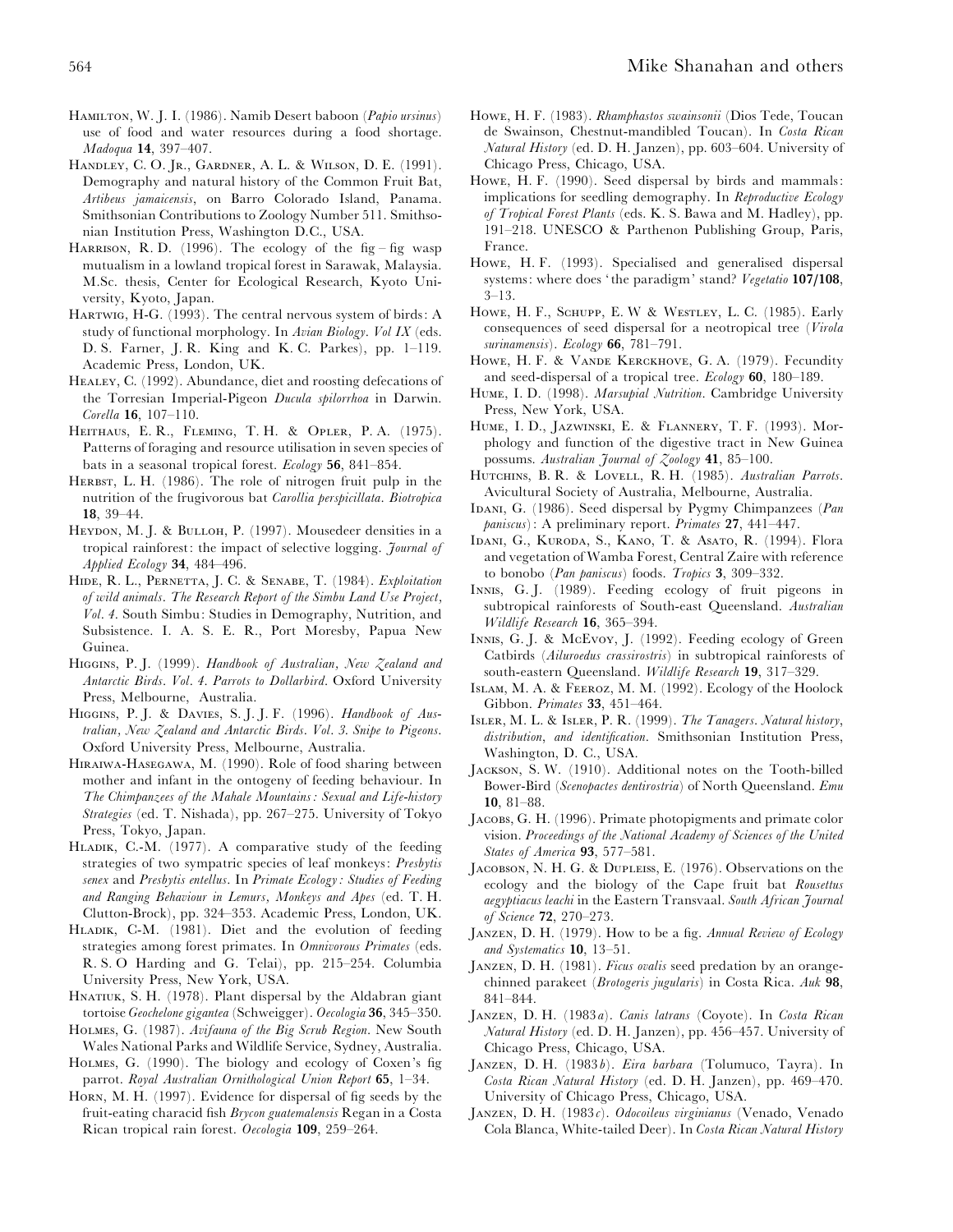- HAMILTON, W. J. I. (1986). Namib Desert baboon (*Papio ursinus*) use of food and water resources during a food shortage. *Madoqua 14*, 397–407.
- HANDLEY, C. O. JR., GARDNER, A. L. & WILSON, D. E. (1991). Demography and natural history of the Common Fruit Bat, *Artibeus jamaicensis*, on Barro Colorado Island, Panama. Smithsonian Contributions to Zoology Number 511. Smithsonian Institution Press, Washington D.C., USA.
- HARRISON, R. D. (1996). The ecology of the fig-fig wasp mutualism in a lowland tropical forest in Sarawak, Malaysia. M.Sc. thesis, Center for Ecological Research, Kyoto University, Kyoto, Japan.
- HARTWIG, H-G. (1993). The central nervous system of birds: A study of functional morphology. In *Avian Biology*. *Vol IX* (eds. D. S. Farner, J. R. King and K. C. Parkes), pp. 1–119. Academic Press, London, UK.
- HEALEY, C. (1992). Abundance, diet and roosting defecations of the Torresian Imperial-Pigeon *Ducula spilorrhoa* in Darwin. *Corella 16*, 107–110.
- HEITHAUS, E. R., FLEMING, T. H. & OPLER, P. A. (1975). Patterns of foraging and resource utilisation in seven species of bats in a seasonal tropical forest. *Ecology 56*, 841–854.
- HERBST, L. H. (1986). The role of nitrogen fruit pulp in the nutrition of the frugivorous bat *Carollia perspicillata*. *Biotropica 18*, 39–44.
- HEYDON, M. J. & BULLOH, P. (1997). Mousedeer densities in a tropical rainforest: the impact of selective logging. *Journal of Applied Ecology 34*, 484–496.
- HIDE, R. L., PERNETTA, J. C. & SENABE, T. (1984). *Exploitation of wild animals. The Research Report of the Simbu Land Use Project, Vol. 4.* South Simbu: Studies in Demography, Nutrition, and Subsistence. I. A. S. E. R., Port Moresby, Papua New Guinea.
- HIGGINS, P. J. (1999). *Handbook of Australian, New Zealand and Antarctic Birds. Vol. 4. Parrots to Dollarbird*. Oxford University Press, Melbourne, Australia.
- HIGGINS, P. J. & DAVIES, S. J. J. F. (1996). *Handbook of Australian, New Zealand and Antarctic Birds. Vol. 3. Snipe to Pigeons*. Oxford University Press, Melbourne, Australia.
- HIRAIWA-HASEGAWA, M. (1990). Role of food sharing between mother and infant in the ontogeny of feeding behaviour. In *The Chimpanzees of the Mahale Mountains : Sexual and Life-history Strategies* (ed. T. Nishada), pp. 267–275. University of Tokyo Press, Tokyo, Japan.
- HLADIK, C.-M. (1977). A comparative study of the feeding strategies of two sympatric species of leaf monkeys: *Presbytis senex* and *Presbytis entellus*. In *Primate Ecology : Studies of Feeding and Ranging Behaviour in Lemurs, Monkeys and Apes* (ed. T. H. Clutton-Brock), pp. 324–353. Academic Press, London, UK.
- HLADIK, C-M. (1981). Diet and the evolution of feeding strategies among forest primates. In *Omnivorous Primates* (eds. R. S. O Harding and G. Telai), pp. 215–254. Columbia University Press, New York, USA.
- HNATIUK, S. H. (1978). Plant dispersal by the Aldabran giant tortoise *Geochelone gigantea* (Schweigger). *Oecologia 36*, 345–350.
- HOLMES, G. (1987). *Avifauna of the Big Scrub Region*. New South Wales National Parks and Wildlife Service, Sydney, Australia.
- HOLMES, G. (1990). The biology and ecology of Coxen's fig parrot. *Royal Australian Ornithological Union Report 65*, 1–34.
- HORN, M. H. (1997). Evidence for dispersal of fig seeds by the fruit-eating characid fish *Brycon guatemalensis* Regan in a Costa Rican tropical rain forest. *Oecologia 109*, 259–264.
- H, H. F. (1983). *Rhamphastos swainsonii* (Dios Tede, Toucan de Swainson, Chestnut-mandibled Toucan). In *Costa Rican Natural History* (ed. D. H. Janzen), pp. 603–604. University of Chicago Press, Chicago, USA.
- Howe, H. F. (1990). Seed dispersal by birds and mammals: implications for seedling demography. In *Reproductive Ecology of Tropical Forest Plants* (eds. K. S. Bawa and M. Hadley), pp. 191–218. UNESCO & Parthenon Publishing Group, Paris, France.
- Howe, H. F. (1993). Specialised and generalised dispersal systems: where does ' the paradigm' stand? *Vegetatio 107/108*, 3–13.
- HOWE, H. F., SCHUPP, E. W & WESTLEY, L. C. (1985). Early consequences of seed dispersal for a neotropical tree (*Virola surinamensis*). *Ecology 66*, 781–791.
- HOWE, H. F. & VANDE KERCKHOVE, G. A. (1979). Fecundity and seed-dispersal of a tropical tree. *Ecology 60*, 180–189.
- HUME, I. D. (1998). *Marsupial Nutrition*. Cambridge University Press, New York, USA.
- HUME, I. D., JAZWINSKI, E. & FLANNERY, T. F. (1993). Morphology and function of the digestive tract in New Guinea possums. *Australian Journal of Zoology 41*, 85–100.
- HUTCHINS, B. R. & LOVELL, R. H. (1985). *Australian Parrots*. Avicultural Society of Australia, Melbourne, Australia.
- IDANI, G. (1986). Seed dispersal by Pygmy Chimpanzees (*Pan paniscus*): A preliminary report. *Primates 27*, 441–447.
- IDANI, G., KURODA, S., KANO, T. & ASATO, R. (1994). Flora and vegetation of Wamba Forest, Central Zaire with reference to bonobo (*Pan paniscus*) foods. *Tropics 3*, 309–332.
- INNIS, G. J. (1989). Feeding ecology of fruit pigeons in subtropical rainforests of South-east Queensland. *Australian Wildlife Research 16*, 365–394.
- INNIS, G. J. & McEvoy, J. (1992). Feeding ecology of Green Catbirds (*Ailuroedus crassirostris*) in subtropical rainforests of south-eastern Queensland. *Wildlife Research 19*, 317–329.
- ISLAM, M. A. & FEEROZ, M. M. (1992). Ecology of the Hoolock Gibbon. *Primates 33*, 451–464.
- ISLER, M. L. & ISLER, P. R. (1999). *The Tanagers*. *Natural history*, *distribution*, *and identification*. Smithsonian Institution Press, Washington, D. C., USA.
- JACKSON, S. W. (1910). Additional notes on the Tooth-billed Bower-Bird (*Scenopactes dentirostria*) of North Queensland. *Emu 10*, 81–88.
- JACOBS, G. H. (1996). Primate photopigments and primate color vision. *Proceedings of the National Academy of Sciences of the United States of America 93*, 577–581.
- JACOBSON, N. H. G. & DUPLEISS, E. (1976). Observations on the ecology and the biology of the Cape fruit bat *Rousettus aegyptiacus leachi* in the Eastern Transvaal. *South African Journal of Science 72*, 270–273.
- JANZEN, D. H. (1979). How to be a fig. *Annual Review of Ecology and Systematics 10*, 13–51.
- JANZEN, D. H. (1981). *Ficus ovalis* seed predation by an orangechinned parakeet (*Brotogeris jugularis*) in Costa Rica. *Auk 98*, 841–844.
- J, D. H. (1983*a*). *Canis latrans* (Coyote). In *Costa Rican Natural History* (ed. D. H. Janzen), pp. 456–457. University of Chicago Press, Chicago, USA.
- JANZEN, D. H. (1983b). *Eira barbara* (Tolumuco, Tayra). In *Costa Rican Natural History* (ed. D. H. Janzen), pp. 469–470. University of Chicago Press, Chicago, USA.
- JANZEN, D. H. (1983c). *Odocoileus virginianus* (Venado, Venado Cola Blanca, White-tailed Deer). In *Costa Rican Natural History*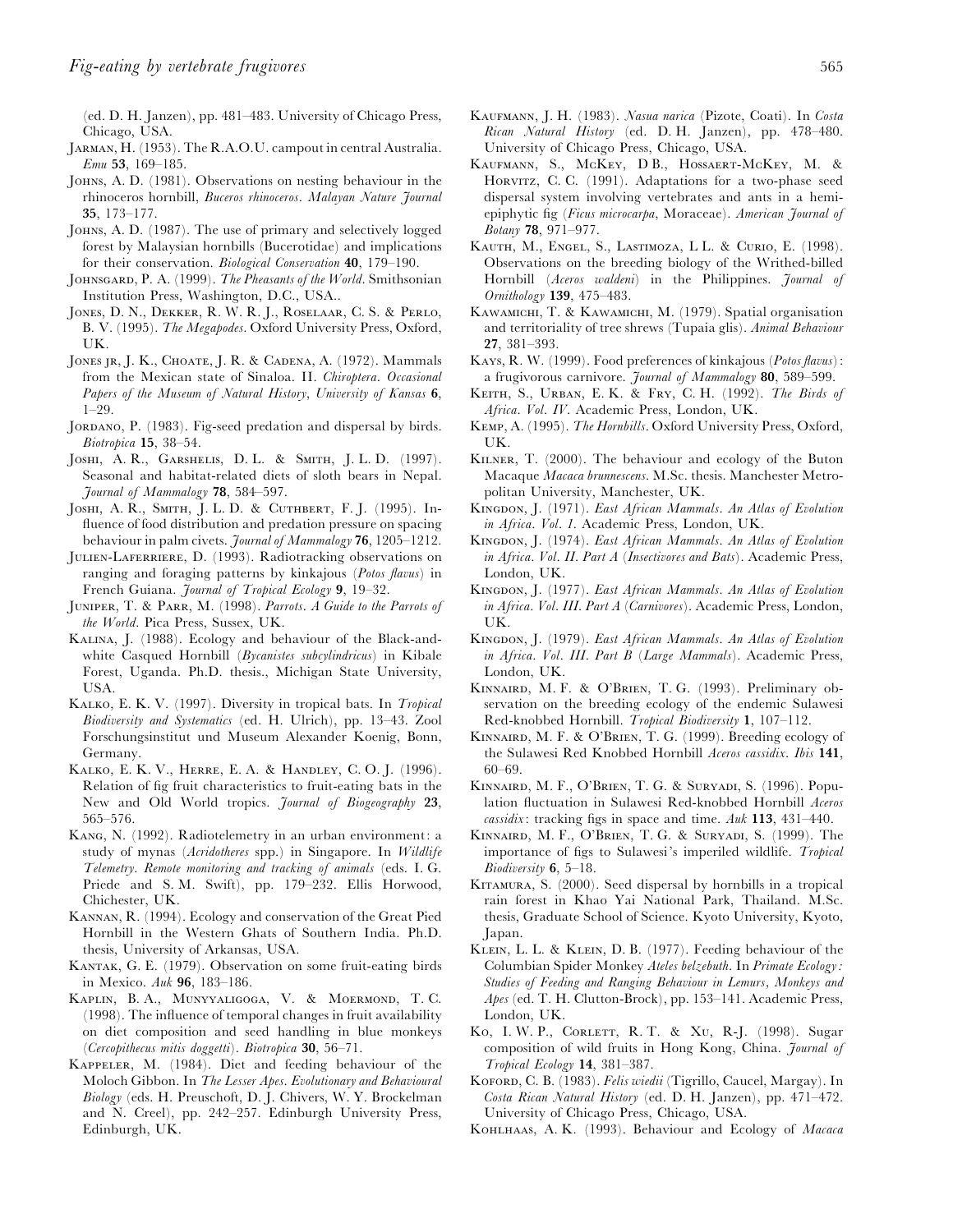(ed. D. H. Janzen), pp. 481–483. University of Chicago Press, Chicago, USA.

- JARMAN, H. (1953). The R.A.O.U. campout in central Australia. *Emu 53*, 169–185.
- JOHNS, A. D. (1981). Observations on nesting behaviour in the rhinoceros hornbill, *Buceros rhinoceros*. *Malayan Nature Journal 35*, 173–177.
- Jоння, A. D. (1987). The use of primary and selectively logged forest by Malaysian hornbills (Bucerotidae) and implications for their conservation. *Biological Conservation 40*, 179–190.
- JOHNSGARD, P. A. (1999). *The Pheasants of the World*. Smithsonian Institution Press, Washington, D.C., USA..
- JONES, D. N., DEKKER, R. W. R. J., ROSELAAR, C. S. & PERLO, B. V. (1995). *The Megapodes*. Oxford University Press, Oxford, UK.
- JONES JR, J. K., CHOATE, J. R. & CADENA, A. (1972). Mammals from the Mexican state of Sinaloa. II. *Chiroptera*. *Occasional Papers of the Museum of Natural History*, *University of Kansas 6*, 1–29.
- JORDANO, P. (1983). Fig-seed predation and dispersal by birds. *Biotropica 15*, 38–54.
- JOSHI, A. R., GARSHELIS, D. L. & SMITH, J. L. D. (1997). Seasonal and habitat-related diets of sloth bears in Nepal. *Journal of Mammalogy 78*, 584–597.
- JOSHI, A. R., SMITH, J. L. D. & CUTHBERT, F. J. (1995). Influence of food distribution and predation pressure on spacing behaviour in palm civets. *Journal of Mammalogy 76*, 1205–1212.
- JULIEN-LAFERRIERE, D. (1993). Radiotracking observations on ranging and foraging patterns by kinkajous (*Potos flavus*) in French Guiana. *Journal of Tropical Ecology 9*, 19–32.
- JUNIPER, T. & PARR, M. (1998). *Parrots. A Guide to the Parrots of the World*. Pica Press, Sussex, UK.
- KALINA, J. (1988). Ecology and behaviour of the Black-andwhite Casqued Hornbill (*Bycanistes subcylindricus*) in Kibale Forest, Uganda. Ph.D. thesis., Michigan State University, USA.
- KALKO, E. K. V. (1997). Diversity in tropical bats. In *Tropical Biodiversity and Systematics* (ed. H. Ulrich), pp. 13–43. Zool Forschungsinstitut und Museum Alexander Koenig, Bonn, Germany.
- KALKO, E. K. V., HERRE, E. A. & HANDLEY, C. O. J. (1996). Relation of fig fruit characteristics to fruit-eating bats in the New and Old World tropics. *Journal of Biogeography 23*, 565–576.
- KANG, N. (1992). Radiotelemetry in an urban environment: a study of mynas (*Acridotheres* spp.) in Singapore. In *Wildlife Telemetry*. *Remote monitoring and tracking of animals* (eds. I. G. Priede and S. M. Swift), pp. 179–232. Ellis Horwood, Chichester, UK.
- KANNAN, R. (1994). Ecology and conservation of the Great Pied Hornbill in the Western Ghats of Southern India. Ph.D. thesis, University of Arkansas, USA.
- KANTAK, G. E. (1979). Observation on some fruit-eating birds in Mexico. *Auk 96*, 183–186.
- KAPLIN, B. A., MUNYYALIGOGA, V. & MOERMOND, T. C. (1998). The influence of temporal changes in fruit availability on diet composition and seed handling in blue monkeys (*Cercopithecus mitis doggetti*). *Biotropica 30*, 56–71.
- KAPPELER, M. (1984). Diet and feeding behaviour of the Moloch Gibbon. In *The Lesser Apes*. *Evolutionary and Behavioural Biology* (eds. H. Preuschoft, D. J. Chivers, W. Y. Brockelman and N. Creel), pp. 242–257. Edinburgh University Press, Edinburgh, UK.
- K, J. H. (1983). *Nasua narica* (Pizote, Coati). In *Costa Rican Natural History* (ed. D. H. Janzen), pp. 478–480. University of Chicago Press, Chicago, USA.
- KAUFMANN, S., MCKEY, D B., HOSSAERT-MCKEY, M. & HORVITZ, C. C. (1991). Adaptations for a two-phase seed dispersal system involving vertebrates and ants in a hemiepiphytic fig (*Ficus microcarpa*, Moraceae). *American Journal of Botany 78*, 971–977.
- KAUTH, M., ENGEL, S., LASTIMOZA, L.L. & CURIO, E. (1998). Observations on the breeding biology of the Writhed-billed Hornbill (*Aceros waldeni*) in the Philippines. *Journal of Ornithology 139*, 475–483.
- KAWAMICHI, T. & KAWAMICHI, M. (1979). Spatial organisation and territoriality of tree shrews (Tupaia glis). *Animal Behaviour 27*, 381–393.
- K, R. W. (1999). Food preferences of kinkajous (*Potos flavus*): a frugivorous carnivore. *Journal of Mammalogy 80*, 589–599.
- KEITH, S., URBAN, E. K. & FRY, C. H. (1992). *The Birds of Africa*. *Vol*. *IV*. Academic Press, London, UK.
- KEMP, A. (1995). *The Hornbills*. Oxford University Press, Oxford, UK.
- KILNER, T. (2000). The behaviour and ecology of the Buton Macaque *Macaca brunnescens*. M.Sc. thesis. Manchester Metropolitan University, Manchester, UK.
- KINGDON, J. (1971). *East African Mammals. An Atlas of Evolution in Africa. Vol. 1*. Academic Press, London, UK.
- K, J. (1974). *East African Mammals*. *An Atlas of Evolution in Africa*. *Vol*. *II*. *Part A* (*Insectivores and Bats*). Academic Press, London, UK.
- K, J. (1977). *East African Mammals*. *An Atlas of Evolution in Africa*. *Vol*. *III*. *Part A* (*Carnivores*). Academic Press, London, UK.
- K, J. (1979). *East African Mammals*. *An Atlas of Evolution in Africa*. *Vol*. *III*. *Part B* (*Large Mammals*). Academic Press, London, UK.
- KINNAIRD, M. F. & O'BRIEN, T. G. (1993). Preliminary observation on the breeding ecology of the endemic Sulawesi Red-knobbed Hornbill. *Tropical Biodiversity 1*, 107–112.
- KINNAIRD, M. F. & O'BRIEN, T. G. (1999). Breeding ecology of the Sulawesi Red Knobbed Hornbill *Aceros cassidix*. *Ibis 141*, 60–69.
- KINNAIRD, M. F., O'BRIEN, T. G. & SURYADI, S. (1996). Population fluctuation in Sulawesi Red-knobbed Hornbill *Aceros cassidix*: tracking figs in space and time. *Auk 113*, 431–440.
- KINNAIRD, M. F., O'BRIEN, T. G. & SURYADI, S. (1999). The importance of figs to Sulawesi's imperiled wildlife. *Tropical Biodiversity 6*, 5–18.
- KITAMURA, S. (2000). Seed dispersal by hornbills in a tropical rain forest in Khao Yai National Park, Thailand. M.Sc. thesis, Graduate School of Science. Kyoto University, Kyoto, Japan.
- KLEIN, L. L. & KLEIN, D. B. (1977). Feeding behaviour of the Columbian Spider Monkey *Ateles belzebuth*. In *Primate Ecology : Studies of Feeding and Ranging Behaviour in Lemurs, Monkeys and Apes* (ed. T. H. Clutton-Brock), pp. 153–141. Academic Press, London, UK.
- Ko, I. W. P., CORLETT, R. T. & XU, R-J. (1998). Sugar composition of wild fruits in Hong Kong, China. *Journal of Tropical Ecology 14*, 381–387.
- K, C. B. (1983). *Felis wiedii* (Tigrillo, Caucel, Margay). In *Costa Rican Natural History* (ed. D. H. Janzen), pp. 471–472. University of Chicago Press, Chicago, USA.
- KOHLHAAS, A. K. (1993). Behaviour and Ecology of *Macaca*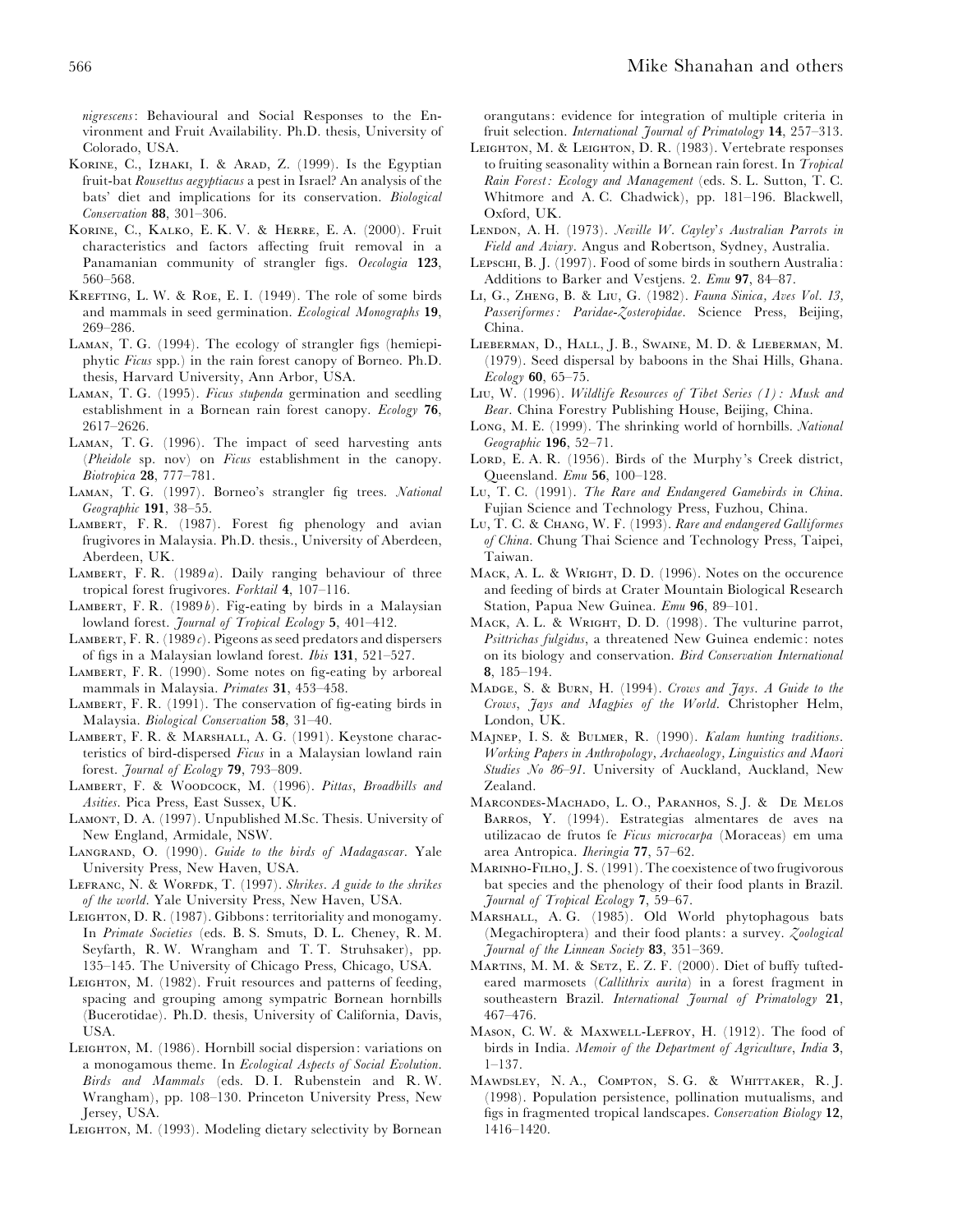*nigrescens*: Behavioural and Social Responses to the Environment and Fruit Availability. Ph.D. thesis, University of Colorado, USA.

- KORINE, C., IZHAKI, I. & ARAD, Z. (1999). Is the Egyptian fruit-bat *Rousettus aegyptiacus* a pest in Israel? An analysis of the bats' diet and implications for its conservation. *Biological Conservation 88*, 301–306.
- KORINE, C., KALKO, E. K. V. & HERRE, E. A. (2000). Fruit characteristics and factors affecting fruit removal in a Panamanian community of strangler figs. *Oecologia 123*, 560–568.
- KREFTING, L. W. & ROE, E. I. (1949). The role of some birds and mammals in seed germination. *Ecological Monographs 19*, 269–286.
- LAMAN, T. G. (1994). The ecology of strangler figs (hemiepiphytic *Ficus* spp.) in the rain forest canopy of Borneo. Ph.D. thesis, Harvard University, Ann Arbor, USA.
- LAMAN, T. G. (1995). *Ficus stupenda* germination and seedling establishment in a Bornean rain forest canopy. *Ecology 76*, 2617–2626.
- LAMAN, T. G. (1996). The impact of seed harvesting ants (*Pheidole* sp. nov) on *Ficus* establishment in the canopy. *Biotropica 28*, 777–781.
- LAMAN, T. G. (1997). Borneo's strangler fig trees. *National Geographic 191*, 38–55.
- LAMBERT, F. R. (1987). Forest fig phenology and avian frugivores in Malaysia. Ph.D. thesis., University of Aberdeen, Aberdeen, UK.
- LAMBERT, F. R.  $(1989a)$ . Daily ranging behaviour of three tropical forest frugivores. *Forktail 4*, 107–116.
- LAMBERT, F. R.  $(1989b)$ . Fig-eating by birds in a Malaysian lowland forest. *Journal of Tropical Ecology 5*, 401–412.
- LAMBERT, F. R.  $(1989c)$ . Pigeons as seed predators and dispersers of figs in a Malaysian lowland forest. *Ibis 131*, 521–527.
- LAMBERT, F. R. (1990). Some notes on fig-eating by arboreal mammals in Malaysia. *Primates 31*, 453–458.
- LAMBERT, F. R.  $(1991)$ . The conservation of fig-eating birds in Malaysia. *Biological Conservation 58*, 31–40.
- LAMBERT, F. R. & MARSHALL, A. G. (1991). Keystone characteristics of bird-dispersed *Ficus* in a Malaysian lowland rain forest. *Journal of Ecology 79*, 793–809.
- LAMBERT, F. & WOODCOCK, M. (1996). Pittas, Broadbills and *Asities*. Pica Press, East Sussex, UK.
- LAMONT, D. A. (1997). Unpublished M.Sc. Thesis. University of New England, Armidale, NSW.
- LANGRAND, O. (1990). *Guide to the birds of Madagascar*. Yale University Press, New Haven, USA.
- LEFRANC, N. & WORFDK, T. (1997). *Shrikes*. *A guide to the shrikes of the world*. Yale University Press, New Haven, USA.
- LEIGHTON, D. R. (1987). Gibbons: territoriality and monogamy. In *Primate Societies* (eds. B. S. Smuts, D. L. Cheney, R. M. Seyfarth, R. W. Wrangham and T. T. Struhsaker), pp. 135–145. The University of Chicago Press, Chicago, USA.
- LEIGHTON, M. (1982). Fruit resources and patterns of feeding, spacing and grouping among sympatric Bornean hornbills (Bucerotidae). Ph.D. thesis, University of California, Davis, USA.
- LEIGHTON, M. (1986). Hornbill social dispersion: variations on a monogamous theme. In *Ecological Aspects of Social Evolution*. *Birds and Mammals* (eds. D. I. Rubenstein and R. W. Wrangham), pp. 108–130. Princeton University Press, New Jersey, USA.
- LEIGHTON, M. (1993). Modeling dietary selectivity by Bornean

orangutans: evidence for integration of multiple criteria in fruit selection. *International Journal of Primatology 14*, 257–313.

- LEIGHTON, M. & LEIGHTON, D. R. (1983). Vertebrate responses to fruiting seasonality within a Bornean rain forest. In *Tropical Rain Forest : Ecology and Management* (eds. S. L. Sutton, T. C. Whitmore and A. C. Chadwick), pp. 181–196. Blackwell, Oxford, UK.
- LENDON, A. H. (1973). *Neville W. Cayley's Australian Parrots in Field and Aviary*. Angus and Robertson, Sydney, Australia.
- LEPSCHI, B. J. (1997). Food of some birds in southern Australia: Additions to Barker and Vestjens. 2. *Emu 97*, 84–87.
- LI, G., ZHENG, B. & LIU, G. (1982). *Fauna Sinica, Aves Vol. 13*, *Passeriformes : Paridae-Zosteropidae*. Science Press, Beijing, China.
- LIEBERMAN, D., HALL, J. B., SWAINE, M. D. & LIEBERMAN, M. (1979). Seed dispersal by baboons in the Shai Hills, Ghana. *Ecology 60*, 65–75.
- L, W. (1996). *Wildlife Resources of Tibet Series (1) : Musk and Bear*. China Forestry Publishing House, Beijing, China.
- Long, M. E. (1999). The shrinking world of hornbills. *National Geographic 196*, 52–71.
- LORD, E. A. R. (1956). Birds of the Murphy's Creek district, Queensland. *Emu 56*, 100–128.
- Lu, T. C. (1991). *The Rare and Endangered Gamebirds in China*. Fujian Science and Technology Press, Fuzhou, China.
- Lu, T. C. & CHANG, W. F. (1993). Rare and endangered Galliformes *of China*. Chung Thai Science and Technology Press, Taipei, Taiwan.
- MACK, A. L. & WRIGHT, D. D. (1996). Notes on the occurence and feeding of birds at Crater Mountain Biological Research Station, Papua New Guinea. *Emu 96*, 89–101.
- MACK, A. L. & WRIGHT, D. D. (1998). The vulturine parrot, *Psittrichas fulgidus*, a threatened New Guinea endemic: notes on its biology and conservation. *Bird Conservation International 8*, 185–194.
- MADGE, S. & BURN, H. (1994). *Crows and Jays. A Guide to the Crows*, *Jays and Magpies of the World*. Christopher Helm, London, UK.
- MAJNEP, I. S. & BULMER, R. (1990). *Kalam hunting traditions*. *Working Papers in Anthropology, Archaeology, Linguistics and Maori Studies No 86–91*. University of Auckland, Auckland, New Zealand.
- MARCONDES-MACHADO, L. O., PARANHOS, S. J. & DE MELOS BARROS, Y. (1994). Estrategias almentares de aves na utilizacao de frutos fe *Ficus microcarpa* (Moraceas) em uma area Antropica. *Iheringia 77*, 57–62.
- MARINHO-FILHO, J. S. (1991). The coexistence of two frugivorous bat species and the phenology of their food plants in Brazil. *Journal of Tropical Ecology 7*, 59–67.
- MARSHALL, A. G. (1985). Old World phytophagous bats (Megachiroptera) and their food plants: a survey. *Zoological Journal of the Linnean Society 83*, 351–369.
- MARTINS, M. M. & SETZ, E. Z. F. (2000). Diet of buffy tuftedeared marmosets (*Callithrix aurita*) in a forest fragment in southeastern Brazil. *International Journal of Primatology 21*, 467–476.
- MASON, C. W. & MAXWELL-LEFROY, H. (1912). The food of birds in India. *Memoir of the Department of Agriculture*, *India 3*, 1–137.
- MAWDSLEY, N.A., COMPTON, S.G. & WHITTAKER, R.J. (1998). Population persistence, pollination mutualisms, and figs in fragmented tropical landscapes. *Conservation Biology 12*, 1416–1420.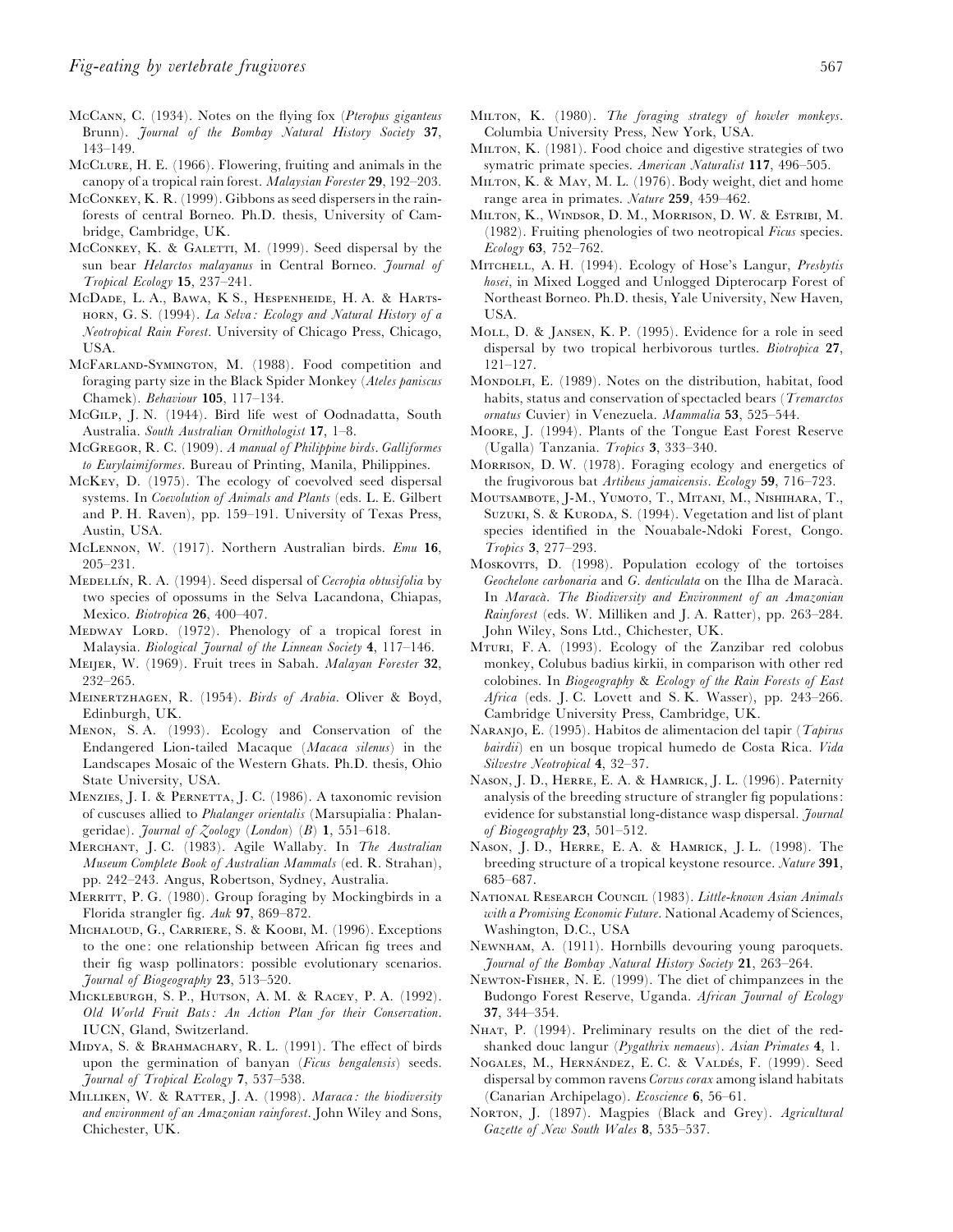- McCann, C. (1934). Notes on the flying fox (*Pteropus giganteus* Brunn). *Journal of the Bombay Natural History Society 37*, 143–149.
- McCLURE, H. E. (1966). Flowering, fruiting and animals in the canopy of a tropical rain forest. *Malaysian Forester 29*, 192–203.
- McConkey, K. R. (1999). Gibbons as seed dispersers in the rainforests of central Borneo. Ph.D. thesis, University of Cambridge, Cambridge, UK.
- McCONKEY, K. & GALETTI, M. (1999). Seed dispersal by the sun bear *Helarctos malayanus* in Central Borneo. *Journal of Tropical Ecology 15*, 237–241.
- McDADE, L. A., BAWA, K S., HESPENHEIDE, H. A. & HARTS-, G. S. (1994). *La Selva : Ecology and Natural History of a Neotropical Rain Forest*. University of Chicago Press, Chicago, USA.
- McFARLAND-SYMINGTON, M. (1988). Food competition and foraging party size in the Black Spider Monkey (*Ateles paniscus* Chamek). *Behaviour 105*, 117–134.
- McGILP, J. N. (1944). Bird life west of Oodnadatta, South Australia. *South Australian Ornithologist 17*, 1–8.
- MG, R. C. (1909). *A manual of Philippine birds*. *Galliformes to Eurylaimiformes*. Bureau of Printing, Manila, Philippines.
- McKey, D. (1975). The ecology of coevolved seed dispersal systems. In *Coevolution of Animals and Plants* (eds. L. E. Gilbert and P. H. Raven), pp. 159–191. University of Texas Press, Austin, USA.
- McLENNON, W. (1917). Northern Australian birds. *Emu* 16, 205–231.
- M!, R. A. (1994). Seed dispersal of *Cecropia obtusifolia* by two species of opossums in the Selva Lacandona, Chiapas, Mexico. *Biotropica 26*, 400–407.
- MEDWAY LORD. (1972). Phenology of a tropical forest in Malaysia. *Biological Journal of the Linnean Society 4*, 117–146.
- M, W. (1969). Fruit trees in Sabah. *Malayan Forester 32*, 232–265.
- MEINERTZHAGEN, R. (1954). *Birds of Arabia*. Oliver & Boyd, Edinburgh, UK.
- MENON, S.A. (1993). Ecology and Conservation of the Endangered Lion-tailed Macaque (*Macaca silenus*) in the Landscapes Mosaic of the Western Ghats. Ph.D. thesis, Ohio State University, USA.
- MENZIES, J. I. & PERNETTA, J. C. (1986). A taxonomic revision of cuscuses allied to *Phalanger orientalis* (Marsupialia: Phalangeridae). *Journal of Zoology* (*London*) (*B*) *1*, 551–618.
- MERCHANT, J. C. (1983). Agile Wallaby. In *The Australian Museum Complete Book of Australian Mammals* (ed. R. Strahan), pp. 242–243. Angus, Robertson, Sydney, Australia.
- MERRITT, P. G. (1980). Group foraging by Mockingbirds in a Florida strangler fig. *Auk 97*, 869–872.
- MICHALOUD, G., CARRIERE, S. & KOOBI, M. (1996). Exceptions to the one: one relationship between African fig trees and their fig wasp pollinators: possible evolutionary scenarios. *Journal of Biogeography 23*, 513–520.
- MICKLEBURGH, S. P., HUTSON, A. M. & RACEY, P. A. (1992). *Old World Fruit Bats : An Action Plan for their Conservation*. IUCN, Gland, Switzerland.
- MIDYA, S. & BRAHMACHARY, R. L. (1991). The effect of birds upon the germination of banyan (*Ficus bengalensis*) seeds. *Journal of Tropical Ecology 7*, 537–538.
- MILLIKEN, W. & RATTER, J. A. (1998). *Maraca: the biodiversity and environment of an Amazonian rainforest*. John Wiley and Sons, Chichester, UK.
- MILTON, K. (1980). *The foraging strategy of howler monkeys*. Columbia University Press, New York, USA.
- MILTON, K. (1981). Food choice and digestive strategies of two symatric primate species. *American Naturalist 117*, 496–505.
- MILTON, K. & MAY, M. L. (1976). Body weight, diet and home range area in primates. *Nature 259*, 459–462.
- MILTON, K., WINDSOR, D. M., MORRISON, D. W. & ESTRIBI, M. (1982). Fruiting phenologies of two neotropical *Ficus* species. *Ecology 63*, 752–762.
- MITCHELL, A. H. (1994). Ecology of Hose's Langur, *Presbytis hosei*, in Mixed Logged and Unlogged Dipterocarp Forest of Northeast Borneo. Ph.D. thesis, Yale University, New Haven, USA.
- MOLL, D. & JANSEN, K. P. (1995). Evidence for a role in seed dispersal by two tropical herbivorous turtles. *Biotropica 27*, 121–127.
- MONDOLFI, E. (1989). Notes on the distribution, habitat, food habits, status and conservation of spectacled bears (*Tremarctos ornatus* Cuvier) in Venezuela. *Mammalia 53*, 525–544.
- MOORE, J. (1994). Plants of the Tongue East Forest Reserve (Ugalla) Tanzania. *Tropics 3*, 333–340.
- MORRISON, D. W. (1978). Foraging ecology and energetics of the frugivorous bat *Artibeus jamaicensis*. *Ecology 59*, 716–723.
- MOUTSAMBOTE, J-M., YUMOTO, T., MITANI, M., NISHIHARA, T., SUZUKI, S. & KURODA, S. (1994). Vegetation and list of plant species identified in the Nouabale-Ndoki Forest, Congo. *Tropics 3*, 277–293.
- Moskovirs, D. (1998). Population ecology of the tortoises *Geochelone carbonaria* and *G*. *denticulata* on the Ilha de Maraca' . In *Maraca*. The Biodiversity and Environment of an Amazonian *Rainforest* (eds. W. Milliken and J. A. Ratter), pp. 263–284. John Wiley, Sons Ltd., Chichester, UK.
- MTURI, F. A. (1993). Ecology of the Zanzibar red colobus monkey, Colubus badius kirkii, in comparison with other red colobines. In *Biogeography* & *Ecology of the Rain Forests of East Africa* (eds. J. C. Lovett and S. K. Wasser), pp. 243–266. Cambridge University Press, Cambridge, UK.
- NARANJO, E. (1995). Habitos de alimentacion del tapir (*Tapirus bairdii*) en un bosque tropical humedo de Costa Rica. *Vida Silvestre Neotropical 4*, 32–37.
- NASON, J. D., HERRE, E. A. & HAMRICK, J. L. (1996). Paternity analysis of the breeding structure of strangler fig populations: evidence for substanstial long-distance wasp dispersal. *Journal of Biogeography 23*, 501–512.
- NASON, J. D., HERRE, E. A. & HAMRICK, J. L. (1998). The breeding structure of a tropical keystone resource. *Nature 391*, 685–687.
- NATIONAL RESEARCH COUNCIL (1983). *Little-known Asian Animals with a Promising Economic Future*. National Academy of Sciences, Washington, D.C., USA
- NEWNHAM, A. (1911). Hornbills devouring young paroquets. *Journal of the Bombay Natural History Society 21*, 263–264.
- NEWTON-FISHER, N. E. (1999). The diet of chimpanzees in the Budongo Forest Reserve, Uganda. *African Journal of Ecology 37*, 344–354.
- NHAT, P. (1994). Preliminary results on the diet of the redshanked douc langur (*Pygathrix nemaeus*). *Asian Primates 4*, 1.
- NOGALES, M., HERNÁNDEZ, E. C. & VALDÉS, F. (1999). Seed dispersal by common ravens *Corvus corax* among island habitats (Canarian Archipelago). *Ecoscience 6*, 56–61.
- NORTON, J. (1897). Magpies (Black and Grey). Agricultural *Gazette of New South Wales 8*, 535–537.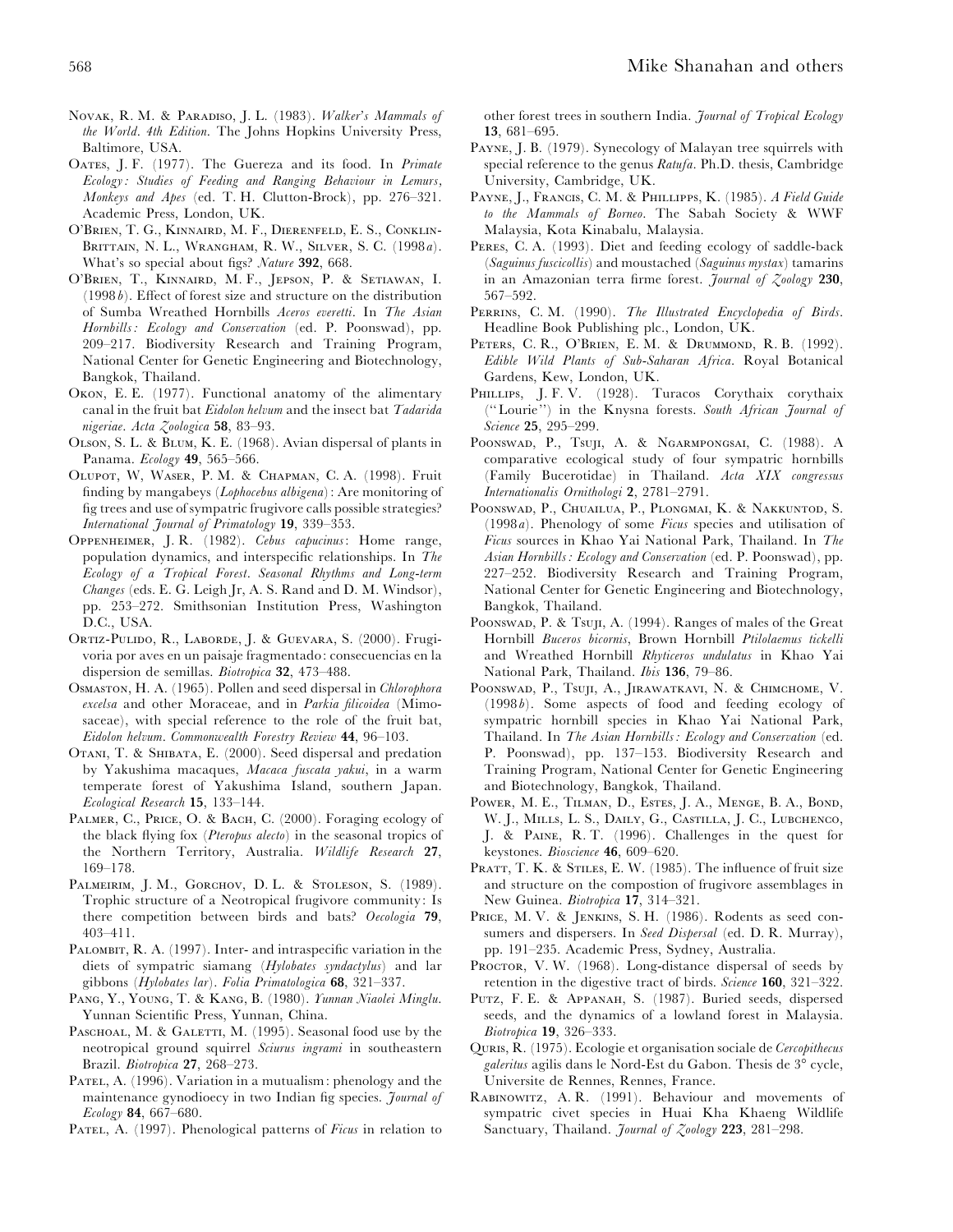- NOVAK, R. M. & PARADISO, J. L. (1983). *Walker's Mammals of the World. 4th Edition*. The Johns Hopkins University Press, Baltimore, USA.
- OATES, J. F. (1977). The Guereza and its food. In *Primate Ecology : Studies of Feeding and Ranging Behaviour in Lemurs, Monkeys and Apes* (ed. T. H. Clutton-Brock), pp. 276–321. Academic Press, London, UK.
- O'BRIEN, T. G., KINNAIRD, M. F., DIERENFELD, E. S., CONKLIN-BRITTAIN, N. L., WRANGHAM, R. W., SILVER, S. C. (1998*a*). What's so special about figs? *Nature 392*, 668.
- O'BRIEN, T., KINNAIRD, M. F., JEPSON, P. & SETIAWAN, I. (1998*b*). Effect of forest size and structure on the distribution of Sumba Wreathed Hornbills *Aceros everetti*. In *The Asian Hornbills : Ecology and Conservation* (ed. P. Poonswad), pp. 209–217. Biodiversity Research and Training Program, National Center for Genetic Engineering and Biotechnology, Bangkok, Thailand.
- OKON, E. E. (1977). Functional anatomy of the alimentary canal in the fruit bat *Eidolon helvum* and the insect bat *Tadarida nigeriae*. *Acta Zoologica 58*, 83–93.
- OLSON, S. L. & BLUM, K. E. (1968). Avian dispersal of plants in Panama. *Ecology 49*, 565–566.
- OLUPOT, W, WASER, P. M. & CHAPMAN, C. A. (1998). Fruit finding by mangabeys (*Lophocebus albigena*): Are monitoring of fig trees and use of sympatric frugivore calls possible strategies? *International Journal of Primatology 19*, 339–353.
- OPPENHEIMER, J. R. (1982). *Cebus capucinus*: Home range, population dynamics, and interspecific relationships. In *The Ecology of a Tropical Forest*. *Seasonal Rhythms and Long*-*term Changes* (eds. E. G. Leigh Jr, A. S. Rand and D. M. Windsor), pp. 253–272. Smithsonian Institution Press, Washington D.C., USA.
- ORTIZ-PULIDO, R., LABORDE, J. & GUEVARA, S. (2000). Frugivoria por aves en un paisaje fragmentado: consecuencias en la dispersion de semillas. *Biotropica 32*, 473–488.
- Osmaston, H. A. (1965). Pollen and seed dispersal in *Chlorophora excelsa* and other Moraceae, and in *Parkia filicoidea* (Mimosaceae), with special reference to the role of the fruit bat, *Eidolon helvum*. *Commonwealth Forestry Review 44*, 96–103.
- OTANI, T. & SHIBATA, E. (2000). Seed dispersal and predation by Yakushima macaques, *Macaca fuscata yakui*, in a warm temperate forest of Yakushima Island, southern Japan. *Ecological Research 15*, 133–144.
- PALMER, C., PRICE, O. & BACH, C. (2000). Foraging ecology of the black flying fox (*Pteropus alecto*) in the seasonal tropics of the Northern Territory, Australia. *Wildlife Research 27*, 169–178.
- PALMEIRIM, J. M., GORCHOV, D. L. & STOLESON, S. (1989). Trophic structure of a Neotropical frugivore community: Is there competition between birds and bats? *Oecologia 79*, 403–411.
- PALOMBIT, R. A. (1997). Inter- and intraspecific variation in the diets of sympatric siamang (*Hylobates syndactylus*) and lar gibbons (*Hylobates lar*). *Folia Primatologica 68*, 321–337.
- PANG, Y., YOUNG, T. & KANG, B. (1980). *Yunnan Niaolei Minglu*. Yunnan Scientific Press, Yunnan, China.
- PASCHOAL, M. & GALETTI, M. (1995). Seasonal food use by the neotropical ground squirrel *Sciurus ingrami* in southeastern Brazil. *Biotropica 27*, 268–273.
- PATEL, A. (1996). Variation in a mutualism: phenology and the maintenance gynodioecy in two Indian fig species. *Journal of Ecology 84*, 667–680.
- PATEL, A. (1997). Phenological patterns of *Ficus* in relation to

other forest trees in southern India. *Journal of Tropical Ecology 13*, 681–695.

- PAYNE, J. B. (1979). Synecology of Malayan tree squirrels with special reference to the genus *Ratufa*. Ph.D. thesis, Cambridge University, Cambridge, UK.
- PAYNE, J., FRANCIS, C. M. & PHILLIPPS, K. (1985). *A Field Guide to the Mammals of Borneo*. The Sabah Society & WWF Malaysia, Kota Kinabalu, Malaysia.
- PERES, C. A. (1993). Diet and feeding ecology of saddle-back (*Saguinus fuscicollis*) and moustached (*Saguinus mystax*) tamarins in an Amazonian terra firme forest. *Journal of Zoology 230*, 567–592.
- PERRINS, C. M. (1990). *The Illustrated Encyclopedia of Birds*. Headline Book Publishing plc., London, UK.
- PETERS, C. R., O'BRIEN, E. M. & DRUMMOND, R. B. (1992). *Edible Wild Plants of Sub*-*Saharan Africa*. Royal Botanical Gardens, Kew, London, UK.
- PHILLIPS, J. F. V. (1928). Turacos Corythaix corythaix (''Lourie'') in the Knysna forests. *South African Journal of Science 25*, 295–299.
- POONSWAD, P., Tsuji, A. & NGARMPONGSAI, C. (1988). A comparative ecological study of four sympatric hornbills (Family Bucerotidae) in Thailand. *Acta XIX congressus Internationalis Ornithologi 2*, 2781–2791.
- POONSWAD, P., CHUAILUA, P., PLONGMAI, K. & NAKKUNTOD, S. (1998*a*). Phenology of some *Ficus* species and utilisation of *Ficus* sources in Khao Yai National Park, Thailand. In *The Asian Hornbills : Ecology and Conservation* (ed. P. Poonswad), pp. 227–252. Biodiversity Research and Training Program, National Center for Genetic Engineering and Biotechnology, Bangkok, Thailand.
- POONSWAD, P. & Tsuµ, A. (1994). Ranges of males of the Great Hornbill *Buceros bicornis*, Brown Hornbill *Ptilolaemus tickelli* and Wreathed Hornbill *Rhyticeros undulatus* in Khao Yai National Park, Thailand. *Ibis 136*, 79–86.
- POONSWAD, P., Tsuji, A., Jirawatkavi, N. & Chimchome, V. (1998*b*). Some aspects of food and feeding ecology of sympatric hornbill species in Khao Yai National Park, Thailand. In *The Asian Hornbills : Ecology and Conservation* (ed. P. Poonswad), pp. 137–153. Biodiversity Research and Training Program, National Center for Genetic Engineering and Biotechnology, Bangkok, Thailand.
- POWER, M. E., TILMAN, D., ESTES, J. A., MENGE, B. A., BOND, W. J., Mills, L. S., Daily, G., Castilla, J. C., Lubchenco, J. & PAINE, R. T. (1996). Challenges in the quest for keystones. *Bioscience 46*, 609–620.
- PRATT, T. K. & STILES, E. W. (1985). The influence of fruit size and structure on the compostion of frugivore assemblages in New Guinea. *Biotropica 17*, 314–321.
- PRICE, M. V. & JENKINS, S. H. (1986). Rodents as seed consumers and dispersers. In *Seed Dispersal* (ed. D. R. Murray), pp. 191–235. Academic Press, Sydney, Australia.
- PROCTOR, V. W. (1968). Long-distance dispersal of seeds by retention in the digestive tract of birds. *Science 160*, 321–322.
- PUTZ, F. E. & APPANAH, S. (1987). Buried seeds, dispersed seeds, and the dynamics of a lowland forest in Malaysia. *Biotropica 19*, 326–333.
- Q, R. (1975). Ecologie et organisation sociale de *Cercopithecus galeritus* agilis dans le Nord-Est du Gabon. Thesis de 3° cycle, Universite de Rennes, Rennes, France.
- RABINOWITZ, A. R. (1991). Behaviour and movements of sympatric civet species in Huai Kha Khaeng Wildlife Sanctuary, Thailand. *Journal of Zoology 223*, 281–298.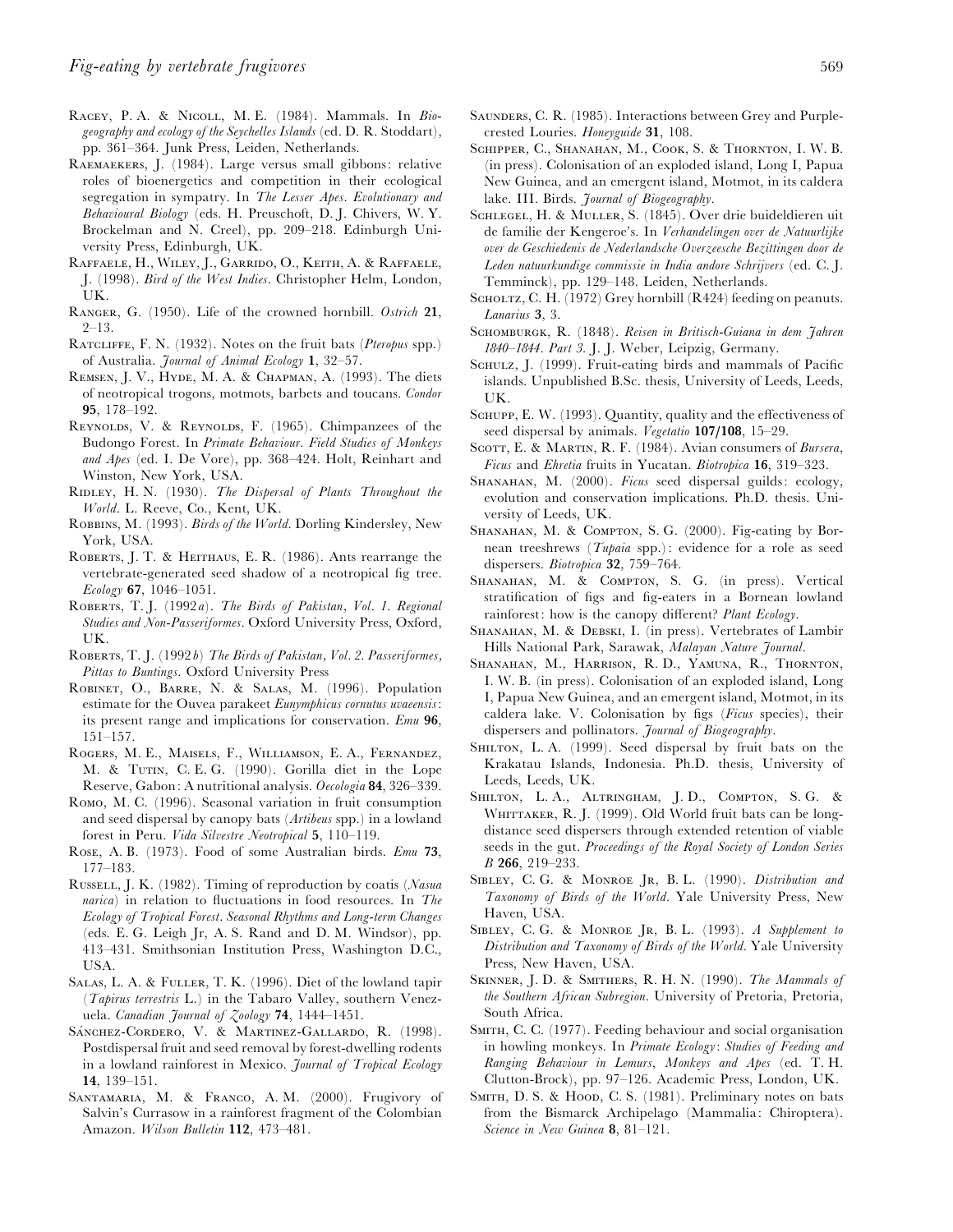- RACEY, P. A. & NICOLL, M. E. (1984). Mammals. In *Biogeography and ecology of the Seychelles Islands* (ed. D. R. Stoddart), pp. 361–364. Junk Press, Leiden, Netherlands.
- RAEMAEKERS, J. (1984). Large versus small gibbons: relative roles of bioenergetics and competition in their ecological segregation in sympatry. In *The Lesser Apes*. *Evolutionary and Behavioural Biology* (eds. H. Preuschoft, D. J. Chivers, W. Y. Brockelman and N. Creel), pp. 209–218. Edinburgh University Press, Edinburgh, UK.
- RAFFAELE, H., WILEY, J., GARRIDO, O., KEITH, A. & RAFFAELE, J. (1998). *Bird of the West Indies*. Christopher Helm, London, UK.
- RANGER, G. (1950). Life of the crowned hornbill. *Ostrich* 21, 2–13.
- RATCLIFFE, F. N. (1932). Notes on the fruit bats (*Pteropus* spp.) of Australia. *Journal of Animal Ecology 1*, 32–57.
- REMSEN, J. V., HYDE, M. A. & CHAPMAN, A. (1993). The diets of neotropical trogons, motmots, barbets and toucans. *Condor 95*, 178–192.
- REYNOLDS, V. & REYNOLDS, F. (1965). Chimpanzees of the Budongo Forest. In *Primate Behaviour*. *Field Studies of Monkeys and Apes* (ed. I. De Vore), pp. 368–424. Holt, Reinhart and Winston, New York, USA.
- R, H. N. (1930). *The Dispersal of Plants Throughout the World*. L. Reeve, Co., Kent, UK.
- ROBBINS, M. (1993). *Birds of the World*. Dorling Kindersley, New York, USA.
- ROBERTS, J. T. & HEITHAUS, E. R. (1986). Ants rearrange the vertebrate-generated seed shadow of a neotropical fig tree. *Ecology 67*, 1046–1051.
- ROBERTS, T. J. (1992*a*). *The Birds of Pakistan, Vol. 1. Regional Studies and Non-Passeriformes*. Oxford University Press, Oxford, UK.
- R, T. J. (1992*b*) *The Birds of Pakistan, Vol. 2. Passeriformes, Pittas to Buntings*. Oxford University Press
- ROBINET, O., BARRE, N. & SALAS, M. (1996). Population estimate for the Ouvea parakeet *Eunymphicus cornutus uvaeensis*: its present range and implications for conservation. *Emu 96*, 151–157.
- ROGERS, M. E., MAISELS, F., WILLIAMSON, E. A., FERNANDEZ, M. & TUTIN, C. E. G. (1990). Gorilla diet in the Lope Reserve, Gabon: A nutritional analysis. *Oecologia 84*, 326–339.
- Rомо, M. C. (1996). Seasonal variation in fruit consumption and seed dispersal by canopy bats (*Artibeus* spp.) in a lowland forest in Peru. *Vida Silvestre Neotropical 5*, 110–119.
- R, A. B. (1973). Food of some Australian birds. *Emu 73*, 177–183.
- RUSSELL, J. K. (1982). Timing of reproduction by coatis (*Nasua*) *narica*) in relation to fluctuations in food resources. In *The Ecology of Tropical Forest*. *Seasonal Rhythms and Long*-*term Changes* (eds. E. G. Leigh Jr, A. S. Rand and D. M. Windsor), pp. 413–431. Smithsonian Institution Press, Washington D.C., USA.
- SALAS, L. A. & FULLER, T. K. (1996). Diet of the lowland tapir (*Tapirus terrestris* L.) in the Tabaro Valley, southern Venezuela. *Canadian Journal of Zoology 74*, 1444–1451.
- SÁNCHEZ-CORDERO, V. & MARTINEZ-GALLARDO, R. (1998). Postdispersal fruit and seed removal by forest-dwelling rodents in a lowland rainforest in Mexico. *Journal of Tropical Ecology 14*, 139–151.
- SANTAMARIA, M. & FRANCO, A. M. (2000). Frugivory of Salvin's Currasow in a rainforest fragment of the Colombian Amazon. *Wilson Bulletin 112*, 473–481.
- SAUNDERS, C. R. (1985). Interactions between Grey and Purplecrested Louries. *Honeyguide 31*, 108.
- SCHIPPER, C., SHANAHAN, M., COOK, S. & THORNTON, I. W. B. (in press). Colonisation of an exploded island, Long I, Papua New Guinea, and an emergent island, Motmot, in its caldera lake. III. Birds. *Journal of Biogeography*.
- SCHLEGEL, H. & MULLER, S. (1845). Over drie buideldieren uit de familie der Kengeroe's. In *Verhandelingen over de Natuurlijke over de Geschiedenis de Nederlandsche Overzeesche Bezittingen door de Leden natuurkundige commissie in India andore Schrijvers* (ed. C. J. Temminck), pp. 129–148. Leiden, Netherlands.
- Sсногтz, C. H. (1972) Grey hornbill (R424) feeding on peanuts. *Lanarius 3*, 3.
- SCHOMBURGK, R. (1848). *Reisen in Britisch-Guiana in dem Jahren 1840–1844. Part 3*. J. J. Weber, Leipzig, Germany.
- SCHULZ, J. (1999). Fruit-eating birds and mammals of Pacific islands. Unpublished B.Sc. thesis, University of Leeds, Leeds, UK.
- SCHUPP, E. W. (1993). Quantity, quality and the effectiveness of seed dispersal by animals. *Vegetatio 107/108*, 15–29.
- SCOTT, E. & MARTIN, R. F. (1984). Avian consumers of *Bursera*, *Ficus* and *Ehretia* fruits in Yucatan. *Biotropica 16*, 319–323.
- SHANAHAN, M. (2000). *Ficus* seed dispersal guilds: ecology, evolution and conservation implications. Ph.D. thesis. University of Leeds, UK.
- SHANAHAN, M. & COMPTON, S. G. (2000). Fig-eating by Bornean treeshrews (*Tupaia* spp.): evidence for a role as seed dispersers. *Biotropica 32*, 759–764.
- SHANAHAN, M. & COMPTON, S. G. (in press). Vertical stratification of figs and fig-eaters in a Bornean lowland rainforest: how is the canopy different? *Plant Ecology*.
- SHANAHAN, M. & DEBSKI, I. (in press). Vertebrates of Lambir Hills National Park, Sarawak, *Malayan Nature Journal*.
- SHANAHAN, M., HARRISON, R.D., YAMUNA, R., THORNTON, I. W. B. (in press). Colonisation of an exploded island, Long I, Papua New Guinea, and an emergent island, Motmot, in its caldera lake. V. Colonisation by figs (*Ficus* species), their dispersers and pollinators. *Journal of Biogeography*.
- SHILTON, L. A. (1999). Seed dispersal by fruit bats on the Krakatau Islands, Indonesia. Ph.D. thesis, University of Leeds, Leeds, UK.
- SHILTON, L. A., ALTRINGHAM, J. D., COMPTON, S. G. & WHITTAKER, R. J. (1999). Old World fruit bats can be longdistance seed dispersers through extended retention of viable seeds in the gut. *Proceedings of the Royal Society of London Series B 266*, 219–233.
- SIBLEY, C. G. & MONROE JR, B. L. (1990). *Distribution and Taxonomy of Birds of the World*. Yale University Press, New Haven, USA.
- SIBLEY, C. G. & MONROE JR, B. L. (1993). *A Supplement to Distribution and Taxonomy of Birds of the World*. Yale University Press, New Haven, USA.
- SKINNER, J. D. & SMITHERS, R. H. N. (1990). *The Mammals of the Southern African Subregion*. University of Pretoria, Pretoria, South Africa.
- SMITH, C. C. (1977). Feeding behaviour and social organisation in howling monkeys. In *Primate Ecology*: *Studies of Feeding and Ranging Behaviour in Lemurs*, *Monkeys and Apes* (ed. T. H. Clutton-Brock), pp. 97–126. Academic Press, London, UK.
- SMITH, D. S. & HOOD, C. S. (1981). Preliminary notes on bats from the Bismarck Archipelago (Mammalia: Chiroptera). *Science in New Guinea 8*, 81–121.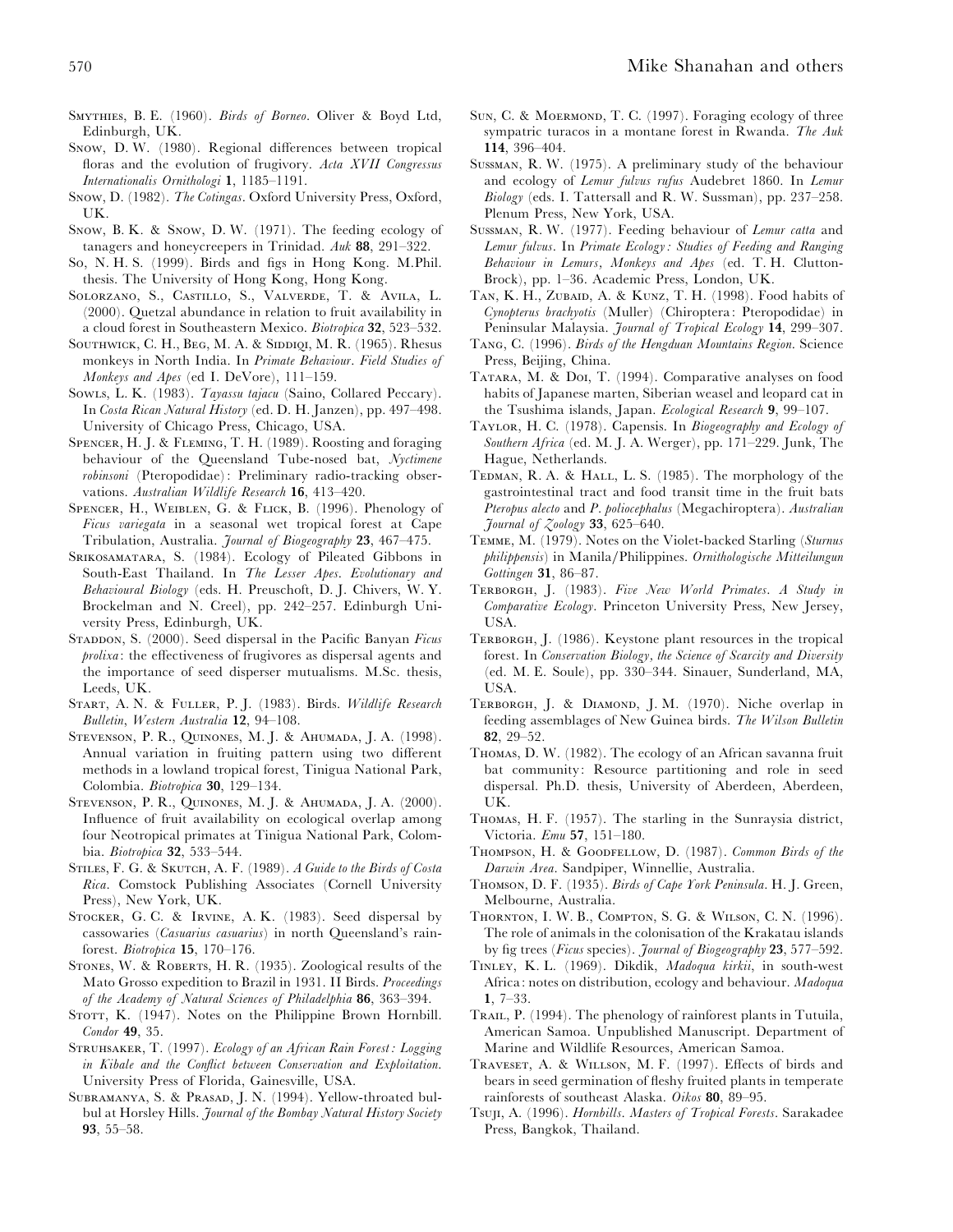- SMYTHIES, B. E. (1960). *Birds of Borneo*. Oliver & Boyd Ltd, Edinburgh, UK.
- SNOW, D. W. (1980). Regional differences between tropical floras and the evolution of frugivory. *Acta XVII Congressus Internationalis Ornithologi 1*, 1185–1191.
- Snow, D. (1982). *The Cotingas*. Oxford University Press, Oxford, UK.
- SNOW, B. K. & SNOW, D. W. (1971). The feeding ecology of tanagers and honeycreepers in Trinidad. *Auk 88*, 291–322.
- So, N. H. S. (1999). Birds and figs in Hong Kong. M. Phil. thesis. The University of Hong Kong, Hong Kong.
- SOLORZANO, S., CASTILLO, S., VALVERDE, T. & AVILA, L. (2000). Quetzal abundance in relation to fruit availability in a cloud forest in Southeastern Mexico. *Biotropica 32*, 523–532.
- SOUTHWICK, C. H., BEG, M. A. & SIDDIOI, M. R. (1965). Rhesus monkeys in North India. In *Primate Behaviour*. *Field Studies of Monkeys and Apes* (ed I. DeVore), 111–159.
- Sowts, L. K. (1983). *Tayassu tajacu* (Saino, Collared Peccary). In *Costa Rican Natural History* (ed. D. H. Janzen), pp. 497–498. University of Chicago Press, Chicago, USA.
- SPENCER, H. J. & FLEMING, T. H. (1989). Roosting and foraging behaviour of the Queensland Tube-nosed bat, *Nyctimene robinsoni* (Pteropodidae): Preliminary radio-tracking observations. *Australian Wildlife Research 16*, 413–420.
- SPENCER, H., WEIBLEN, G. & FLICK, B. (1996). Phenology of *Ficus variegata* in a seasonal wet tropical forest at Cape Tribulation, Australia. *Journal of Biogeography 23*, 467–475.
- SRIKOSAMATARA, S. (1984). Ecology of Pileated Gibbons in South-East Thailand. In *The Lesser Apes*. *Evolutionary and Behavioural Biology* (eds. H. Preuschoft, D. J. Chivers, W. Y. Brockelman and N. Creel), pp. 242–257. Edinburgh University Press, Edinburgh, UK.
- STADDON, S. (2000). Seed dispersal in the Pacific Banyan *Ficus prolixa*: the effectiveness of frugivores as dispersal agents and the importance of seed disperser mutualisms. M.Sc. thesis, Leeds, UK.
- START, A. N. & FULLER, P. J. (1983). Birds. Wildlife Research *Bulletin*, *Western Australia 12*, 94–108.
- STEVENSON, P. R., QUINONES, M. J. & AHUMADA, J. A. (1998). Annual variation in fruiting pattern using two different methods in a lowland tropical forest, Tinigua National Park, Colombia. *Biotropica 30*, 129–134.
- STEVENSON, P. R., QUINONES, M. J. & AHUMADA, J. A. (2000). Influence of fruit availability on ecological overlap among four Neotropical primates at Tinigua National Park, Colombia. *Biotropica 32*, 533–544.
- STILES, F. G. & SKUTCH, A. F. (1989). *A Guide to the Birds of Costa Rica*. Comstock Publishing Associates (Cornell University Press), New York, UK.
- STOCKER, G. C. & IRVINE, A. K. (1983). Seed dispersal by cassowaries (*Casuarius casuarius*) in north Queensland's rainforest. *Biotropica 15*, 170–176.
- STONES, W. & ROBERTS, H. R. (1935). Zoological results of the Mato Grosso expedition to Brazil in 1931. II Birds. *Proceedings of the Academy of Natural Sciences of Philadelphia 86*, 363–394.
- STOTT, K. (1947). Notes on the Philippine Brown Hornbill. *Condor 49*, 35.
- STRUHSAKER, T. (1997). *Ecology of an African Rain Forest: Logging in Kibale and the Conflict between Conservation and Exploitation*. University Press of Florida, Gainesville, USA.
- SUBRAMANYA, S. & PRASAD, J. N. (1994). Yellow-throated bulbul at Horsley Hills. *Journal of the Bombay Natural History Society 93*, 55–58.
- SUN, C. & MOERMOND, T. C. (1997). Foraging ecology of three sympatric turacos in a montane forest in Rwanda. *The Auk 114*, 396–404.
- SUSSMAN, R. W.  $(1975)$ . A preliminary study of the behaviour and ecology of *Lemur fulvus rufus* Audebret 1860. In *Lemur Biology* (eds. I. Tattersall and R. W. Sussman), pp. 237–258. Plenum Press, New York, USA.
- SUSSMAN, R. W. (1977). Feeding behaviour of *Lemur catta* and *Lemur fulvus*. In *Primate Ecology : Studies of Feeding and Ranging Behaviour in Lemurs, Monkeys and Apes* (ed. T. H. Clutton-Brock), pp. 1–36. Academic Press, London, UK.
- TAN, K. H., ZUBAID, A. & KUNZ, T. H. (1998). Food habits of *Cynopterus brachyotis* (Muller) (Chiroptera: Pteropodidae) in Peninsular Malaysia. *Journal of Tropical Ecology 14*, 299–307.
- TANG, C. (1996). *Birds of the Hengduan Mountains Region*. Science Press, Beijing, China.
- TATARA, M. & Doi, T. (1994). Comparative analyses on food habits of Japanese marten, Siberian weasel and leopard cat in the Tsushima islands, Japan. *Ecological Research 9*, 99–107.
- TAYLOR, H. C. (1978). Capensis. In *Biogeography and Ecology of Southern Africa* (ed. M. J. A. Werger), pp. 171–229. Junk, The Hague, Netherlands.
- TEDMAN, R. A. & HALL, L. S. (1985). The morphology of the gastrointestinal tract and food transit time in the fruit bats *Pteropus alecto* and *P*. *poliocephalus* (Megachiroptera). *Australian Journal of Zoology 33*, 625–640.
- TEMME, M. (1979). Notes on the Violet-backed Starling (*Sturnus philippensis*) in Manila}Philippines. *Ornithologische Mitteilungun Gottingen 31*, 86–87.
- TERBORGH, J. (1983). Five New World Primates. A Study in *Comparative Ecology*. Princeton University Press, New Jersey, USA.
- TERBORGH, J. (1986). Keystone plant resources in the tropical forest. In *Conservation Biology, the Science of Scarcity and Diversity* (ed. M. E. Soule), pp. 330–344. Sinauer, Sunderland, MA, USA.
- TERBORGH, J. & DIAMOND, J. M. (1970). Niche overlap in feeding assemblages of New Guinea birds. *The Wilson Bulletin 82*, 29–52.
- THOMAS, D. W. (1982). The ecology of an African savanna fruit bat community: Resource partitioning and role in seed dispersal. Ph.D. thesis, University of Aberdeen, Aberdeen, UK.
- THOMAS, H. F. (1957). The starling in the Sunraysia district, Victoria. *Emu 57*, 151–180.
- THOMPSON, H. & GOODFELLOW, D. (1987). *Common Birds of the Darwin Area*. Sandpiper, Winnellie, Australia.
- THOMSON, D. F. (1935). *Birds of Cape York Peninsula*. H. J. Green, Melbourne, Australia.
- THORNTON, I. W. B., COMPTON, S. G. & WILSON, C. N. (1996). The role of animals in the colonisation of the Krakatau islands by fig trees (*Ficus* species). *Journal of Biogeography 23*, 577–592.
- TINLEY, K. L. (1969). Dikdik, Madoqua kirkii, in south-west Africa: notes on distribution, ecology and behaviour. *Madoqua 1*, 7–33.
- TRAIL, P. (1994). The phenology of rainforest plants in Tutuila, American Samoa. Unpublished Manuscript. Department of Marine and Wildlife Resources, American Samoa.
- TRAVESET, A. & WILLSON, M. F. (1997). Effects of birds and bears in seed germination of fleshy fruited plants in temperate rainforests of southeast Alaska. *Oikos 80*, 89–95.
- Tsuji, A. (1996). *Hornbills. Masters of Tropical Forests*. Sarakadee Press, Bangkok, Thailand.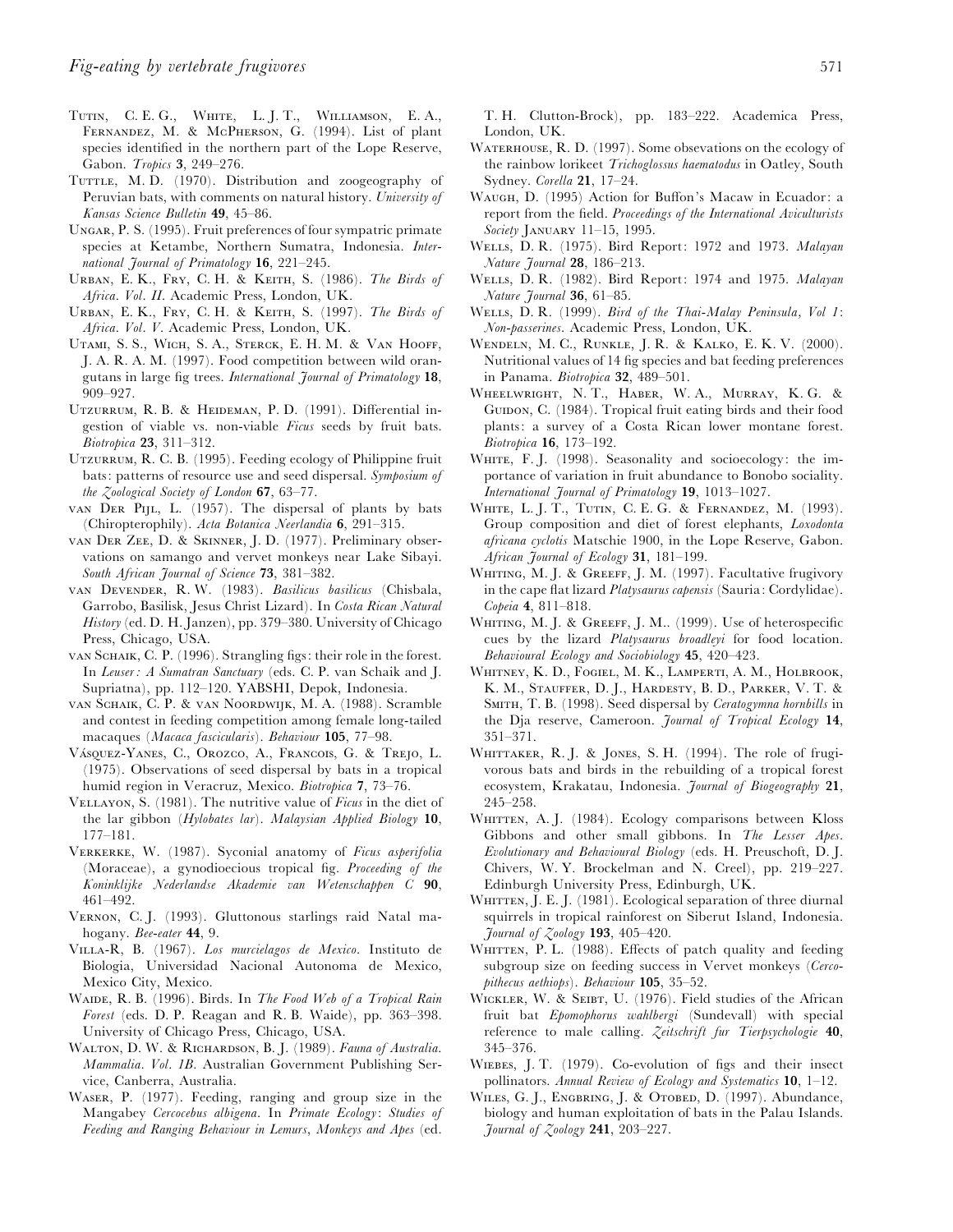- TUTIN, C. E. G., WHITE, L. J. T., WILLIAMSON, E. A., FERNANDEZ, M. & McPHERSON, G. (1994). List of plant species identified in the northern part of the Lope Reserve, Gabon. *Tropics 3*, 249–276.
- TUTTLE, M. D. (1970). Distribution and zoogeography of Peruvian bats, with comments on natural history. *University of Kansas Science Bulletin 49*, 45–86.
- UNGAR, P. S. (1995). Fruit preferences of four sympatric primate species at Ketambe, Northern Sumatra, Indonesia. *International Journal of Primatology 16*, 221–245.
- URBAN, E. K., FRY, C. H. & KEITH, S. (1986). *The Birds of Africa*. *Vol*. *II*. Academic Press, London, UK.
- URBAN, E. K., FRY, C. H. & KEITH, S. (1997). *The Birds of Africa*. *Vol*. *V*. Academic Press, London, UK.
- UTAMI, S. S., WICH, S. A., STERCK, E. H. M. & VAN HOOFF, J. A. R. A. M. (1997). Food competition between wild orangutans in large fig trees. *International Journal of Primatology 18*, 909–927.
- UTZURRUM, R. B. & HEIDEMAN, P. D. (1991). Differential ingestion of viable vs. non-viable *Ficus* seeds by fruit bats. *Biotropica 23*, 311–312.
- UTZURRUM, R. C. B. (1995). Feeding ecology of Philippine fruit bats: patterns of resource use and seed dispersal. *Symposium of the Zoological Society of London 67*, 63–77.
- VAN DER PIJL, L. (1957). The dispersal of plants by bats (Chiropterophily). *Acta Botanica Neerlandia 6*, 291–315.
- VAN DER ZEE, D. & SKINNER, J. D. (1977). Preliminary observations on samango and vervet monkeys near Lake Sibayi. *South African Journal of Science 73*, 381–382.
- D, R. W. (1983). *Basilicus basilicus* (Chisbala, Garrobo, Basilisk, Jesus Christ Lizard). In *Costa Rican Natural History*(ed. D. H. Janzen), pp. 379–380. University of Chicago Press, Chicago, USA.
- VAN SCHAIK, C. P. (1996). Strangling figs: their role in the forest. In *Leuser : A Sumatran Sanctuary* (eds. C. P. van Schaik and J. Supriatna), pp. 112–120. YABSHI, Depok, Indonesia.
- VAN SCHAIK, C. P. & VAN NOORDWIJK, M. A. (1988). Scramble and contest in feeding competition among female long-tailed macaques (*Macaca fascicularis*). *Behaviour 105*, 77–98.
- VÁSQUEZ-YANES, C., OROZCO, A., FRANCOIS, G. & TREJO, L. (1975). Observations of seed dispersal by bats in a tropical humid region in Veracruz, Mexico. *Biotropica 7*, 73–76.
- VELLAYON, S. (1981). The nutritive value of *Ficus* in the diet of the lar gibbon (*Hylobates lar*). *Malaysian Applied Biology 10*, 177–181.
- VERKERKE, W. (1987). Syconial anatomy of *Ficus asperifolia* (Moraceae), a gynodioecious tropical fig. *Proceeding of the Koninklijke Nederlandse Akademie van Wetenschappen C 90*, 461–492.
- VERNON, C. J. (1993). Gluttonous starlings raid Natal mahogany. *Bee*-*eater 44*, 9.
- VILLA-R, B. (1967). Los murcielagos de Mexico. Instituto de Biologia, Universidad Nacional Autonoma de Mexico, Mexico City, Mexico.
- WAIDE, R. B. (1996). Birds. In *The Food Web of a Tropical Rain Forest* (eds. D. P. Reagan and R. B. Waide), pp. 363–398. University of Chicago Press, Chicago, USA.
- WALTON, D. W. & RICHARDSON, B. J. (1989). Fauna of Australia. *Mammalia. Vol. 1B*. Australian Government Publishing Service, Canberra, Australia.
- WASER, P. (1977). Feeding, ranging and group size in the Mangabey *Cercocebus albigena*. In *Primate Ecology*: *Studies of Feeding and Ranging Behaviour in Lemurs*, *Monkeys and Apes* (ed.

T. H. Clutton-Brock), pp. 183–222. Academica Press, London, UK.

- WATERHOUSE, R. D. (1997). Some obsevations on the ecology of the rainbow lorikeet *Trichoglossus haematodus* in Oatley, South Sydney. *Corella 21*, 17–24.
- W, D. (1995) Action for Buffon's Macaw in Ecuador: a report from the field. *Proceedings of the International Aviculturists Society* JANUARY 11-15, 1995.
- W, D. R. (1975). Bird Report: 1972 and 1973. *Malayan Nature Journal 28*, 186–213.
- W, D. R. (1982). Bird Report: 1974 and 1975. *Malayan Nature Journal 36*, 61–85.
- W, D. R. (1999). *Bird of the Thai-Malay Peninsula, Vol 1*: *Non-passerines*. Academic Press, London, UK.
- WENDELN, M. C., RUNKLE, J. R. & KALKO, E. K. V. (2000). Nutritional values of 14 fig species and bat feeding preferences in Panama. *Biotropica 32*, 489–501.
- WHEELWRIGHT, N. T., HABER, W. A., MURRAY, K. G. & GUIDON, C. (1984). Tropical fruit eating birds and their food plants: a survey of a Costa Rican lower montane forest. *Biotropica 16*, 173–192.
- WHITE, F. J. (1998). Seasonality and socioecology: the importance of variation in fruit abundance to Bonobo sociality. *International Journal of Primatology 19*, 1013–1027.
- WHITE, L. J. T., TUTIN, C. E. G. & FERNANDEZ, M. (1993). Group composition and diet of forest elephants, *Loxodonta africana cyclotis* Matschie 1900, in the Lope Reserve, Gabon. *African Journal of Ecology 31*, 181–199.
- WHITING, M. J. & GREEFF, J. M. (1997). Facultative frugivory in the cape flat lizard *Platysaurus capensis* (Sauria: Cordylidae). *Copeia 4*, 811–818.
- WHITING, M. J. & GREEFF, J. M.. (1999). Use of heterospecific cues by the lizard *Platysaurus broadleyi* for food location. *Behavioural Ecology and Sociobiology 45*, 420–423.
- WHITNEY, K. D., FOGIEL, M. K., LAMPERTI, A. M., HOLBROOK, K. M., Stauffer, D. J., Hardesty, B. D., Parker, V. T. & SMITH, T. B. (1998). Seed dispersal by *Ceratogymna hornbills* in the Dja reserve, Cameroon. *Journal of Tropical Ecology 14*, 351–371.
- WHITTAKER, R. J. & JONES, S. H. (1994). The role of frugivorous bats and birds in the rebuilding of a tropical forest ecosystem, Krakatau, Indonesia. *Journal of Biogeography 21*, 245–258.
- WHITTEN, A. J. (1984). Ecology comparisons between Kloss Gibbons and other small gibbons. In *The Lesser Apes*. *Evolutionary and Behavioural Biology* (eds. H. Preuschoft, D. J. Chivers, W. Y. Brockelman and N. Creel), pp. 219–227. Edinburgh University Press, Edinburgh, UK.
- WHITTEN, J. E. J. (1981). Ecological separation of three diurnal squirrels in tropical rainforest on Siberut Island, Indonesia. *Journal of Zoology 193*, 405–420.
- WHITTEN, P. L. (1988). Effects of patch quality and feeding subgroup size on feeding success in Vervet monkeys (*Cercopithecus aethiops*). *Behaviour 105*, 35–52.
- WICKLER, W. & SEIBT, U. (1976). Field studies of the African fruit bat *Epomophorus wahlbergi* (Sundevall) with special reference to male calling. *Zeitschrift fur Tierpsychologie 40*, 345–376.
- WIEBES, J. T. (1979). Co-evolution of figs and their insect pollinators. *Annual Review of Ecology and Systematics 10*, 1–12.
- WILES, G. J., ENGBRING, J. & OTOBED, D. (1997). Abundance, biology and human exploitation of bats in the Palau Islands. *Journal of Zoology 241*, 203–227.